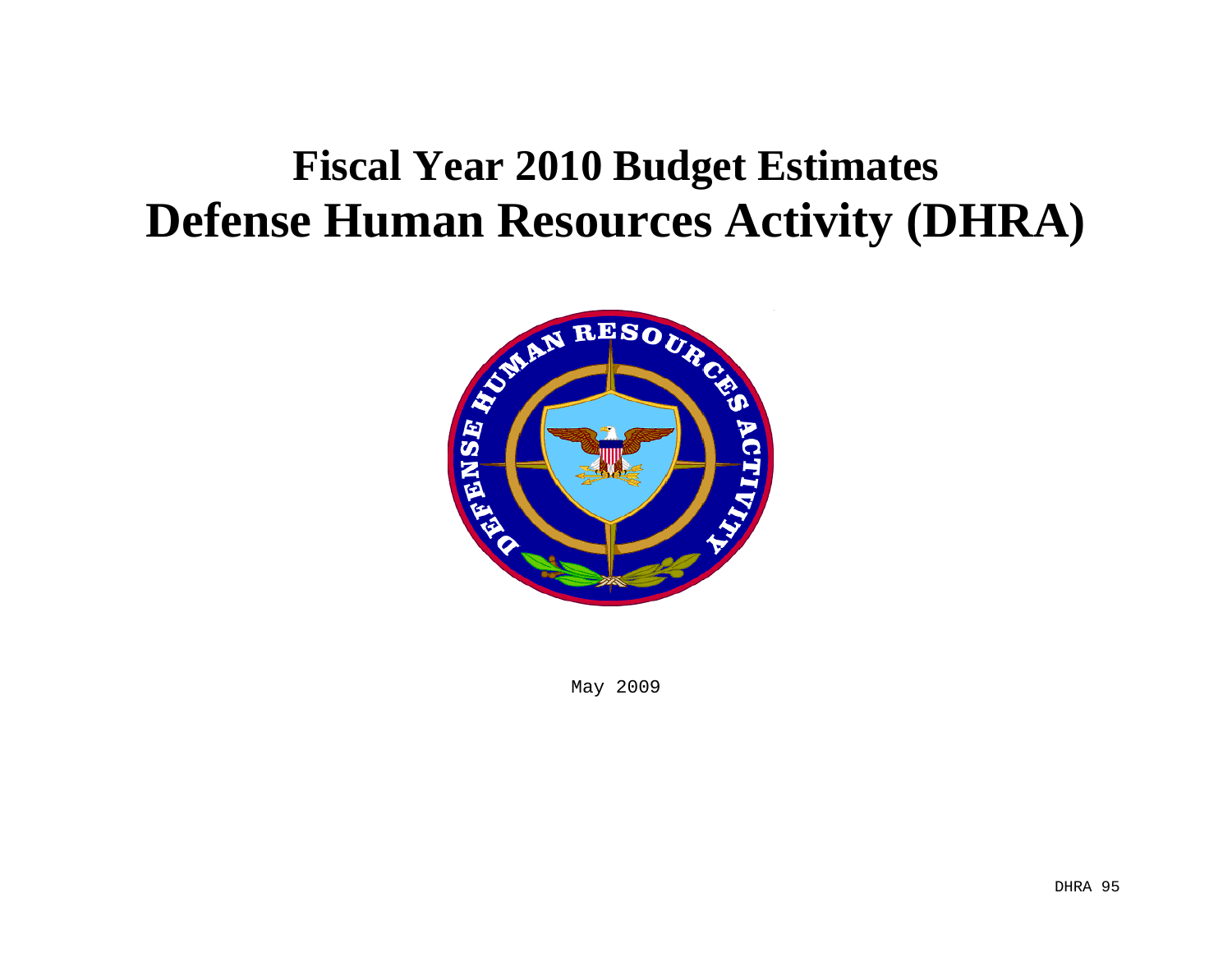# **Fiscal Year 2010 Budget Estimates Defense Human Resources Activity (DHRA)**



May 2009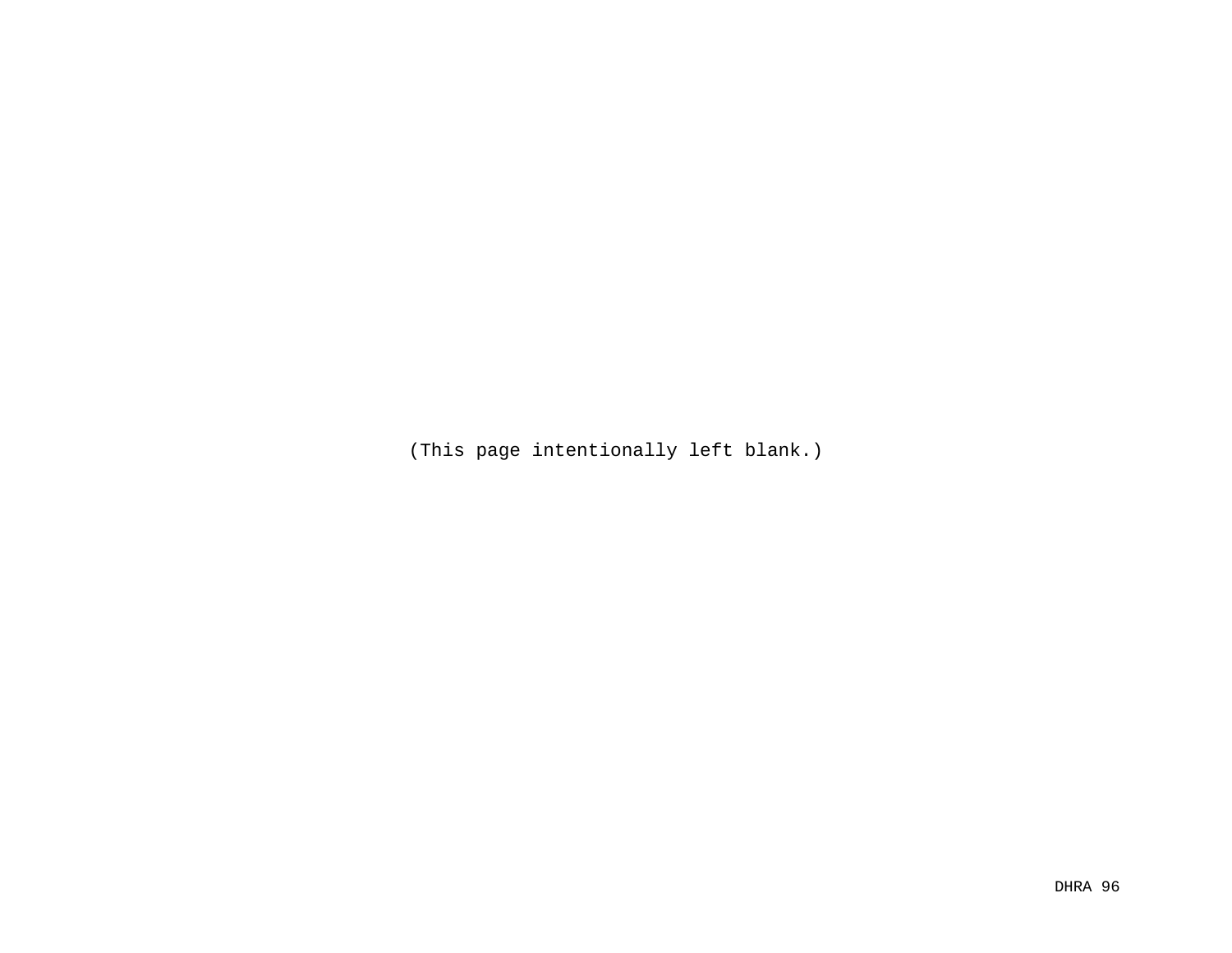(This page intentionally left blank.)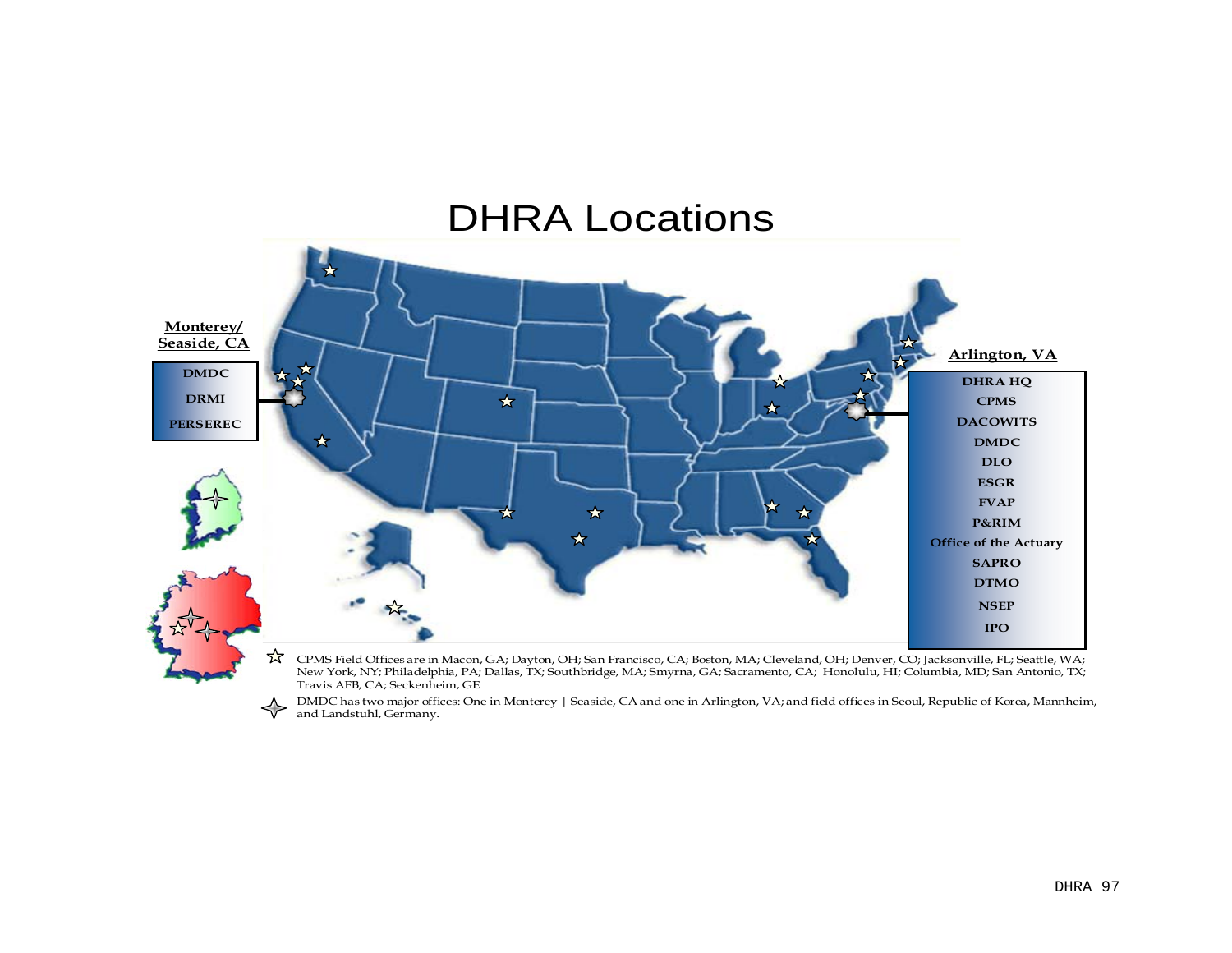

 $\Leftrightarrow$ DMDC has two major offices: One in Monterey | Seaside, CA and one in Arlington, VA; and field offices in Seoul, Republic of Korea, Mannheim, and Landstuhl, Germany.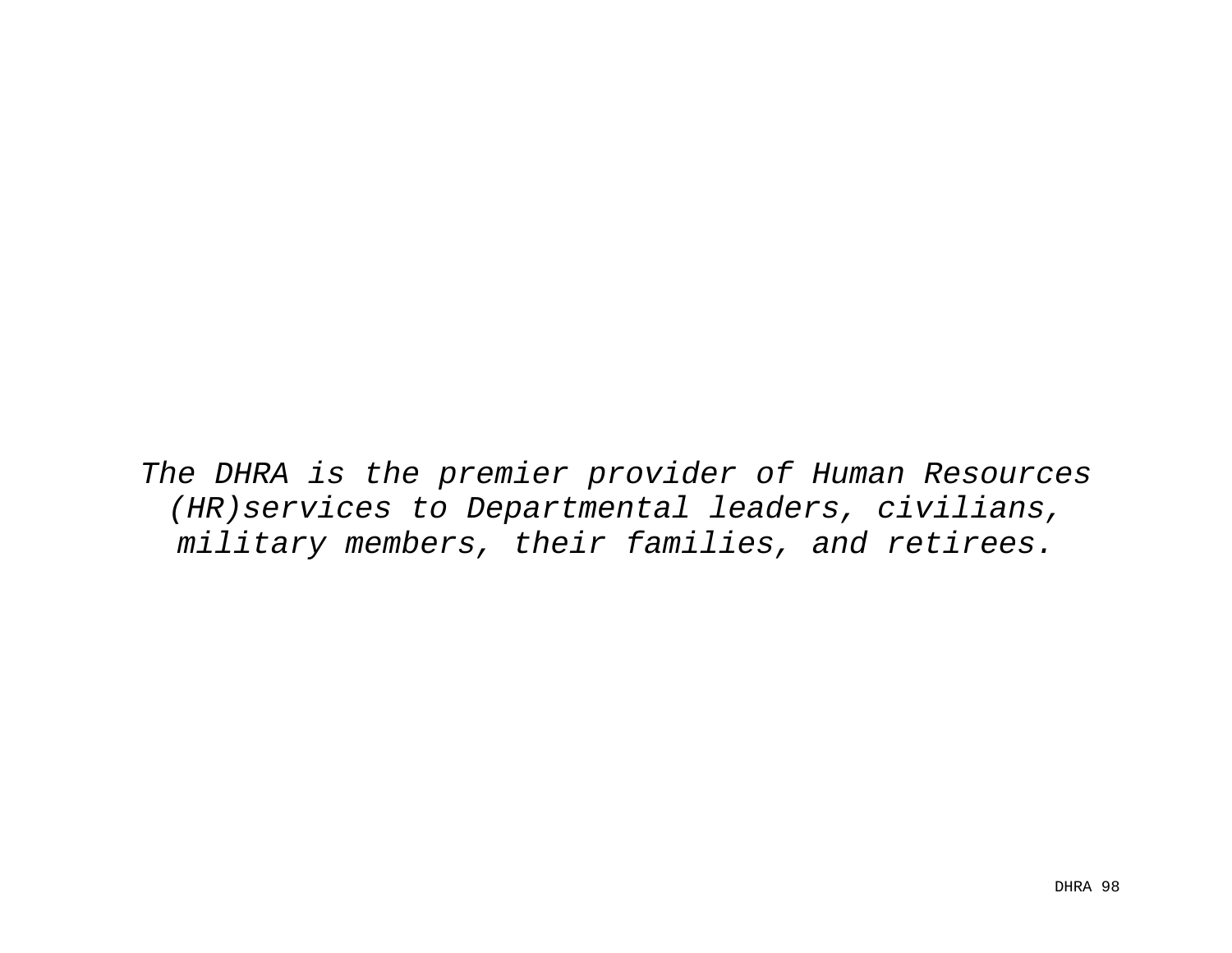*The DHRA is the premier provider of Human Resources (HR)services to Departmental leaders, civilians, military members, their families, and retirees.*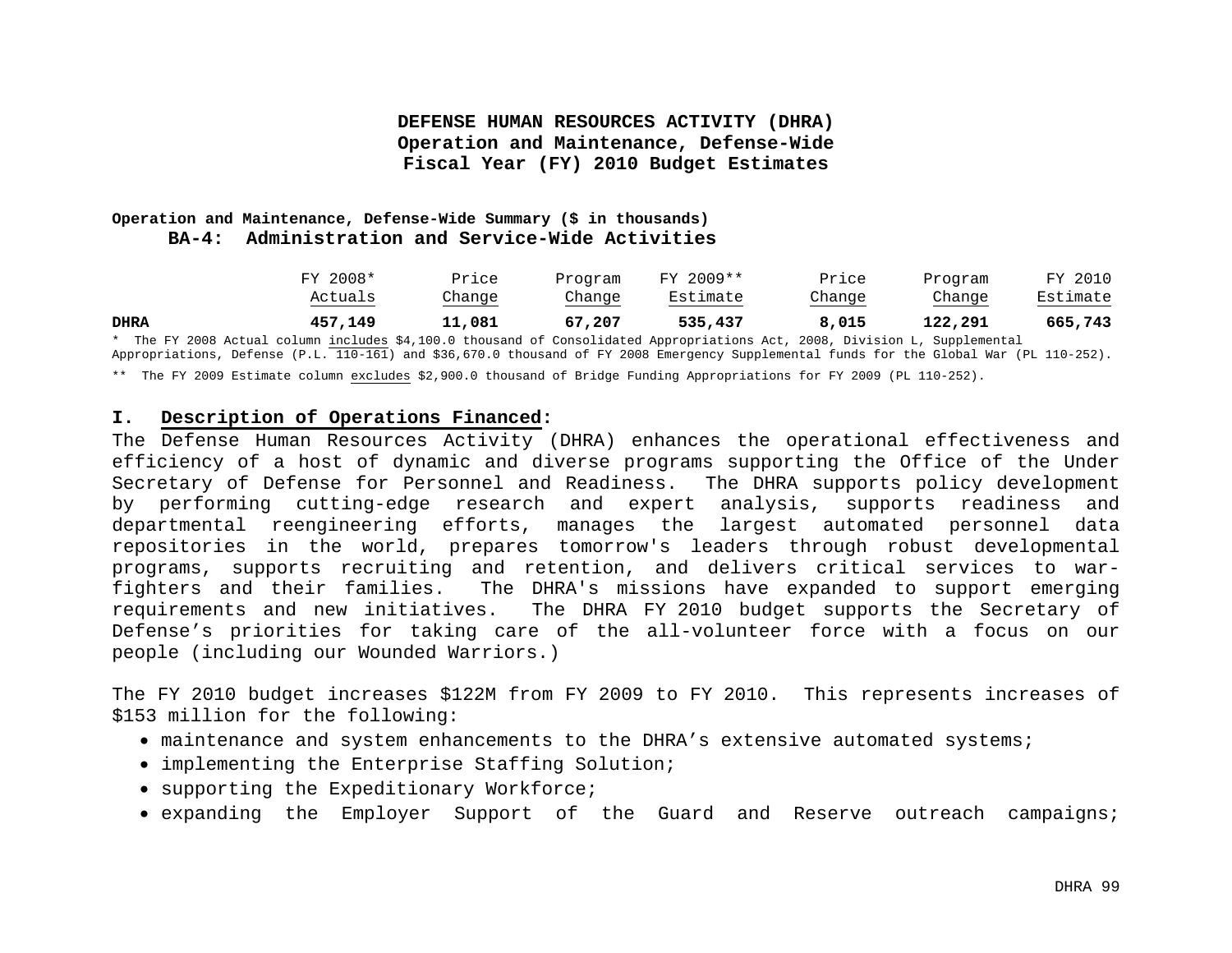#### **Operation and Maintenance, Defense-Wide Summary (\$ in thousands) BA-4: Administration and Service-Wide Activities**

|             | FY 2008* | Price  | Program | FY 2009** | Price  | Program | FY 2010  |
|-------------|----------|--------|---------|-----------|--------|---------|----------|
|             | Actuals  | Change | Change  | Estimate  | Change | Change  | Estimate |
| <b>DHRA</b> | 457,149  | 11,081 | 67,207  | 535,437   | 8,015  | 122,291 | 665,743  |

\* The FY 2008 Actual column includes \$4,100.0 thousand of Consolidated Appropriations Act, 2008, Division L, Supplemental Appropriations, Defense (P.L. 110-161) and \$36,670.0 thousand of FY 2008 Emergency Supplemental funds for the Global War (PL 110-252).

\*\* The FY 2009 Estimate column excludes \$2,900.0 thousand of Bridge Funding Appropriations for FY 2009 (PL 110-252).

#### **I. Description of Operations Financed:**

The Defense Human Resources Activity (DHRA) enhances the operational effectiveness and efficiency of a host of dynamic and diverse programs supporting the Office of the Under Secretary of Defense for Personnel and Readiness. The DHRA supports policy development by performing cutting-edge research and expert analysis, supports readiness and departmental reengineering efforts, manages the largest automated personnel data repositories in the world, prepares tomorrow's leaders through robust developmental programs, supports recruiting and retention, and delivers critical services to warfighters and their families. The DHRA's missions have expanded to support emerging requirements and new initiatives. The DHRA FY 2010 budget supports the Secretary of Defense's priorities for taking care of the all-volunteer force with a focus on our people (including our Wounded Warriors.)

The FY 2010 budget increases \$122M from FY 2009 to FY 2010. This represents increases of \$153 million for the following:

- maintenance and system enhancements to the DHRA's extensive automated systems;
- implementing the Enterprise Staffing Solution;
- supporting the Expeditionary Workforce;
- expanding the Employer Support of the Guard and Reserve outreach campaigns;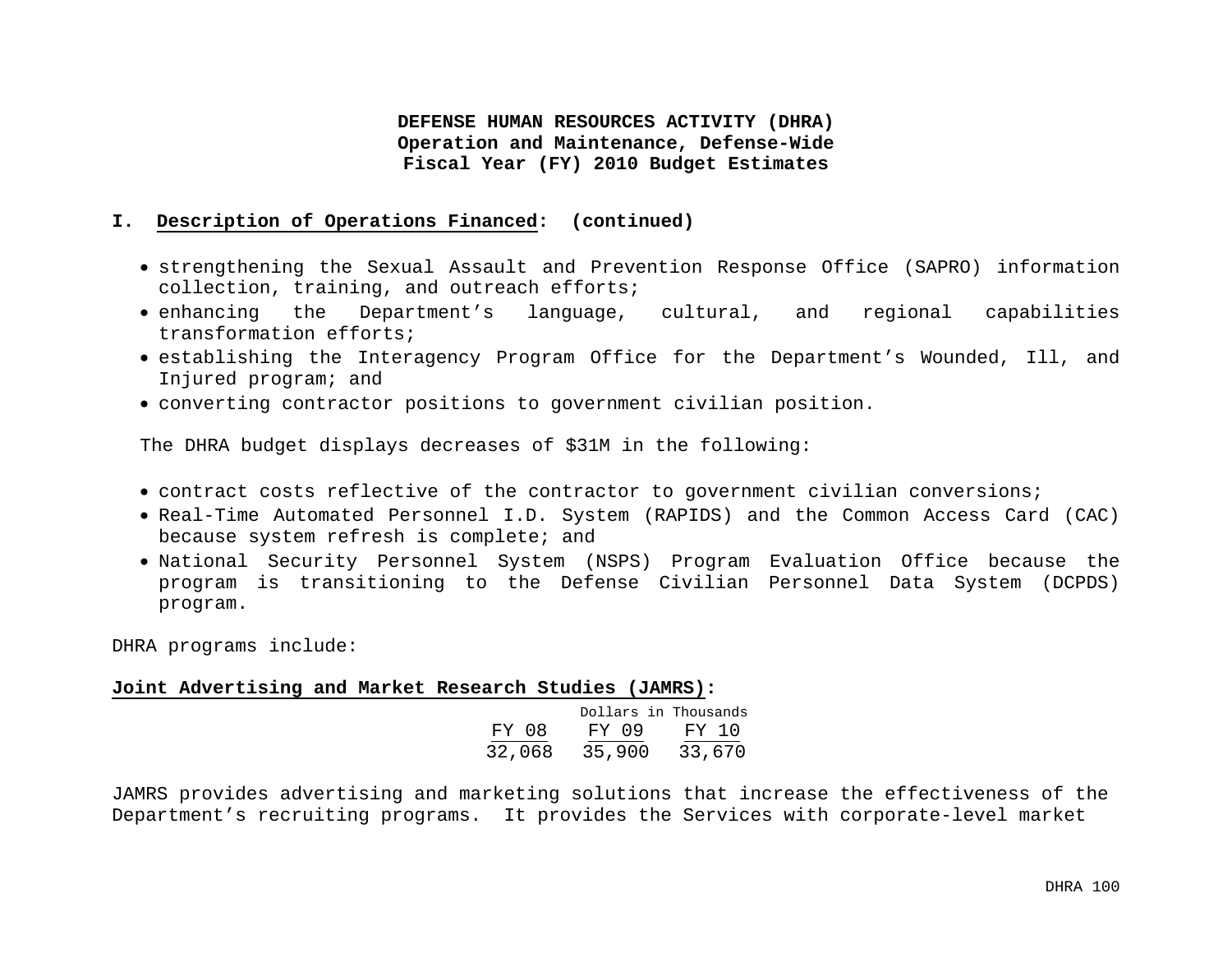## **I. Description of Operations Financed: (continued)**

- strengthening the Sexual Assault and Prevention Response Office (SAPRO) information collection, training, and outreach efforts;
- enhancing the Department's language, cultural, and regional capabilities transformation efforts;
- establishing the Interagency Program Office for the Department's Wounded, Ill, and Injured program; and
- converting contractor positions to government civilian position.

The DHRA budget displays decreases of \$31M in the following:

- contract costs reflective of the contractor to government civilian conversions;
- Real-Time Automated Personnel I.D. System (RAPIDS) and the Common Access Card (CAC) because system refresh is complete; and
- National Security Personnel System (NSPS) Program Evaluation Office because the program is transitioning to the Defense Civilian Personnel Data System (DCPDS) program.

DHRA programs include:

## **Joint Advertising and Market Research Studies (JAMRS):**

|        | Dollars in Thousands |        |
|--------|----------------------|--------|
| FY 08  | FY 09                | FY 10  |
| 32,068 | 35,900               | 33,670 |

JAMRS provides advertising and marketing solutions that increase the effectiveness of the Department's recruiting programs. It provides the Services with corporate-level market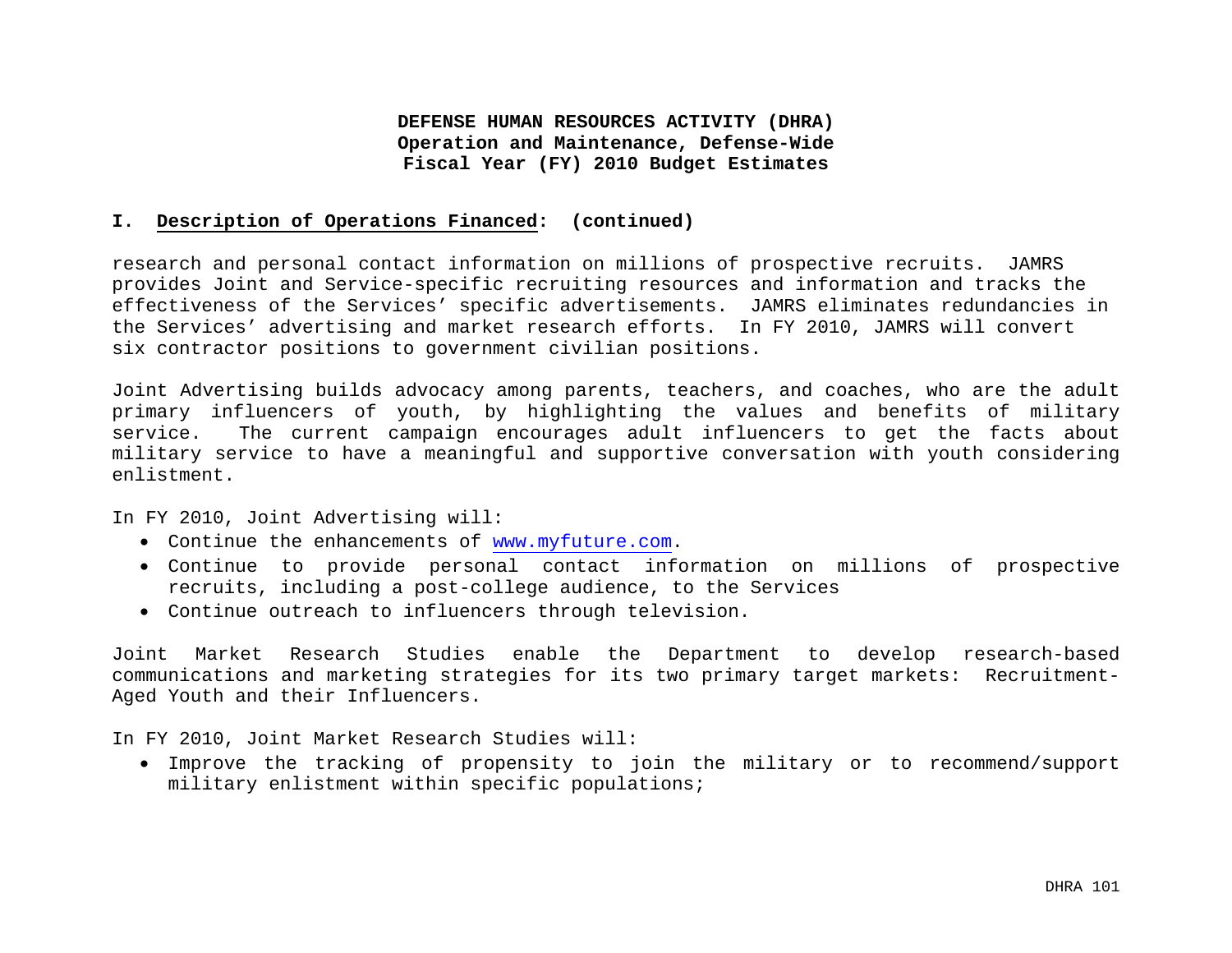## **I. Description of Operations Financed: (continued)**

research and personal contact information on millions of prospective recruits. JAMRS provides Joint and Service-specific recruiting resources and information and tracks the effectiveness of the Services' specific advertisements. JAMRS eliminates redundancies in the Services' advertising and market research efforts. In FY 2010, JAMRS will convert six contractor positions to government civilian positions.

Joint Advertising builds advocacy among parents, teachers, and coaches, who are the adult primary influencers of youth, by highlighting the values and benefits of military service. The current campaign encourages adult influencers to get the facts about military service to have a meaningful and supportive conversation with youth considering enlistment.

In FY 2010, Joint Advertising will:

- Continue the enhancements of [www.myfuture.com](http://www.myfuture.com/).
- Continue to provide personal contact information on millions of prospective recruits, including a post-college audience, to the Services
- Continue outreach to influencers through television.

Joint Market Research Studies enable the Department to develop research-based communications and marketing strategies for its two primary target markets: Recruitment-Aged Youth and their Influencers.

In FY 2010, Joint Market Research Studies will:

• Improve the tracking of propensity to join the military or to recommend/support military enlistment within specific populations;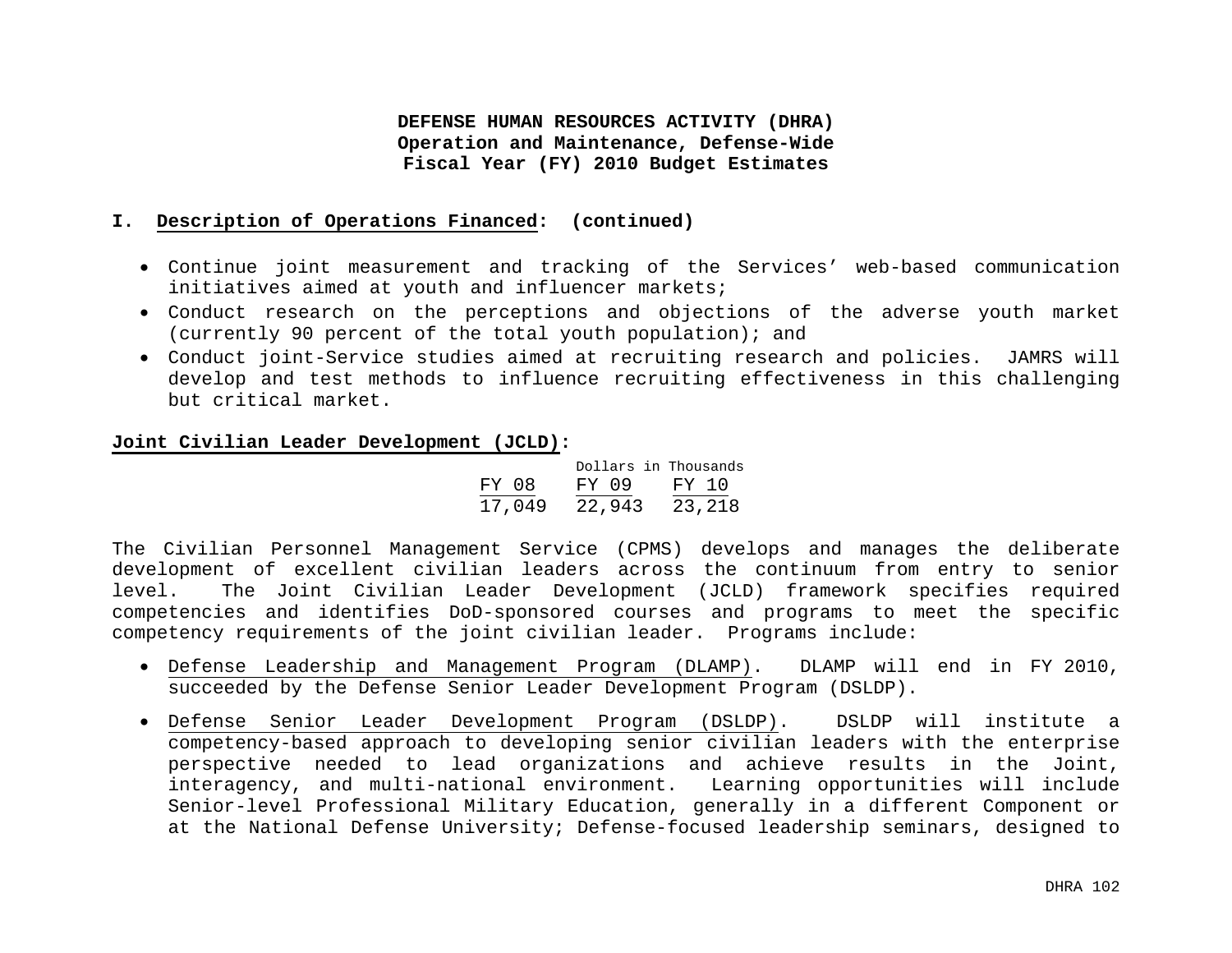## **I. D escription of Operations Financed: (continued)**

- Continue joint measurement and tracking of the Services' web-based communication initiatives aimed at youth and influencer markets;
- Conduct research on the perceptions and objections of the adverse youth market (currently 90 percent of the total youth population); and
- Conduct joint-Service studies aimed at recruiting research and policies. JAMRS will develop and test methods to influence recruiting effectiveness in this challenging but critical market.

#### **Joint Civilian Leader Development (JCLD):**

|        | Dollars in Thousands |        |
|--------|----------------------|--------|
| FY 08  | FY 09                | FY 10  |
| 17,049 | 22,943               | 23,218 |

The Civilian Personnel Management Service (CPMS) develops and manages the deliberate development of excellent civilian leaders across the continuum from entry to senior level. The Joint Civilian Leader Development (JCLD) framework specifies required competencies and identifies DoD-sponsored courses and programs to meet the specific competency requirements of the joint civilian leader. Programs include:

- Defense Leadership and Management Program (DLAMP). DLAMP will end in FY 2010, succeeded by the Defense Senior Leader Development Program (DSLDP).
- Defense Senior Leader Development Program (DSLDP). DSLDP will institute a competency-based approach to developing senior civilian leaders with the enterprise perspective needed to lead organizations and achieve results in the Joint, interagency, and multi-national environment. Learning opportunities will include Senior-level Professional Military Education, generally in a different Component or at the National Defense University; Defense-focused leadership seminars, designed to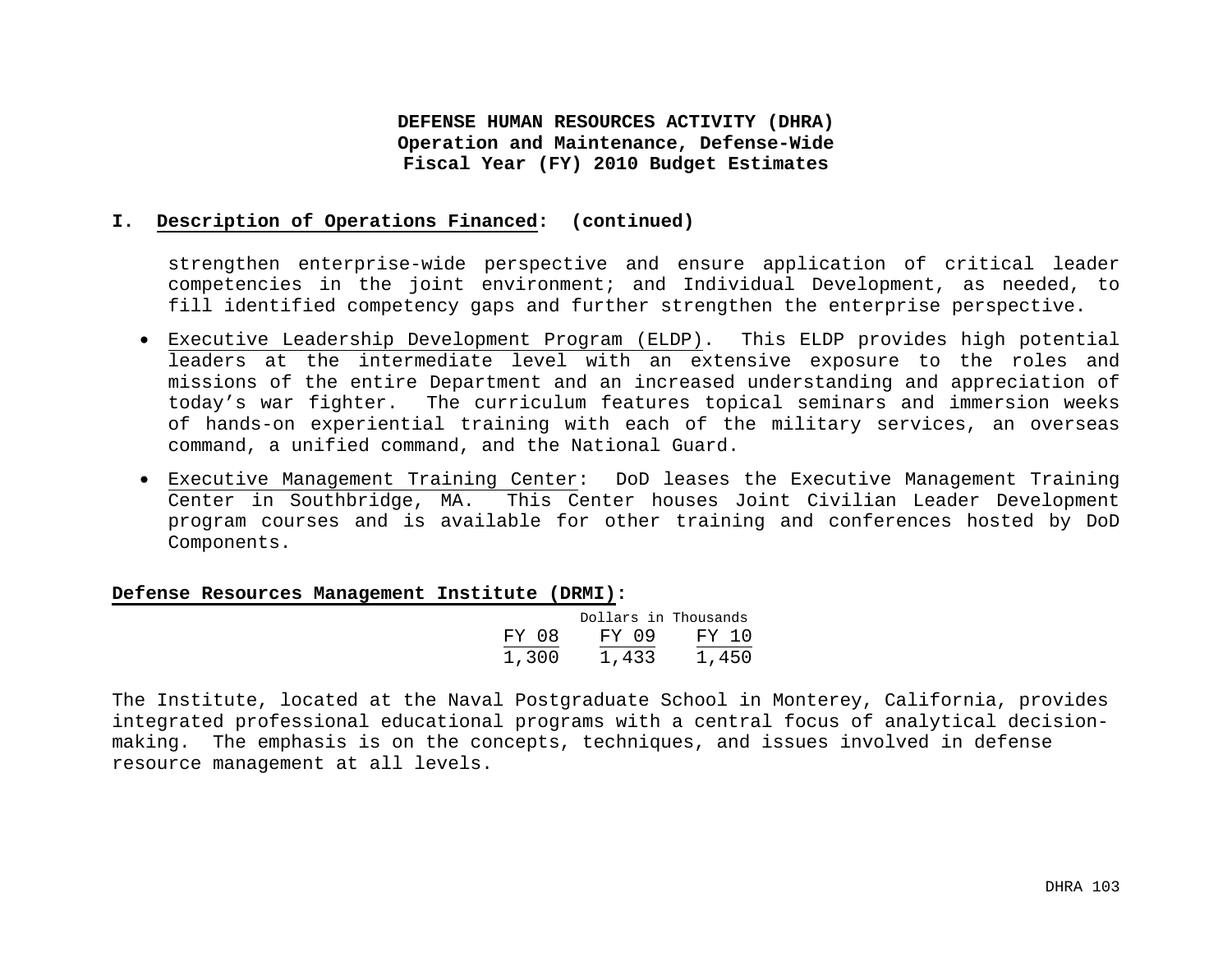## **I. Description of Operations Financed: (continued)**

strengthen enterprise-wide perspective and ensure application of critical leader competencies in the joint environment; and Individual Development, as needed, to fill identified competency gaps and further strengthen the enterprise perspective.

- Executive Leadership Development Program (ELDP). This ELDP provides high potential leaders at the intermediate level with an extensive exposure to the roles and missions of the entire Department and an increased understanding and appreciation of today's war fighter. The curriculum features topical seminars and immersion weeks of hands-on experiential training with each of the military services, an overseas command, a unified command, and the National Guard.
- Executive Management Training Center: DoD leases the Executive Management Training Center in Southbridge, MA. This Center houses Joint Civilian Leader Development program courses and is available for other training and conferences hosted by DoD Components.

#### **Defense Resources Management Institute (DRMI):**

|       | Dollars in Thousands |       |
|-------|----------------------|-------|
| FY 08 | FY 09                | FY 10 |
| 1,300 | 1,433                | 1,450 |

The Institute, located at the Naval Postgraduate School in Monterey, California, provides integrated professional educational programs with a central focus of analytical decisionmaking. The emphasis is on the concepts, techniques, and issues involved in defense resource management at all levels.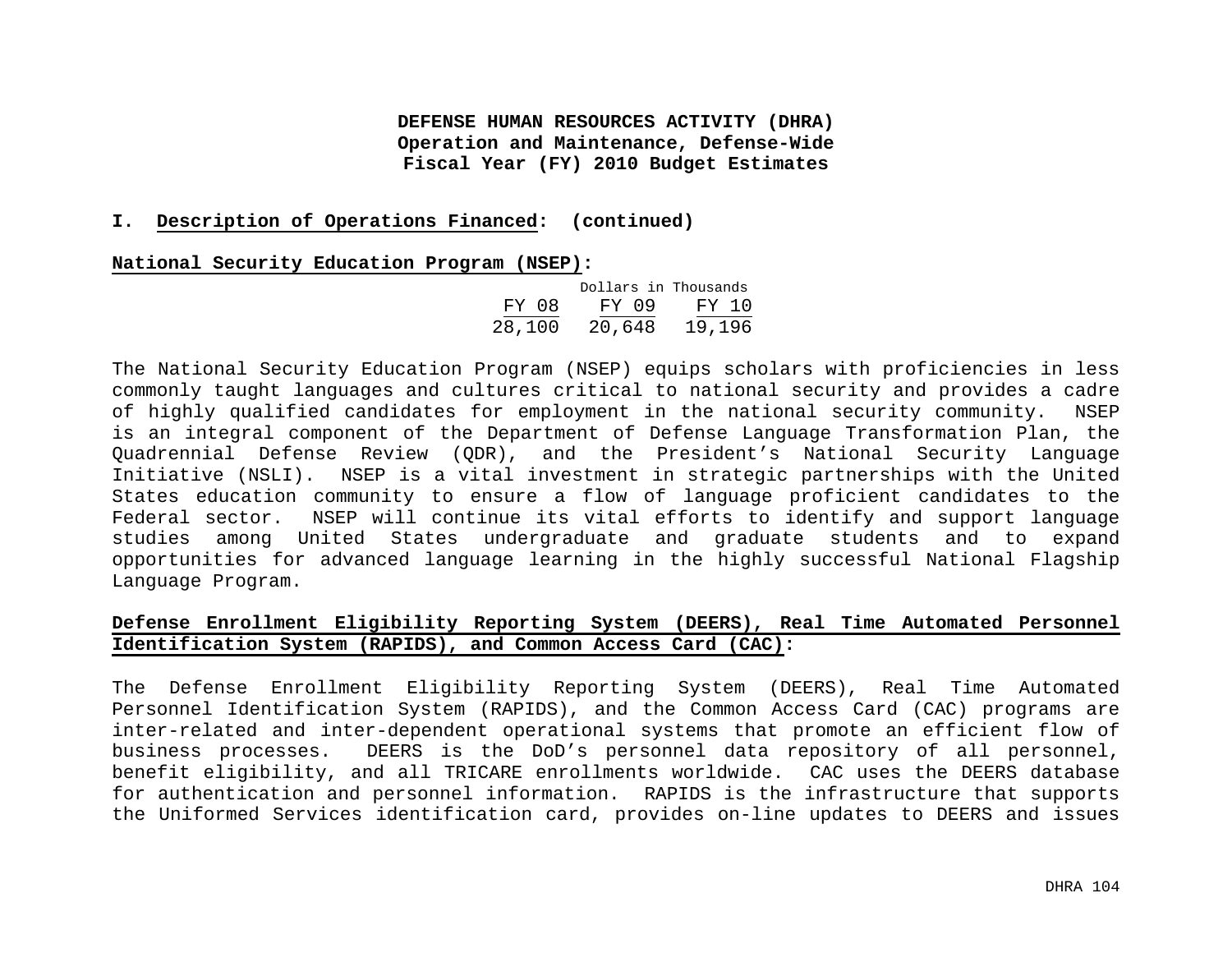#### **I. Description of Operations Financed: (continued)**

**National Security Education Program (NSEP):** 

|        | Dollars in Thousands |        |
|--------|----------------------|--------|
| FY 08  | FY 09                | FY 10  |
| 28,100 | 20,648               | 19,196 |

The National Security Education Program (NSEP) equips scholars with proficiencies in less commonly taught languages and cultures critical to national security and provides a cadre of highly qualified candidates for employment in the national security community. NSEP is an integral component of the Department of Defense Language Transformation Plan, the Quadrennial Defense Review (QDR), and the President's National Security Language Initiative (NSLI). NSEP is a vital investment in strategic partnerships with the United States education community to ensure a flow of language proficient candidates to the Federal sector. NSEP will continue its vital efforts to identify and support language studies among United States undergraduate and graduate students and to expand opportunities for advanced language learning in the highly successful National Flagship Language Program.

## **Defense Enrollment Eligibility Reporting System (DEERS), Real Time Automated Personnel Identification System (RAPIDS), and Common Access Card (CAC):**

The Defense Enrollment Eligibility Reporting System (DEERS), Real Time Automated Personnel Identification System (RAPIDS), and the Common Access Card (CAC) programs are inter-related and inter-dependent operational systems that promote an efficient flow of business processes. DEERS is the DoD's personnel data repository of all personnel, benefit eligibility, and all TRICARE enrollments worldwide. CAC uses the DEERS database for authentication and personnel information. RAPIDS is the infrastructure that supports the Uniformed Services identification card, provides on-line updates to DEERS and issues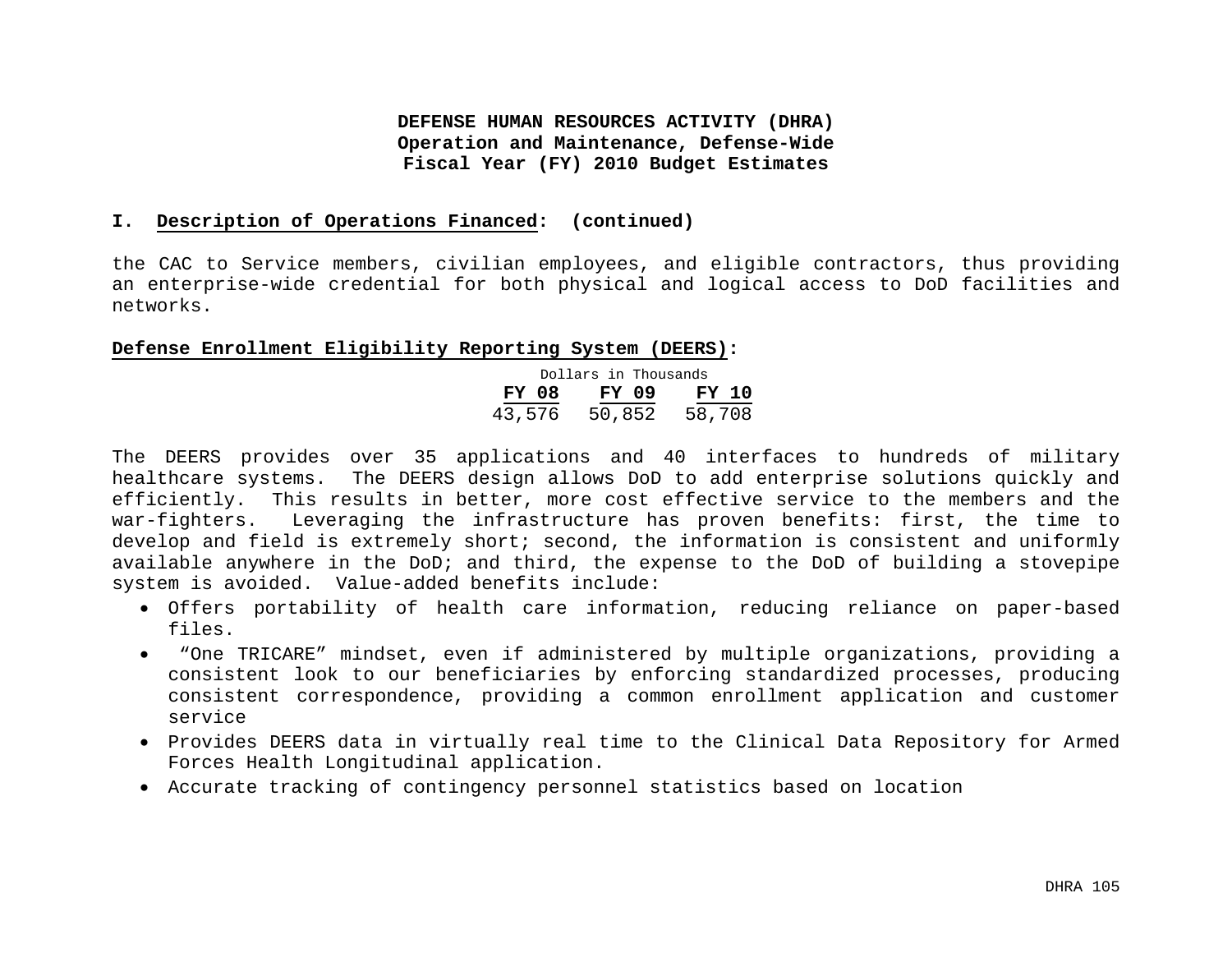## **I. Description of Operations Financed: (continued)**

the CAC to Service members, civilian employees, and eligible contractors, thus providing an enterprise-wide credential for both physical and logical access to DoD facilities and networks.

#### **Defense Enrollment Eligibility Reporting System (DEERS):**

Dollars in Thousands **FY 08 FY 09 FY 10** 43,576 50,852 58,708

The DEERS provides over 35 applications and 40 interfaces to hundreds of military healthcare systems. The DEERS design allows DoD to add enterprise solutions quickly and efficiently. This results in better, more cost effective service to the members and the war-fighters. Leveraging the infrastructure has proven benefits: first, the time to develop and field is extremely short; second, the information is consistent and uniformly available anywhere in the DoD; and third, the expense to the DoD of building a stovepipe system is avoided. Value-added benefits include:

- Offers portability of health care information, reducing reliance on paper-based files.
- "One TRICARE" mindset, even if administered by multiple organizations, providing a consistent look to our beneficiaries by enforcing standardized processes, producing consistent correspondence, providing a common enrollment application and customer service
- Provides DEERS data in virtually real time to the Clinical Data Repository for Armed Forces Health Longitudinal application.
- Accurate tracking of contingency personnel statistics based on location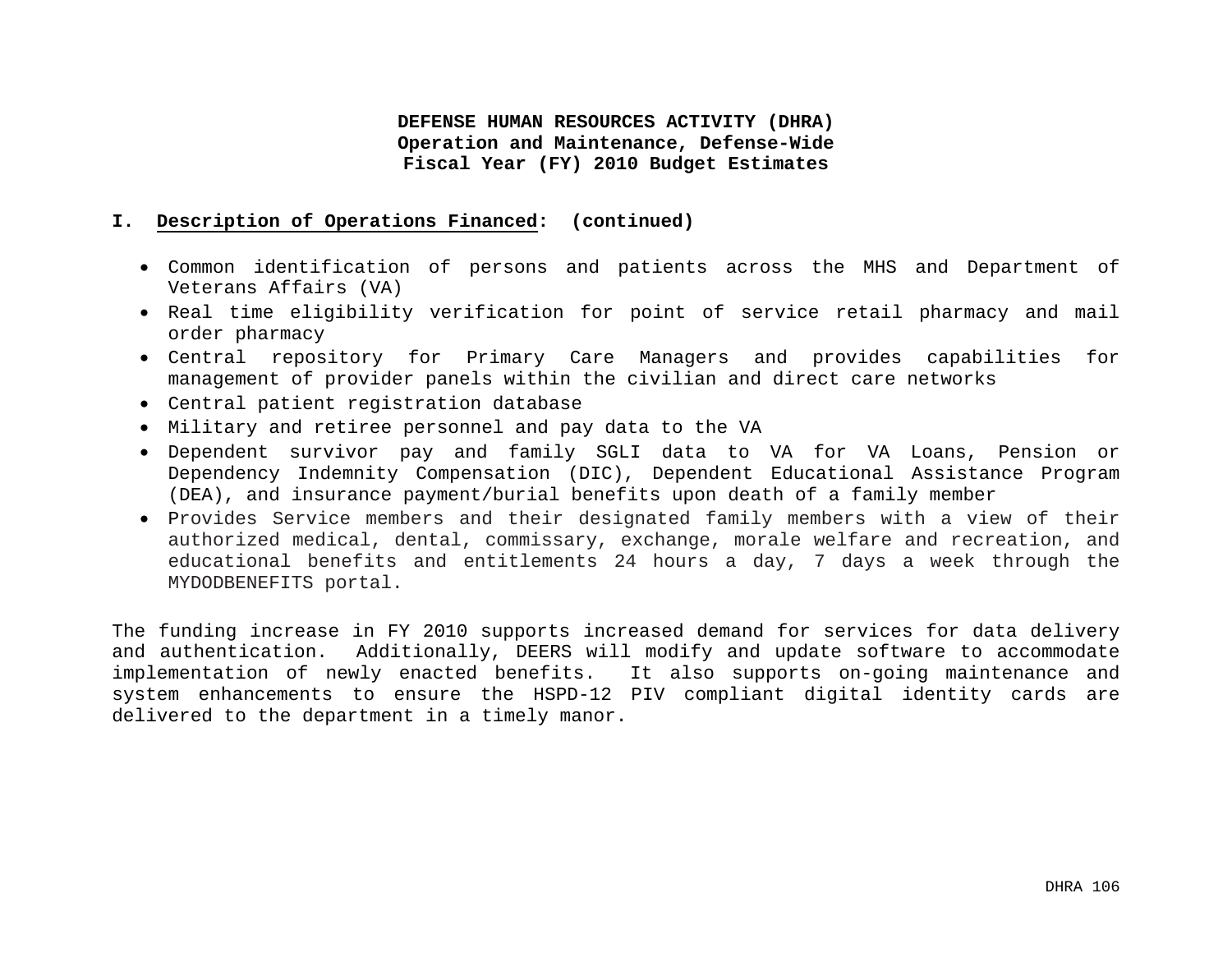## **I. D escription of Operations Financed: (continued)**

- Common identification of persons and patients across the MHS and Department of Veterans Affairs (VA)
- Real time eligibility verification for point of service retail pharmacy and mail order pharmacy
- Central repository for Primary Care Managers and provides capabilities for management of provider panels within the civilian and direct care networks
- Central patient registration database
- Military and retiree personnel and pay data to the VA
- Dependent survivor pay and family SGLI data to VA for VA Loans, Pension or Dependency Indemnity Compensation (DIC), Dependent Educational Assistance Program (DEA), and insurance payment/burial benefits upon death of a family member
- Provides Service members and their designated family members with a view of their authorized medical, dental, commissary, exchange, morale welfare and recreation, and educational benefits and entitlements 24 hours a day, 7 days a week through the MYDODBENEFITS portal.

The funding increase in FY 2010 supports increased demand for services for data delivery and authentication. Additionally, DEERS will modify and update software to accommodate implementation of newly enacted benefits. It also supports on-going maintenance and system enhancements to ensure the HSPD-12 PIV compliant digital identity cards are delivered to the department in a timely manor.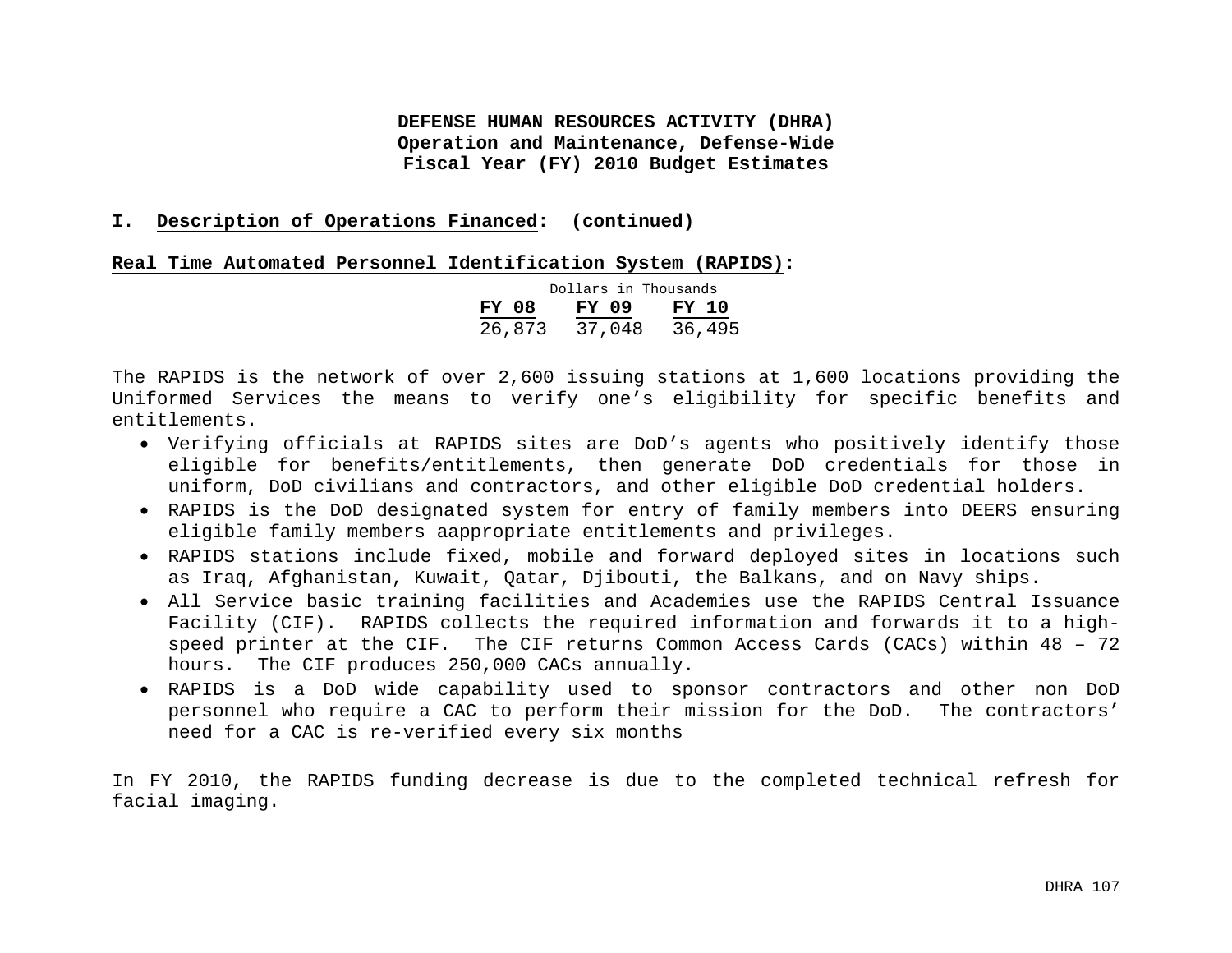## **I. Description of Operations Financed: (continued)**

**Real Time Automated Personnel Identification System (RAPIDS):** 

|              |        |        | Dollars in Thousands |        |
|--------------|--------|--------|----------------------|--------|
| <b>FY 08</b> |        | FY 09  | FY 10                |        |
|              | 26,873 | 37,048 |                      | 36,495 |

The RAPIDS is the network of over 2,600 issuing stations at 1,600 locations providing the Uniformed Services the means to verify one's eligibility for specific benefits and entitlements.

- Verifying officials at RAPIDS sites are DoD's agents who positively identify those eligible for benefits/entitlements, then generate DoD credentials for those in uniform, DoD civilians and contractors, and other eligible DoD credential holders.
- RAPIDS is the DoD designated system for entry of family members into DEERS ensuring eligible family members aappropriate entitlements and privileges.
- RAPIDS stations include fixed, mobile and forward deployed sites in locations such as Iraq, Afghanistan, Kuwait, Qatar, Djibouti, the Balkans, and on Navy ships.
- All Service basic training facilities and Academies use the RAPIDS Central Issuance Facility (CIF). RAPIDS collects the required information and forwards it to a highspeed printer at the CIF. The CIF returns Common Access Cards (CACs) within 48 – 72 hours. The CIF produces 250,000 CACs annually.
- RAPIDS is a DoD wide capability used to sponsor contractors and other non DoD personnel who require a CAC to perform their mission for the DoD. The contractors' need for a CAC is re-verified every six months

In FY 2010, the RAPIDS funding decrease is due to the completed technical refresh for facial imaging.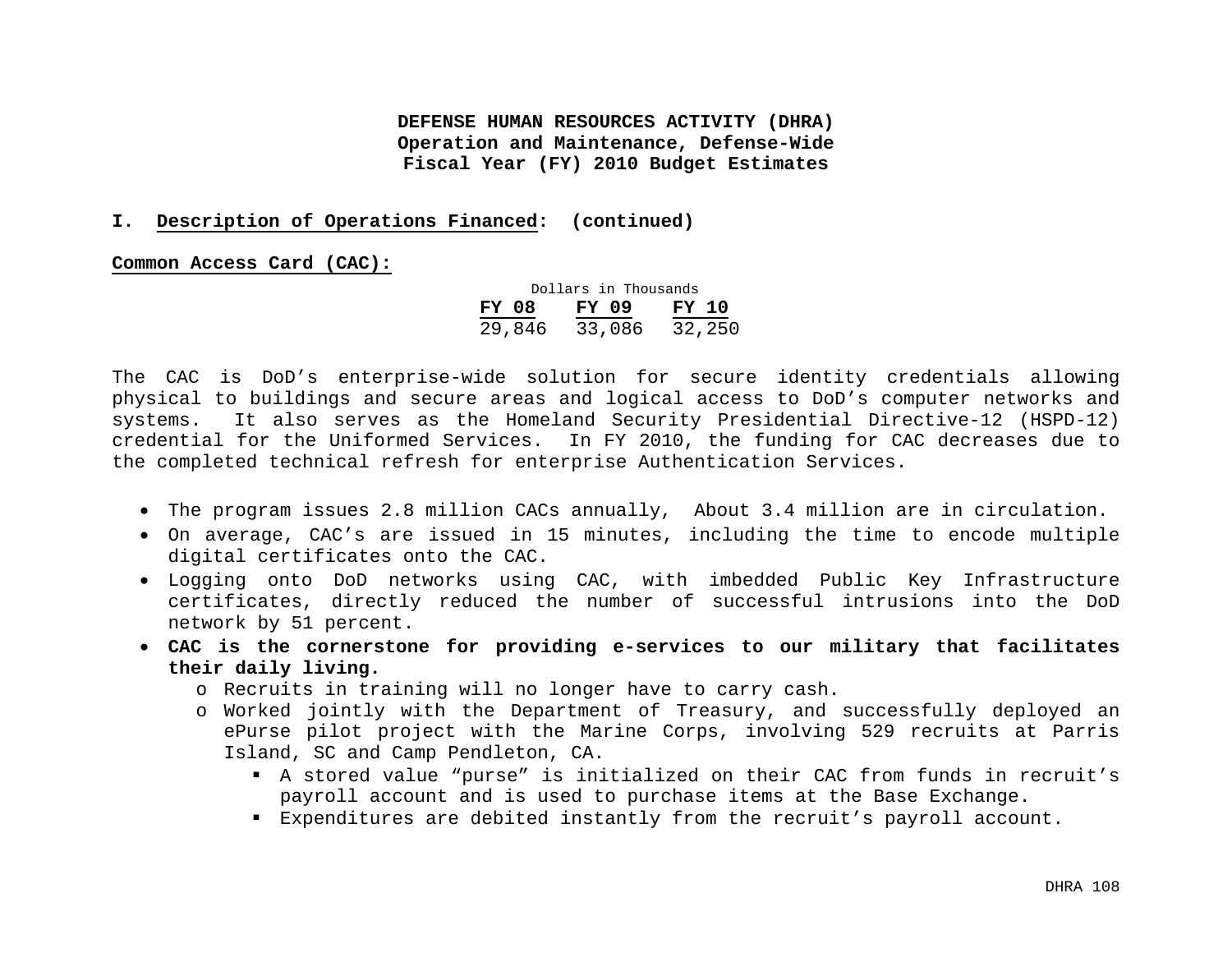#### **I. Description of Operations Financed: (continued)**

**Common Access Card (CAC):**

|        | Dollars in Thousands |        |              |        |
|--------|----------------------|--------|--------------|--------|
| FY 08  | <b>FY 09</b>         |        | <b>FY 10</b> |        |
| 29,846 |                      | 33,086 |              | 32,250 |

The CAC is DoD's enterprise-wide solution for secure identity credentials allowing physical to buildings and secure areas and logical access to DoD's computer networks and systems. It also serves as the Homeland Security Presidential Directive-12 (HSPD-12) credential for the Uniformed Services. In FY 2010, the funding for CAC decreases due to the completed technical refresh for enterprise Authentication Services.

- The program issues 2.8 million CACs annually, About 3.4 million are in circulation.
- On average, CAC's are issued in 15 minutes, including the time to encode multiple digital certificates onto the CAC.
- Logging onto DoD networks using CAC, with imbedded Public Key Infrastructure certificates, directly reduced the number of successful intrusions into the DoD network by 51 percent.
- **CAC is the cornerstone for providing e-services to our military that facilitates their daily living.**
	- o Recruits in training will no longer have to carry cash.
	- o Worked jointly with the Department of Treasury, and successfully deployed an ePurse pilot project with the Marine Corps, involving 529 recruits at Parris Island, SC and Camp Pendleton, CA.
		- A stored value "purse" is initialized on their CAC from funds in recruit's payroll account and is used to purchase items at the Base Exchange.
		- Expenditures are debited instantly from the recruit's payroll account.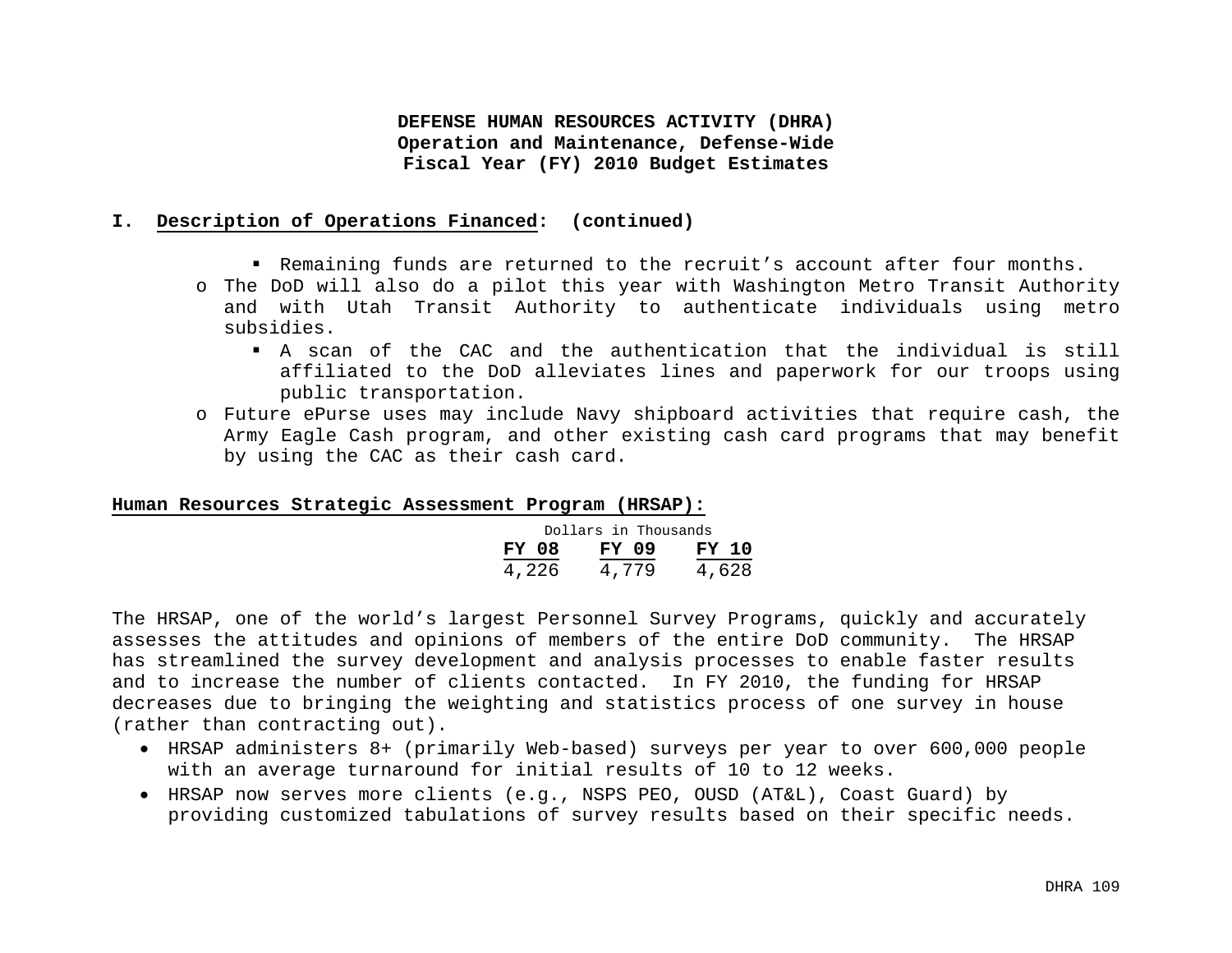#### **I. Descript <sup>n</sup> io of Operations Financed: (continued)**

- Remaining funds are returned to the recruit's account after four months.
- o The DoD will also do a pilot this year with Washington Metro Transit Authority and with Utah Transit Authority to authenticate individuals using metro subsidies.
	- A scan of the CAC and the authentication that the individual is still affiliated to the DoD alleviates lines and paperwork for our troops using public transportation.
- o Future ePurse uses may include Navy shipboard activities that require cash, the Army Eagle Cash program, and other existing cash card programs that may benefit by using the CAC as their cash card.

#### **Human Resources Strategic Assessment Program (HRSAP):**

|       |  |       | Dollars in Thousands |  |
|-------|--|-------|----------------------|--|
| FY 08 |  | FY 09 | FY 10                |  |
| 4,226 |  | 4,779 | 4,628                |  |

The HRSAP, one of the world's largest Personnel Survey Programs, quickly and accurately assesses the attitudes and opinions of members of the entire DoD community. The HRSAP has streamlined the survey development and analysis processes to enable faster results and to increase the number of clients contacted. In FY 2010, the funding for HRSAP decreases due to bringing the weighting and statistics process of one survey in house (rather than contracting out).

- HRSAP administers 8+ (primarily Web-based) surveys per year to over 600,000 people with an average turnaround for initial results of 10 to 12 weeks.
- HRSAP now serves more clients (e.g., NSPS PEO, OUSD (AT&L), Coast Guard) by providing customized tabulations of survey results based on their specific needs.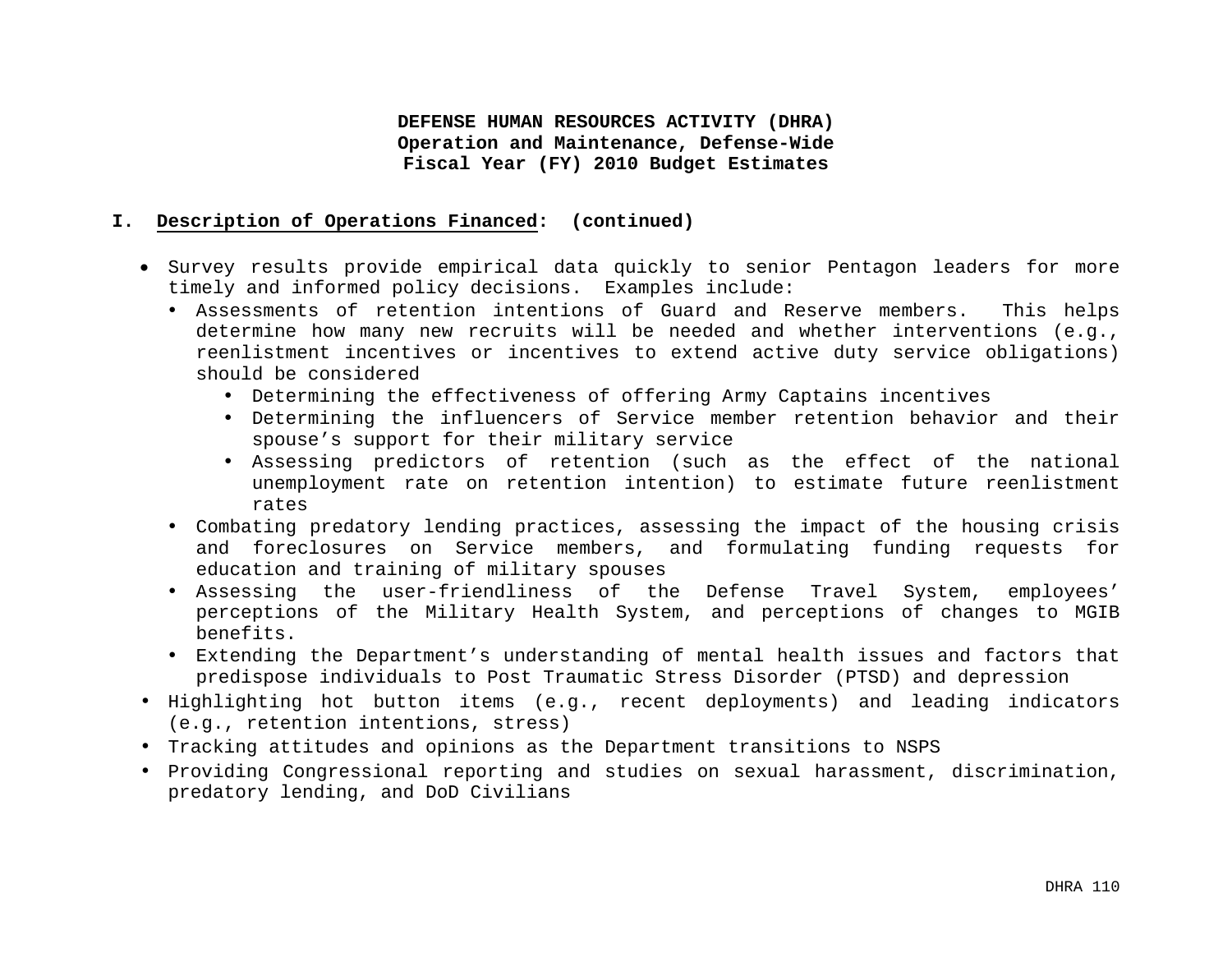## **I. D escription of Operations Financed: (continued)**

- Survey results provide empirical data quickly to senior Pentagon leaders for more timely and informed policy decisions. Examples include:
	- $\bullet$  Assessments of retention intentions of Guard and Reserve members. This helps determine how many new recruits will be needed and whether interventions (e.g., reenlistment incentives or incentives to extend active duty service obligations) should be considered
		- Determining the effectiveness of offering Army Captains incentives
		- Determining the influencers of Service member retention behavior and their spouse's support for their military service
		- y Assessing predictors of retention (such as the effect of the national unemployment rate on retention intention) to estimate future reenlistment rates
	- Combating predatory lending practices, assessing the impact of the housing crisis and foreclosures on Service members, and formulating funding requests for education and training of military spouses
	- y Assessing the user-friendliness of the Defense Travel System, employees' perceptions of the Military Health System, and perceptions of changes to MGIB benefits.
	- y Extending the Department's understanding of mental health issues and factors that predispose individuals to Post Traumatic Stress Disorder (PTSD) and depression
- Highlighting hot button items (e.g., recent deployments) and leading indicators (e.g., retention intentions, stress)
- Tracking attitudes and opinions as the Department transitions to NSPS
- Providing Congressional reporting and studies on sexual harassment, discrimination, predatory lending, and DoD Civilians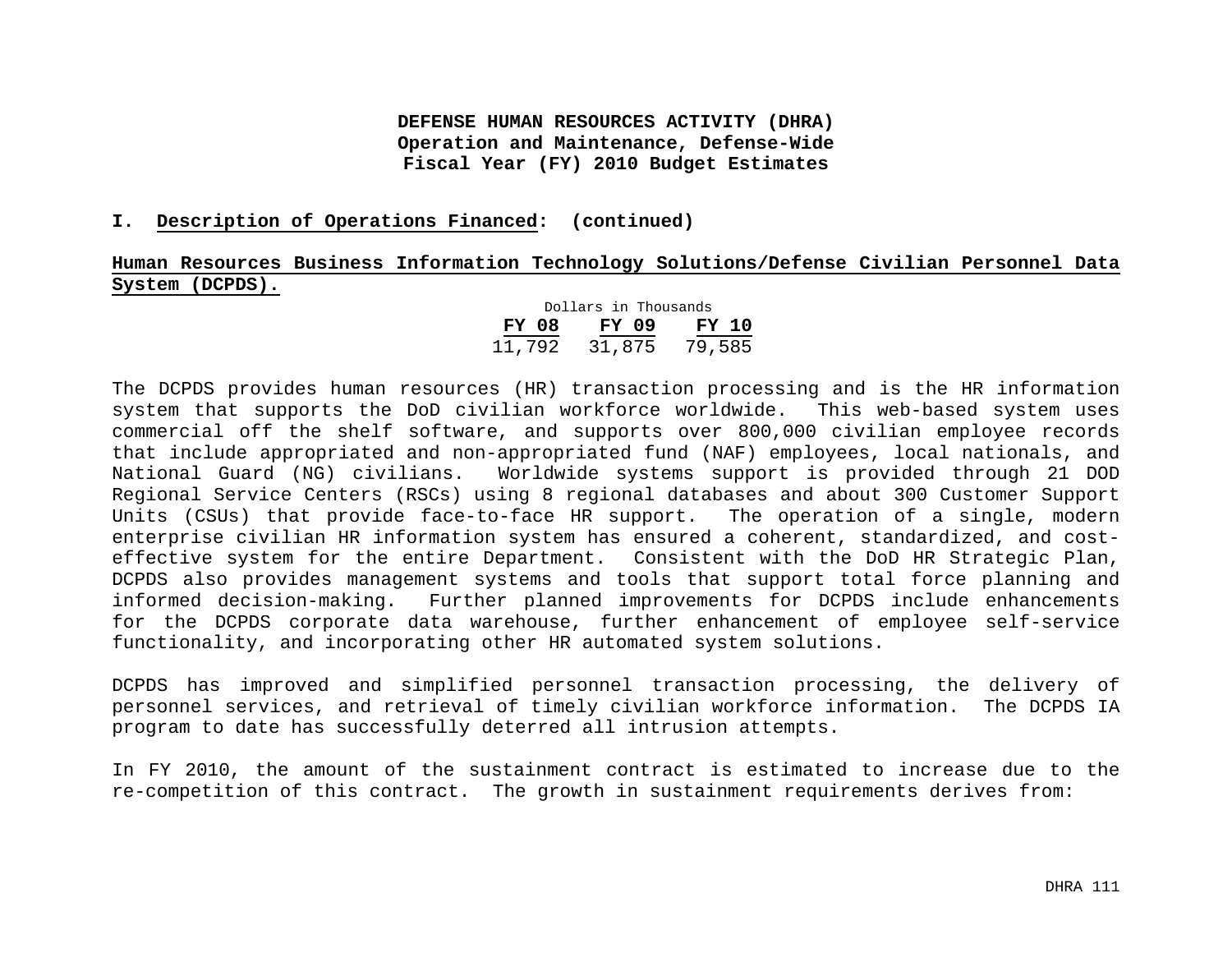#### **I. Description of Operations Financed: (continued)**

# **Human Resources Business Information Technology Solutions/Defense Civilian Personnel Data System (DCPDS).**

|              |  |              | Dollars in Thousands |       |  |
|--------------|--|--------------|----------------------|-------|--|
| <b>FY 08</b> |  | <b>FY 09</b> |                      | FY 10 |  |
| 11,792       |  | 31,875       | 79,585               |       |  |

The DCPDS provides human resources (HR) transaction processing and is the HR information system that supports the DoD civilian workforce worldwide. This web-based system uses commercial off the shelf software, and supports over 800,000 civilian employee records that include appropriated and non-appropriated fund (NAF) employees, local nationals, and National Guard (NG) civilians. Worldwide systems support is provided through 21 DOD Regional Service Centers (RSCs) using 8 regional databases and about 300 Customer Support Units (CSUs) that provide face-to-face HR support. The operation of a single, modern enterprise civilian HR information system has ensured a coherent, standardized, and costeffective system for the entire Department. Consistent with the DoD HR Strategic Plan, DCPDS also provides management systems and tools that support total force planning and informed decision-making. Further planned improvements for DCPDS include enhancements for the DCPDS corporate data warehouse, further enhancement of employee self-service functionality, and incorporating other HR automated system solutions.

DCPDS has improved and simplified personnel transaction processing, the delivery of personnel services, and retrieval of timely civilian workforce information. The DCPDS IA program to date has successfully deterred all intrusion attempts.

In FY 2010, the amount of the sustainment contract is estimated to increase due to the re-competition of this contract. The growth in sustainment requirements derives from: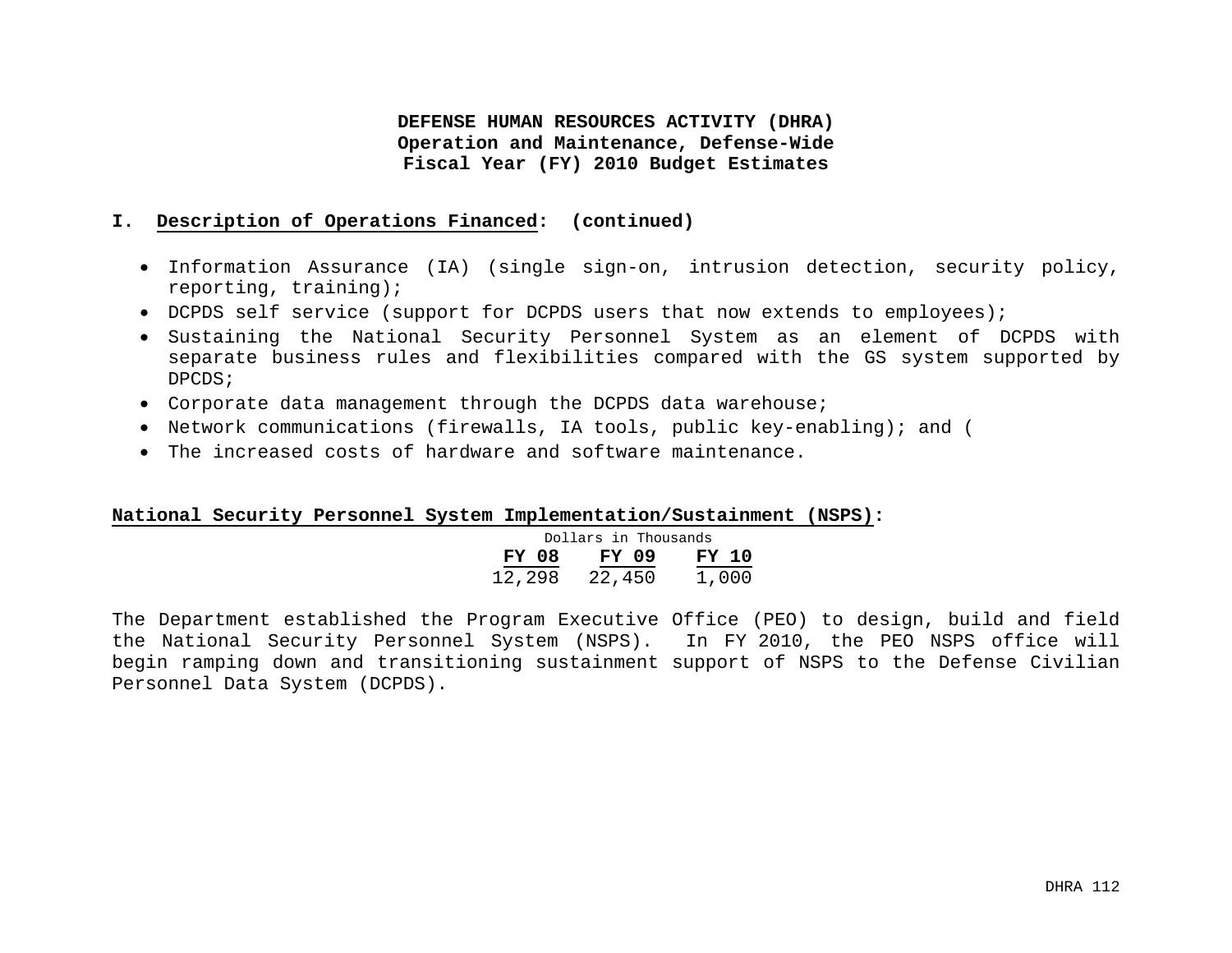## **I. D escription of Operations Financed: (continued)**

- Information Assurance (IA) (single sign-on, intrusion detection, security policy, reporting, training);
- DCPDS self service (support for DCPDS users that now extends to employees);
- Sustaining the National Security Personnel System as an element of DCPDS with separate business rules and flexibilities compared with the GS system supported by DPCDS;
- Corporate data management through the DCPDS data warehouse;
- Network communications (firewalls, IA tools, public key-enabling); and (
- The increased costs of hardware and software maintenance.

#### **National Security Personnel System Implementation/Sustainment (NSPS):**

|              | Dollars in Thousands |        |       |
|--------------|----------------------|--------|-------|
| <b>FY 08</b> |                      | FY 09  | FY 10 |
| 12,298       |                      | 22,450 | 1,000 |

The Department established the Program Executive Office (PEO) to design, build and field the National Security Personnel System (NSPS). In FY 2010, the PEO NSPS office will begin ramping down and transitioning sustainment support of NSPS to the Defense Civilian Personnel Data System (DCPDS).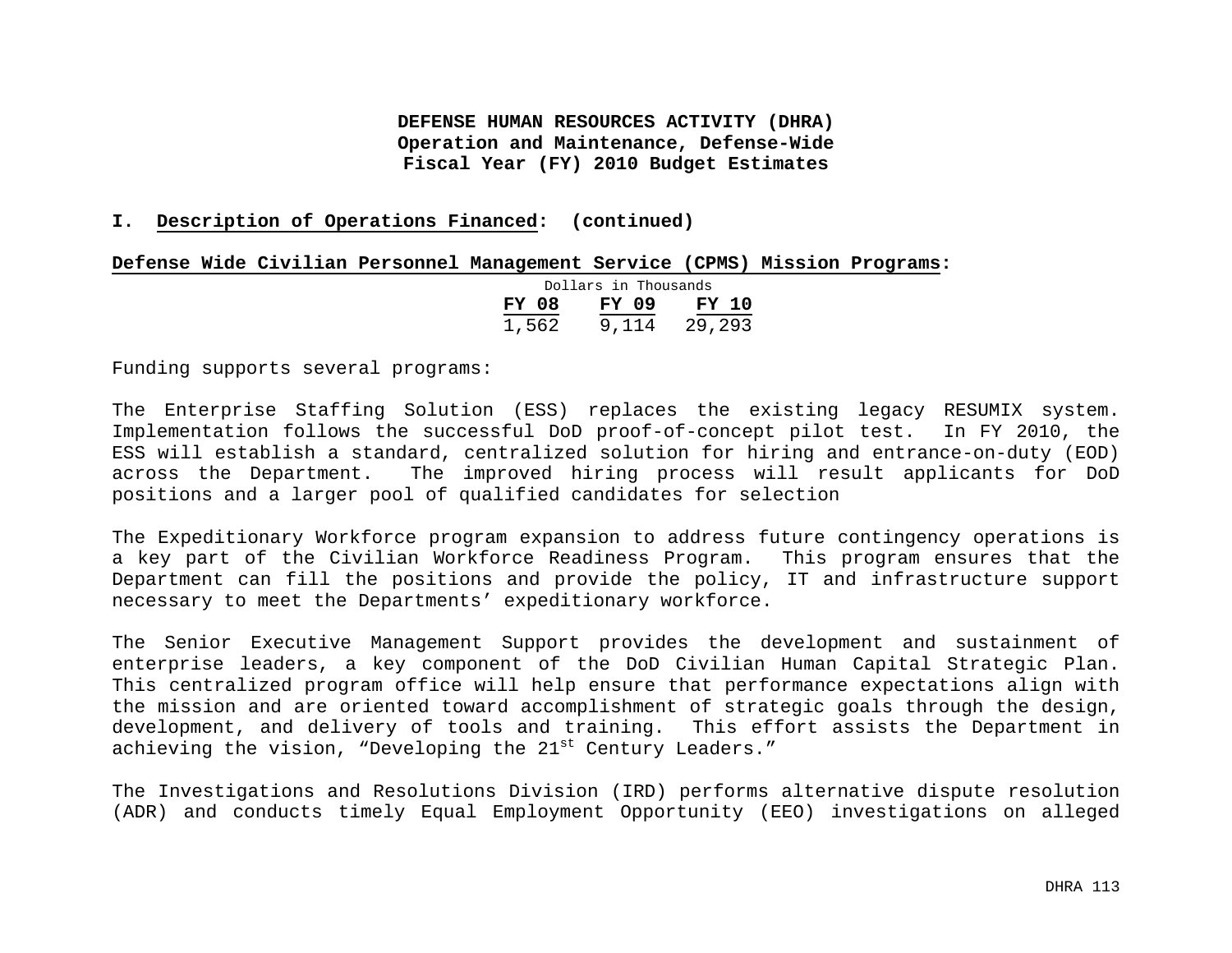#### **I. Description of Operations Financed: (continued)**

**Defense Wide Civilian Personnel Management Service (CPMS) Mission Program s:** 

|       |  |       | Dollars in Thousands |  |
|-------|--|-------|----------------------|--|
| FY 08 |  | FY 09 | FY 10                |  |
| 1,562 |  | 9,114 | 29,293               |  |

Funding supports several programs:

The Enterprise Staffing Solution (ESS) replaces the existing legacy RESUMIX system. Implementation follows the successful DoD proof-of-concept pilot test. In FY 2010, the ESS will establish a standard, centralized solution for hiring and entrance-on-duty (EOD) across the Department. The improved hiring process will result applicants for DoD positions and a larger pool of qualified candidates for selection

The Expeditionary Workforce program expansion to address future contingency operations is a key part of the Civilian Workforce Readiness Program. This program ensures that the Department can fill the positions and provide the policy, IT and infrastructure support necessary to meet the Departments' expeditionary workforce.

The Senior Executive Management Support provides the development and sustainment of enterprise leaders, a key component of the DoD Civilian Human Capital Strategic Plan. This centralized program office will help ensure that performance expectations align with the mission and are oriented toward accomplishment of strategic goals through the design, development, and delivery of tools and training. This effort assists the Department in achieving the vision, "Developing the  $21^{st}$  Century Leaders."

The Investigations and Resolutions Division (IRD) performs alternative dispute resolution (ADR) and conducts timely Equal Employment Opportunity (EEO) investigations on alleged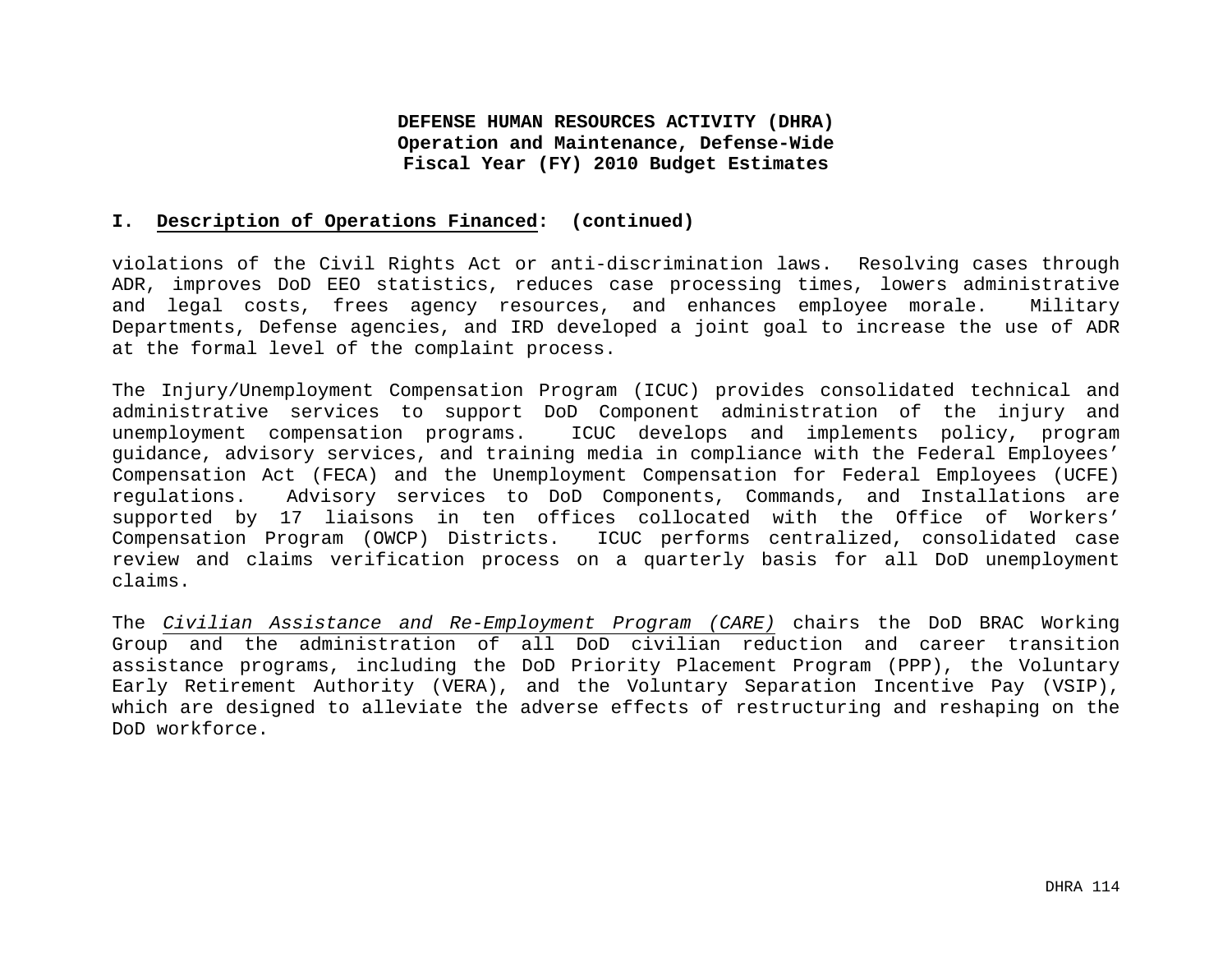## **I. Description of Operations Financed: (continued)**

violations of the Civil Rights Act or anti-discrimination laws. Resolving cases through ADR, improves DoD EEO statistics, reduces case processing times, lowers administrative and legal costs, frees agency resources, and enhances employee morale. Military Departments, Defense agencies, and IRD developed a joint goal to increase the use of ADR at the formal level of the complaint process.

The Injury/Unemployment Compensation Program (ICUC) provides consolidated technical and administrative services to support DoD Component administration of the injury and unemployment compensation programs. ICUC develops and implements policy, program guidance, advisory services, and training media in compliance with the Federal Employees' Compensation Act (FECA) and the Unemployment Compensation for Federal Employees (UCFE) regulations. Advisory services to DoD Components, Commands, and Installations are supported by 17 liaisons in ten offices collocated with the Office of Workers' Compensation Program (OWCP) Districts. ICUC performs centralized, consolidated case review and claims verification process on a quarterly basis for all DoD unemployment claims.

The *Civilian Assistance and Re-Employment Program (CARE)* chairs the DoD BRAC Working Group and the administration of all DoD civilian reduction and career transition assistance programs, including the DoD Priority Placement Program (PPP), the Voluntary Early Retirement Authority (VERA), and the Voluntary Separation Incentive Pay (VSIP), which are designed to alleviate the adverse effects of restructuring and reshaping on the DoD workforce.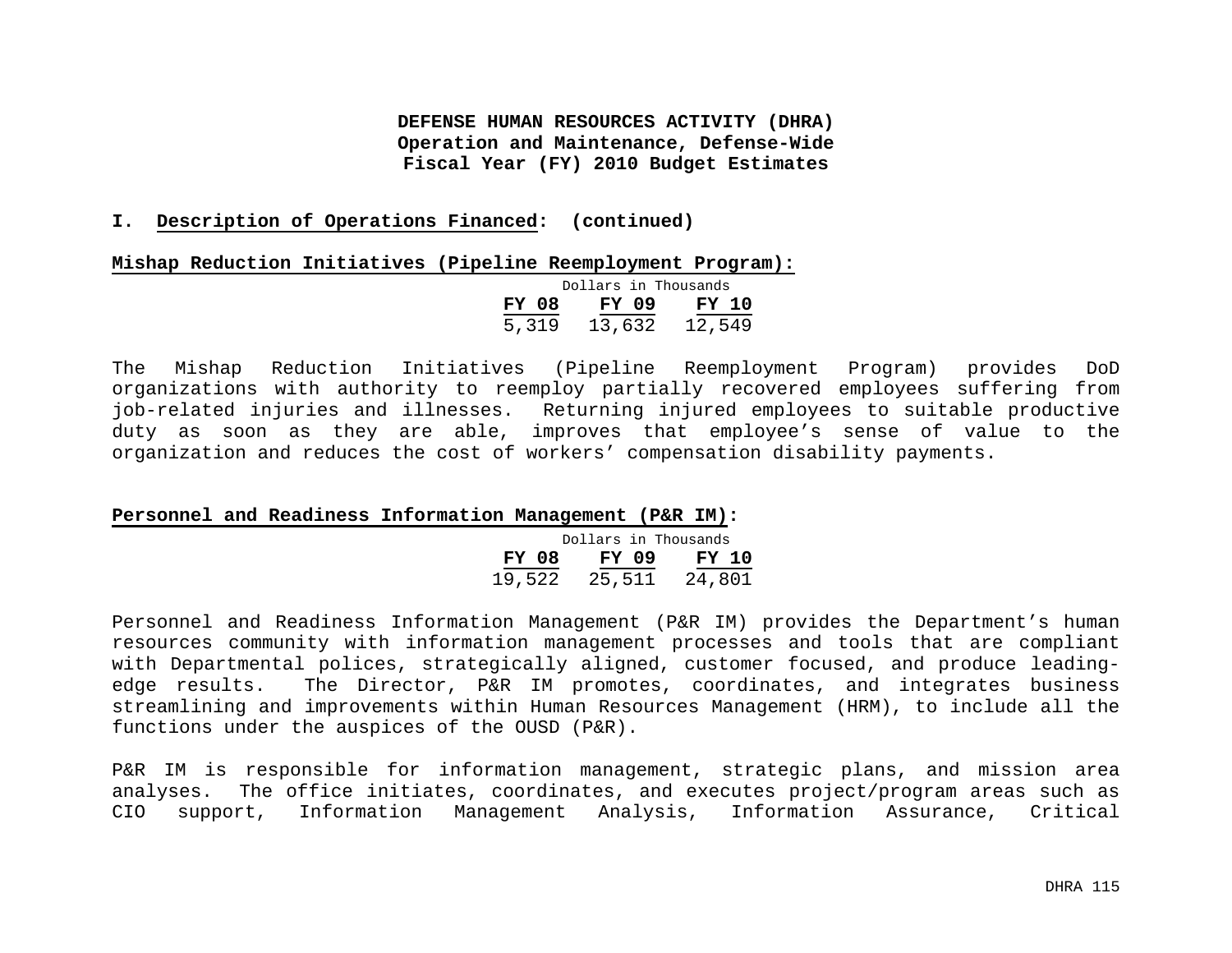## **I. Description of Operations Financed: (continued)**

#### **Mishap Reduction Initiatives (Pipeline Reemployment Program):**

|       | Dollars in Thousands |        |
|-------|----------------------|--------|
| FY 08 | <b>FY 09</b>         | FY 10  |
| 5,319 | 13,632               | 12,549 |

The Mishap Reduction Initiatives (Pipeline Reemployment Program) provides DoD organizations with authority to reemploy partially recovered employees suffering from job-related injuries and illnesses. Returning injured employees to suitable productive duty as soon as they are able, improves that employee's sense of value to the organization and reduces the cost of workers' compensation disability payments.

#### **Personnel and Readiness Information Management (P&R IM):**

|        |        |              | Dollars in Thousands |
|--------|--------|--------------|----------------------|
| FY 08  |        | <b>FY 09</b> | FY 10                |
| 19,522 | 25,511 |              | 24,801               |

Personnel and Readiness Information Management (P&R IM) provides the Department's human resources community with information management processes and tools that are compliant with Departmental polices, strategically aligned, customer focused, and produce leadingedge results. The Director, P&R IM promotes, coordinates, and integrates business streamlining and improvements within Human Resources Management (HRM), to include all the functions under the auspices of the OUSD (P&R).

P&R IM is responsible for information management, strategic plans, and mission area analyses. The office initiates, coordinates, and executes project/program areas such as CIO support, Information Management Analysis, Information Assurance, Critical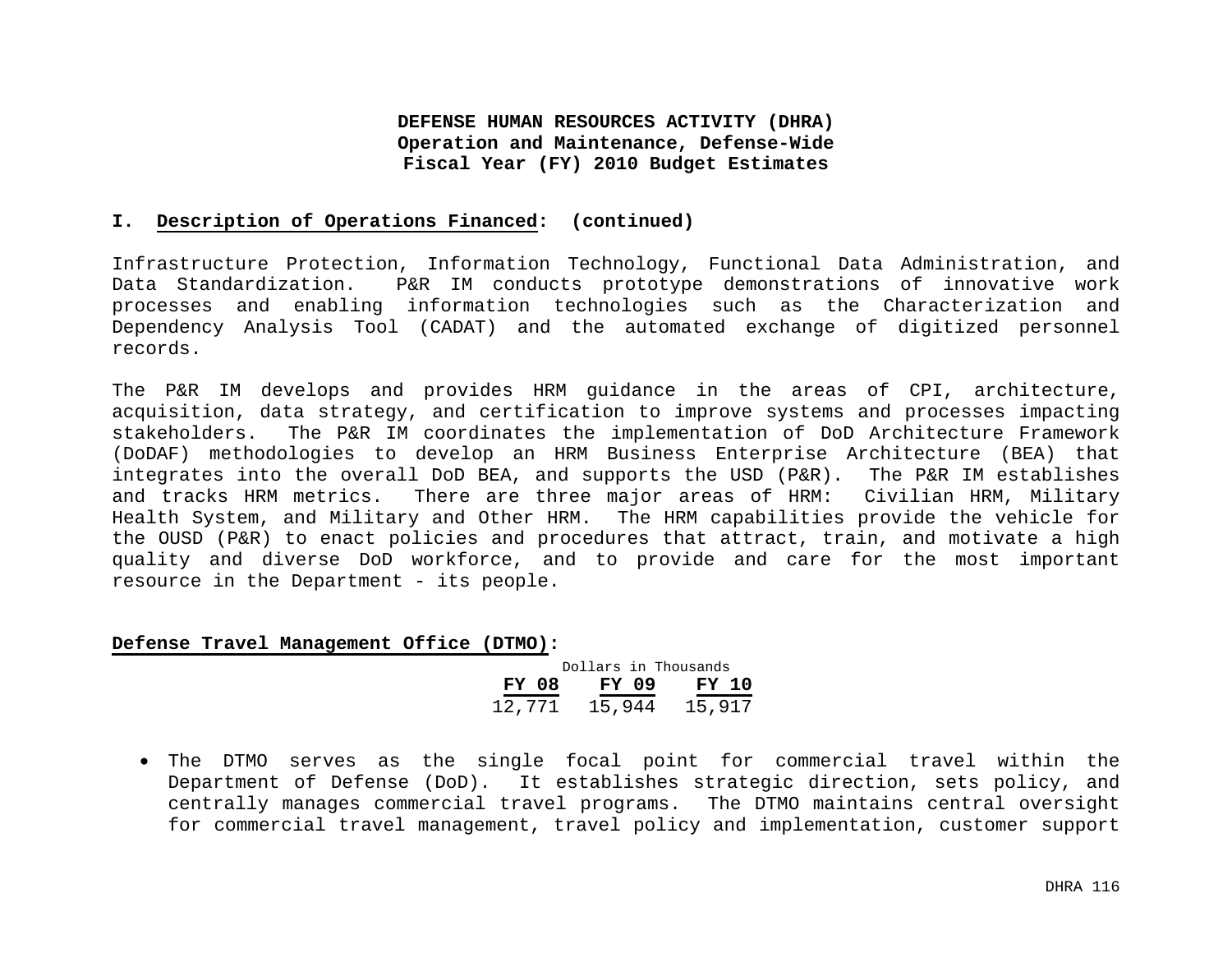## **I. Description of Operations Financed: (continued)**

Infrastructure Protection, Information Technology, Functional Data Administration, and Data Standardization. P&R IM conducts prototype demonstrations of innovative work processes and enabling information technologies such as the Characterization and Dependency Analysis Tool (CADAT) and the automated exchange of digitized personnel records.

The P&R IM develops and provides HRM guidance in the areas of CPI, architecture, acquisition, data strategy, and certification to improve systems and processes impacting stakeholders. The P&R IM coordinates the implementation of DoD Architecture Framework (DoDAF) methodologies to develop an HRM Business Enterprise Architecture (BEA) that integrates into the overall DoD BEA, and supports the USD (P&R). The P&R IM establishes and tracks HRM metrics. There are three major areas of HRM: Civilian HRM, Military Health System, and Military and Other HRM. The HRM capabilities provide the vehicle for the OUSD (P&R) to enact policies and procedures that attract, train, and motivate a high quality and diverse DoD workforce, and to provide and care for the most important resource in the Department - its people.

#### **Defense Travel Management Office (DTMO):**

|              | Dollars in Thousands |       |        |  |
|--------------|----------------------|-------|--------|--|
| <b>FY 08</b> |                      | FY 09 | FY 10  |  |
| 12,771       | 15,944               |       | 15,917 |  |

• The DTMO serves as the single focal point for commercial travel within the Department of Defense (DoD). It establishes strategic direction, sets policy, and centrally manages commercial travel programs. The DTMO maintains central oversight for commercial travel management, travel policy and implementation, customer support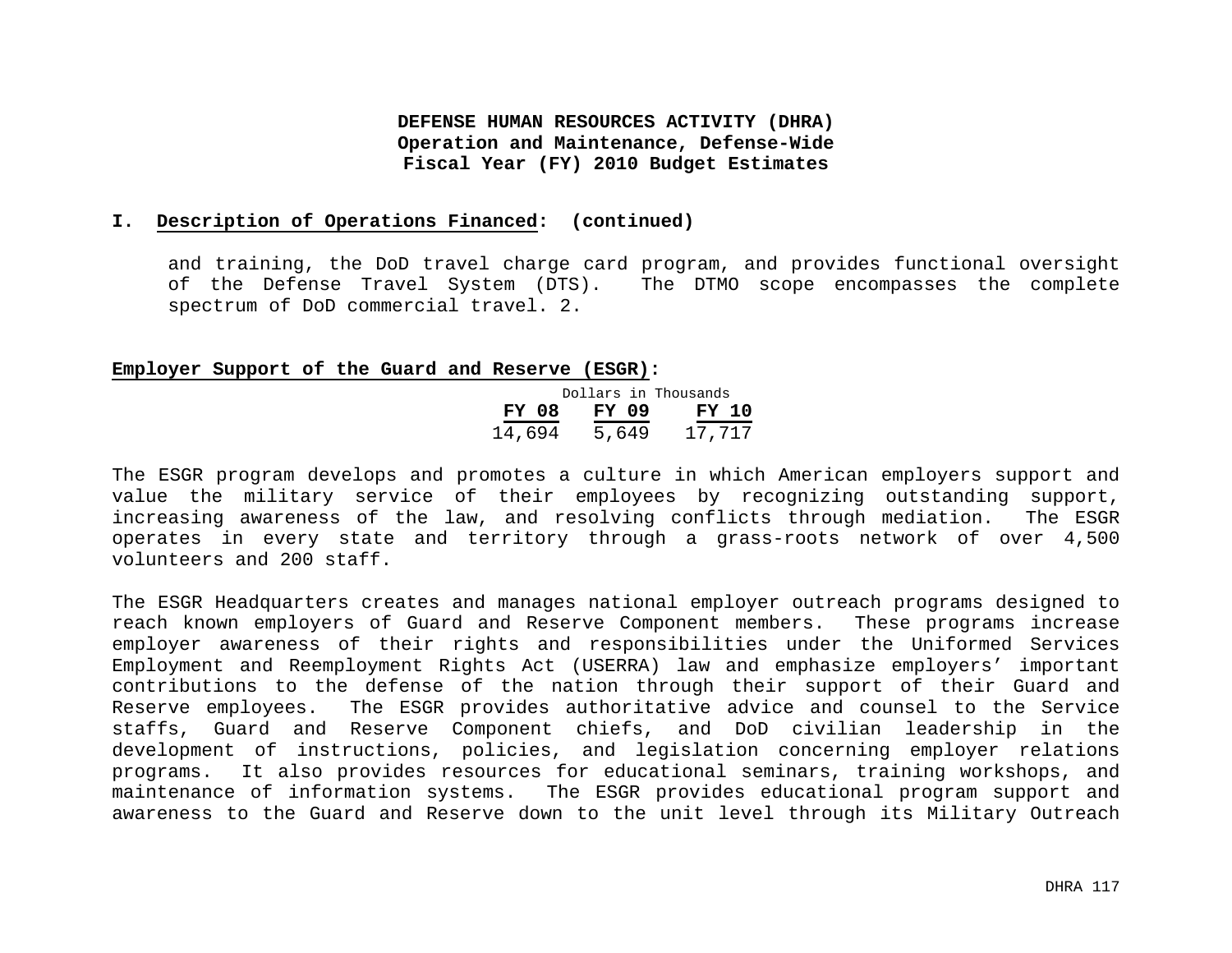## **I. Description of Operations Financed: (continued)**

and training, the DoD travel charge card program, and provides functional oversight of the Defense Travel System (DTS). The DTMO scope encompasses the complete spectrum of DoD commercial travel. 2.

#### **Employer Support of the Guard and Reserve (ESGR):**

|              |       | Dollars in Thousands |
|--------------|-------|----------------------|
| <b>FY 08</b> | FY 09 | FY 10                |
| 14,694       | 5,649 | 17,717               |

The ESGR program develops and promotes a culture in which American employers support and value the military service of their employees by recognizing outstanding support, increasing awareness of the law, and resolving conflicts through mediation. The ESGR operates in every state and territory through a grass-roots network of over 4,500 volunteers and 200 staff.

The ESGR Headquarters creates and manages national employer outreach programs designed to reach known employers of Guard and Reserve Component members. These programs increase employer awareness of their rights and responsibilities under the Uniformed Services Employment and Reemployment Rights Act (USERRA) law and emphasize employers' important contributions to the defense of the nation through their support of their Guard and Reserve employees. The ESGR provides authoritative advice and counsel to the Service staffs, Guard and Reserve Component chiefs, and DoD civilian leadership in the development of instructions, policies, and legislation concerning employer relations programs. It also provides resources for educational seminars, training workshops, and maintenance of information systems. The ESGR provides educational program support and awareness to the Guard and Reserve down to the unit level through its Military Outreach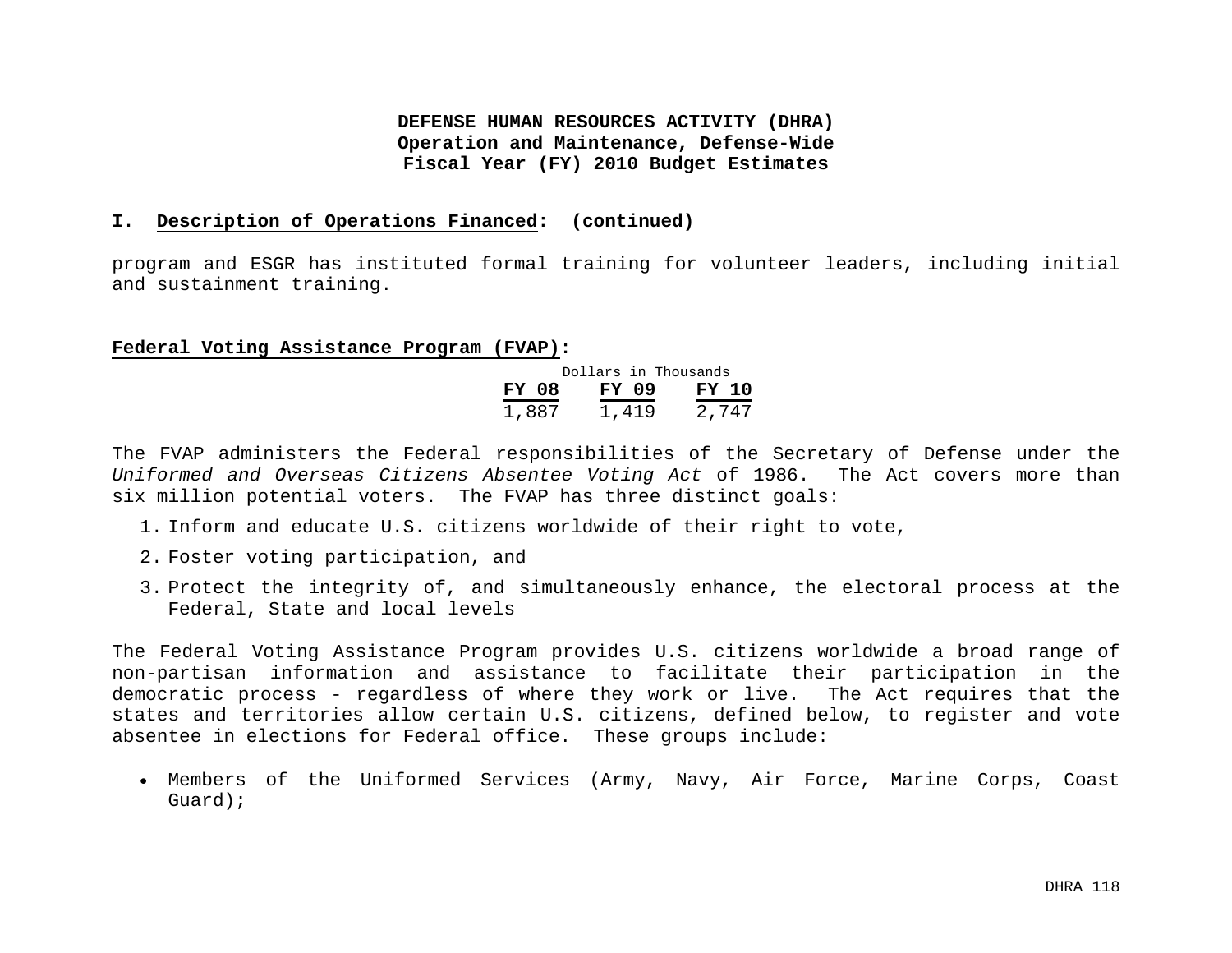#### **I. Description of Operations Financed: (continued)**

program and ESGR has instituted formal training for volunteer leaders, including initial and sustainment training.

#### **Federal Voting Assistance Program (FVAP):**

|       | Dollars in Thousands |       |       |
|-------|----------------------|-------|-------|
| FY 08 |                      | FY 09 | FY 10 |
| 1,887 |                      | 1,419 | 2,747 |

The FVAP administers the Federal responsibilities of the Secretary of Defense under the *[Uniformed and Overseas Citizens Absentee Voting Act](http://www.fvap.gov/laws/uocava.html)* of 1986. The Act covers more than six million potential voters. The FVAP has three distinct goals:

- 1. Inform and educate U.S. citizens worldwide of their right to vote,
- 2. Foster voting participation, and
- 3. Protect the integrity of, and simultaneously enhance, the electoral process at the Federal, State and local levels

The Federal Voting Assistance Program provides U.S. citizens worldwide a broad range of non-partisan information and assistance to facilitate their participation in the democratic process - regardless of where they work or live. The Act requires that the states and territories allow certain U.S. citizens, defined below, to register and vote absentee in elections for Federal office. These groups include:

• Members of the Uniformed Services (Army, Navy, Air Force, Marine Corps, Coast Guard);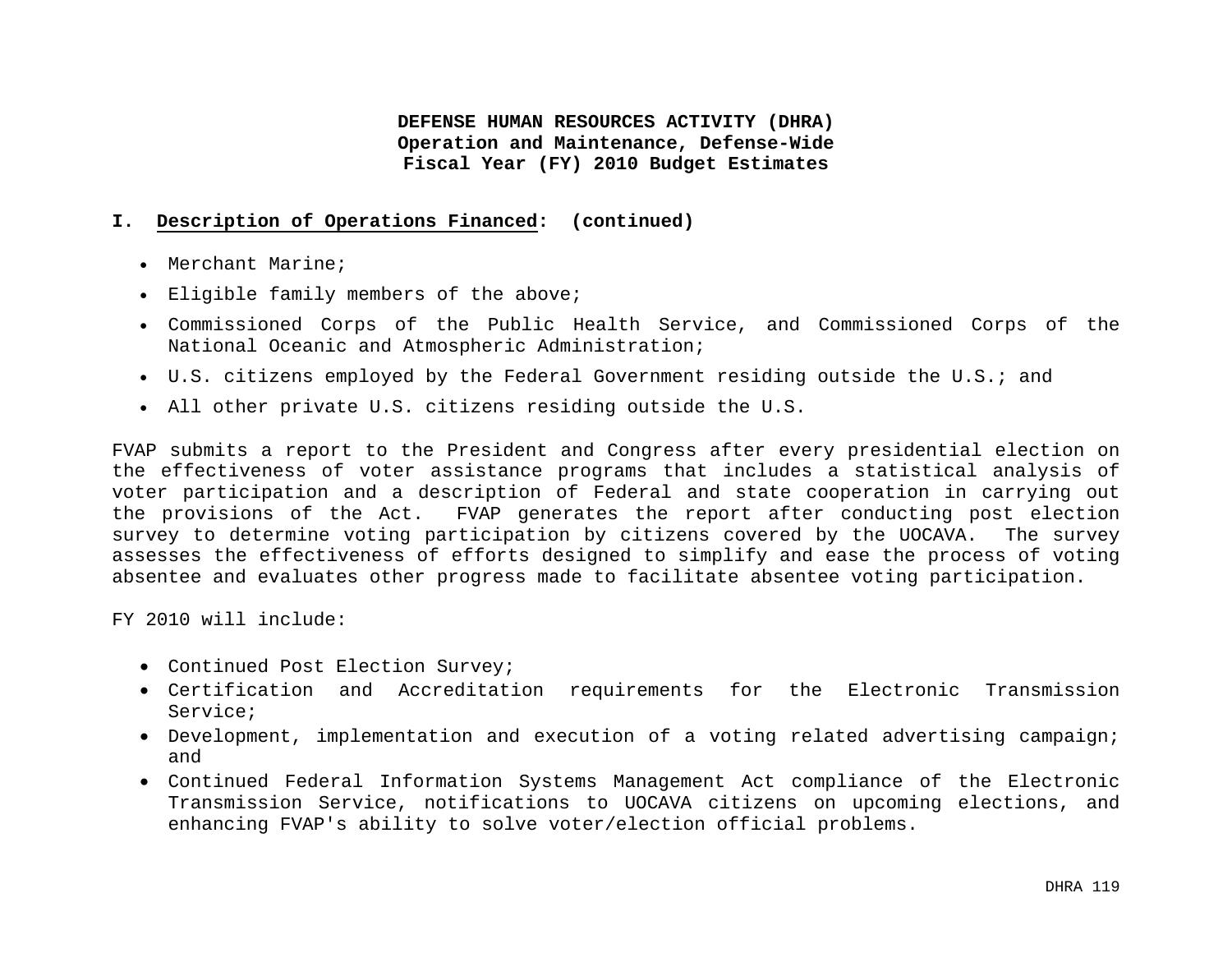## **I. D escription of Operations Financed: (continued)**

- Merchant Marine;
- Eligible family members of the above;
- Commissioned Corps of the Public Health Service, and Commissioned Corps of the National Oceanic and Atmospheric Administration;
- U.S. citizens employed by the Federal Government residing outside the U.S.; and
- All other private U.S. citizens residing outside the U.S.

FVAP submits a report to the President and Congress after every presidential election on the effectiveness of voter assistance programs that includes a statistical analysis of voter participation and a description of Federal and state cooperation in carrying out the provisions of the Act. FVAP generates the report after conducting post election survey to determine voting participation by citizens covered by the UOCAVA. The survey assesses the effectiveness of efforts designed to simplify and ease the process of voting absentee and evaluates other progress made to facilitate absentee voting participation.

FY 2010 will include:

- Continued Post Election Survey;
- Certification and Accreditation requirements for the Electronic Transmission Service;
- Development, implementation and execution of a voting related advertising campaign; and
- Continued Federal Information Systems Management Act compliance of the Electronic Transmission Service, notifications to UOCAVA citizens on upcoming elections, and enhancing FVAP's ability to solve voter/election official problems.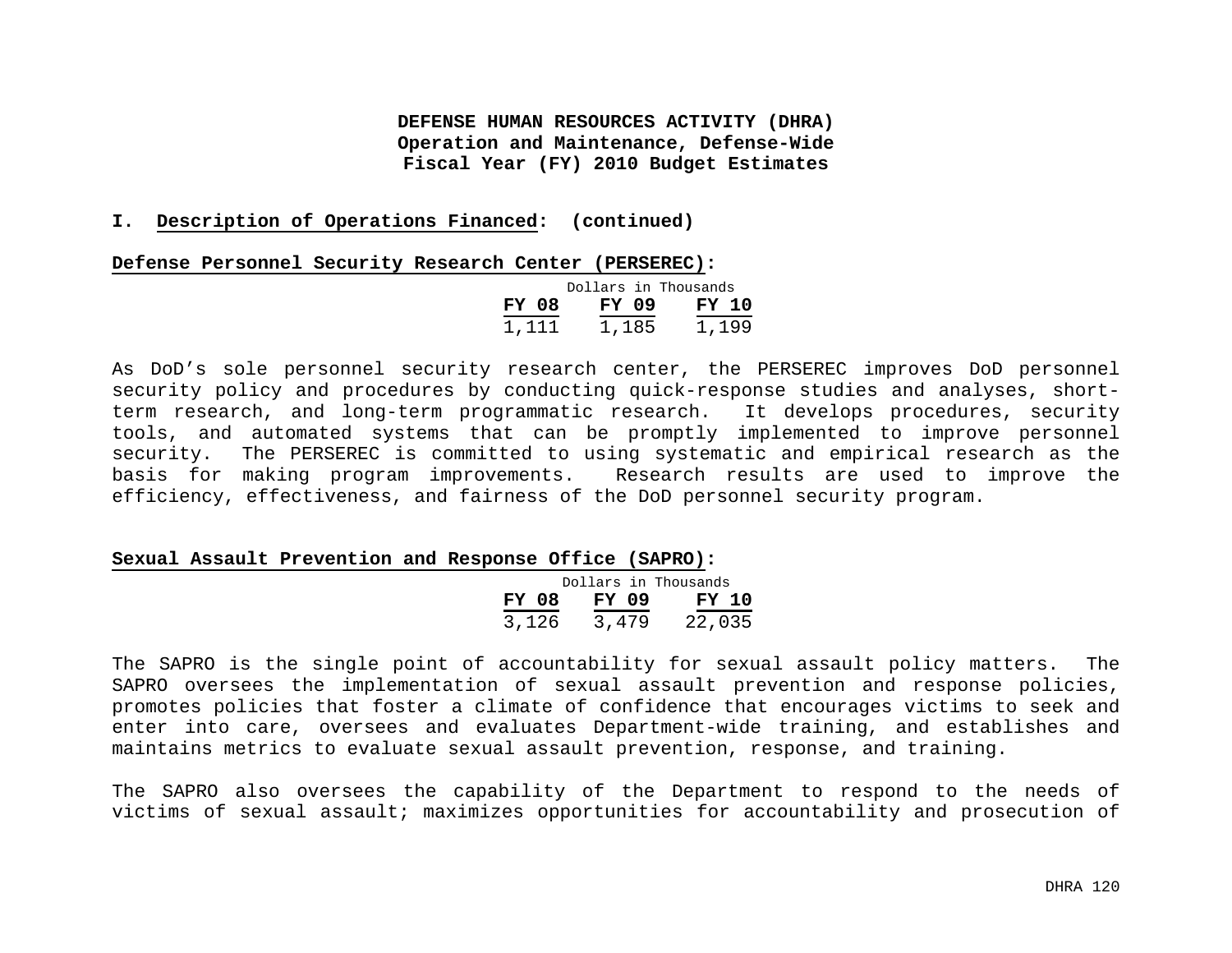## **I. Description of Operations Financed: (continued)**

#### **Defense Personnel Security Research Center (PERSEREC):**

|       |              | Dollars in Thousands |
|-------|--------------|----------------------|
| FY 08 | <b>FY 09</b> | FY 10                |
| 1,111 | 1,185        | 1,199                |

As DoD's sole personnel security research center, the PERSEREC improves DoD personnel security policy and procedures by conducting quick-response studies and analyses, shortterm research, and long-term programmatic research. It develops procedures, security tools, and automated systems that can be promptly implemented to improve personnel security. The PERSEREC is committed to using systematic and empirical research as the basis for making program improvements. Research results are used to improve the efficiency, effectiveness, and fairness of the DoD personnel security program.

#### **Sexual Assault Prevention and Response Office (SAPRO):**

|       |       | Dollars in Thousands |
|-------|-------|----------------------|
| FY 08 | FY 09 | FY 10                |
| 3,126 | 3,479 | 22,035               |

The SAPRO is the single point of accountability for sexual assault policy matters. The SAPRO oversees the implementation of sexual assault prevention and response policies, promotes policies that foster a climate of confidence that encourages victims to seek and enter into care, oversees and evaluates Department-wide training, and establishes and maintains metrics to evaluate sexual assault prevention, response, and training.

The SAPRO also oversees the capability of the Department to respond to the needs of victims of sexual assault; maximizes opportunities for accountability and prosecution of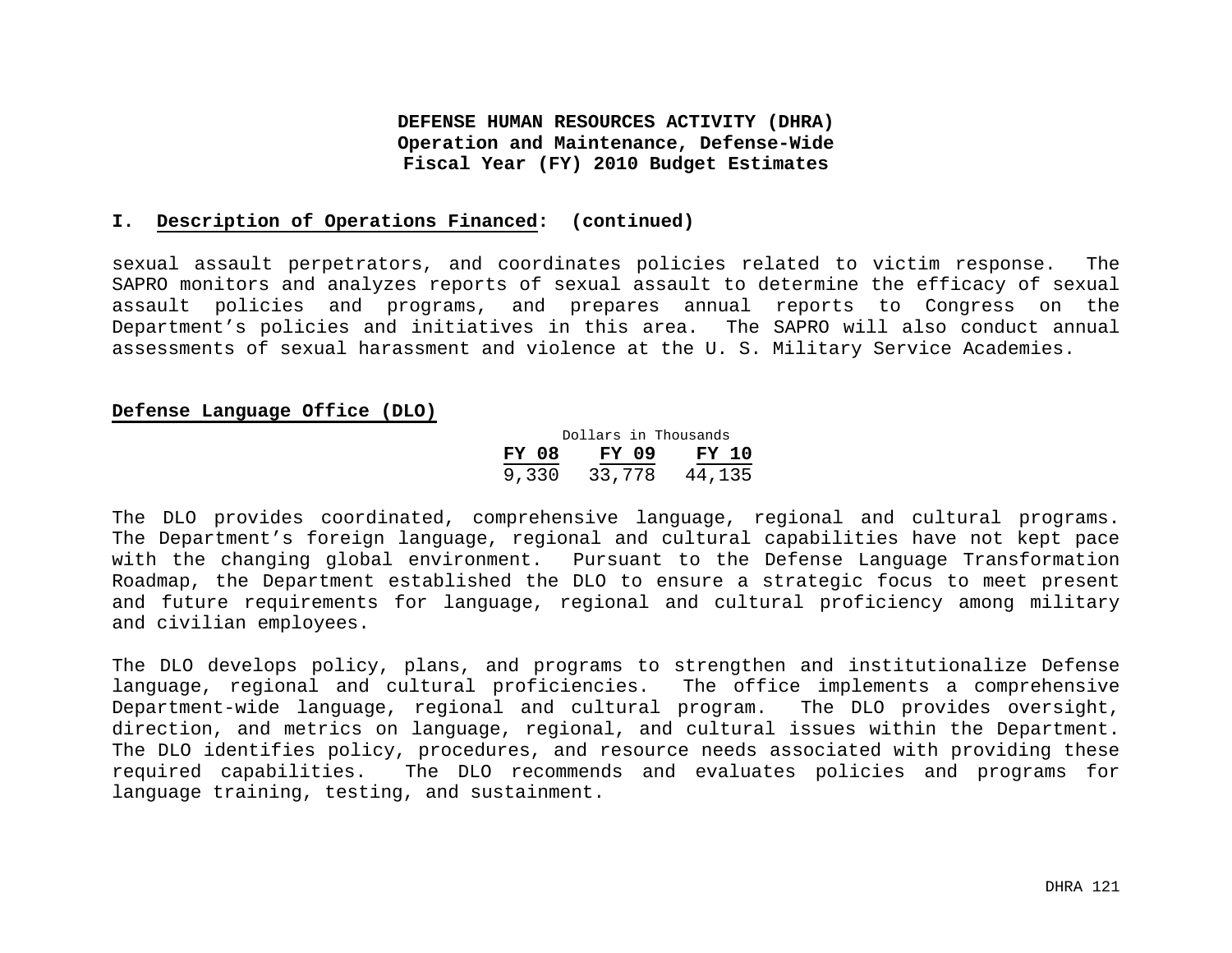## **I. Description of Operations Financed: (continued)**

sexual assault perpetrators, and coordinates policies related to victim response. The SAPRO monitors and analyzes reports of sexual assault to determine the efficacy of sexual assault policies and programs, and prepares annual reports to Congress on the Department's policies and initiatives in this area. The SAPRO will also conduct annual assessments of sexual harassment and violence at the U. S. Military Service Academies.

## **Defense Language Office (DLO)**

|              |              | Dollars in Thousands |
|--------------|--------------|----------------------|
| <b>FY 08</b> | <b>FY 09</b> | FY 10                |
| 9,330        | 33,778       | 44,135               |

The DLO provides coordinated, comprehensive language, regional and cultural programs. The Department's foreign language, regional and cultural capabilities have not kept pace with the changing global environment. Pursuant to the Defense Language Transformation Roadmap, the Department established the DLO to ensure a strategic focus to meet present and future requirements for language, regional and cultural proficiency among military and civilian employees.

The DLO develops policy, plans, and programs to strengthen and institutionalize Defense language, regional and cultural proficiencies. The office implements a comprehensive Department-wide language, regional and cultural program. The DLO provides oversight, direction, and metrics on language, regional, and cultural issues within the Department. The DLO identifies policy, procedures, and resource needs associated with providing these required capabilities. The DLO recommends and evaluates policies and programs for language training, testing, and sustainment.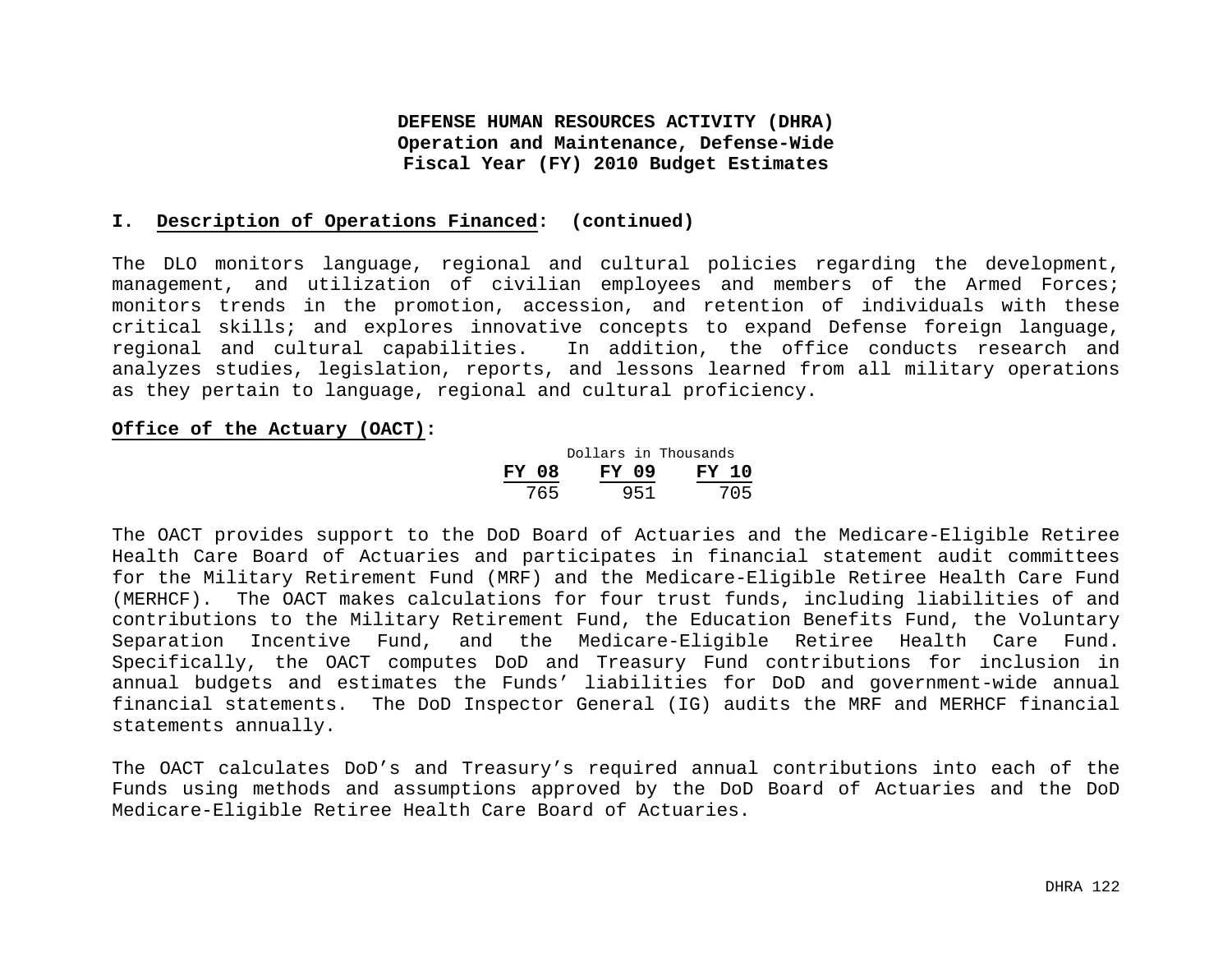## **I. Description of Operations Financed: (continued)**

The DLO monitors language, regional and cultural policies regarding the development, management, and utilization of civilian employees and members of the Armed Forces; monitors trends in the promotion, accession, and retention of individuals with these critical skills; and explores innovative concepts to expand Defense foreign language, regional and cultural capabilities. In addition, the office conducts research and analyzes studies, legislation, reports, and lessons learned from all military operations as they pertain to language, regional and cultural proficiency.

#### **Office of the Actuary (OACT):**

|              |     |              |     | Dollars in Thousands |
|--------------|-----|--------------|-----|----------------------|
| <b>FY 08</b> |     | <b>FY 09</b> |     | FY 10                |
|              | 765 |              | 951 | 705                  |

The OACT provides support to the DoD Board of Actuaries and the Medicare-Eligible Retiree Health Care Board of Actuaries and participates in financial statement audit committees for the Military Retirement Fund (MRF) and the Medicare-Eligible Retiree Health Care Fund (MERHCF). The OACT makes calculations for four trust funds, including liabilities of and contributions to the Military Retirement Fund, the Education Benefits Fund, the Voluntary Separation Incentive Fund, and the Medicare-Eligible Retiree Health Care Fund. Specifically, the OACT computes DoD and Treasury Fund contributions for inclusion in annual budgets and estimates the Funds' liabilities for DoD and government-wide annual financial statements. The DoD Inspector General (IG) audits the MRF and MERHCF financial statements annually.

The OACT calculates DoD's and Treasury's required annual contributions into each of the Funds using methods and assumptions approved by the DoD Board of Actuaries and the DoD Medicare-Eligible Retiree Health Care Board of Actuaries.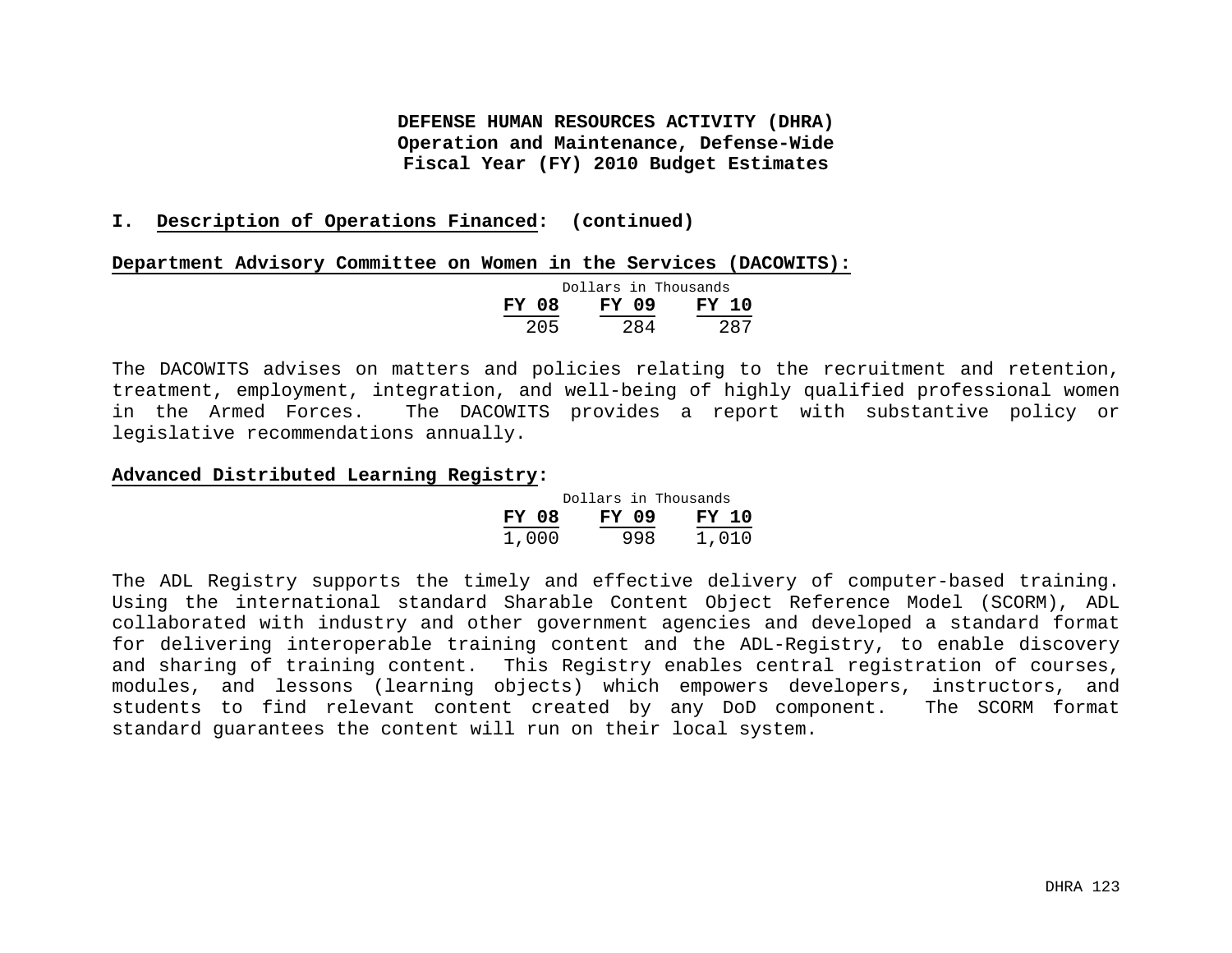#### **I. Description of Operations Financed: (continued)**

#### **Department Advisory Committee on Women in the Services (DACOWITS):**

|              |     | Dollars in Thousands |       |  |       |
|--------------|-----|----------------------|-------|--|-------|
| <b>FY 08</b> |     |                      | FY 09 |  | FY 10 |
|              | 205 |                      | 284   |  | 287   |

The DACOWITS advises on matters and policies relating to the recruitment and retention, treatment, employment, integration, and well-being of highly qualified professional women in the Armed Forces. The DACOWITS provides a report with substantive policy or legislative recommendations annually.

#### **Advanced Distributed Learning Registry:**

|       |              |     | Dollars in Thousands |
|-------|--------------|-----|----------------------|
| FY 08 | <b>FY 09</b> |     | FY 10                |
| 1,000 |              | 998 | 1,010                |

The ADL Registry supports the timely and effective delivery of computer-based training. Using the international standard Sharable Content Object Reference Model (SCORM), ADL collaborated with industry and other government agencies and developed a standard format for delivering interoperable training content and the ADL-Registry, to enable discovery and sharing of training content. This Registry enables central registration of courses. modules, and lessons (learning objects) which empowers developers, instructors, and students to find relevant content created by any DoD component. The SCORM format standard guarantees the content will run on their local system.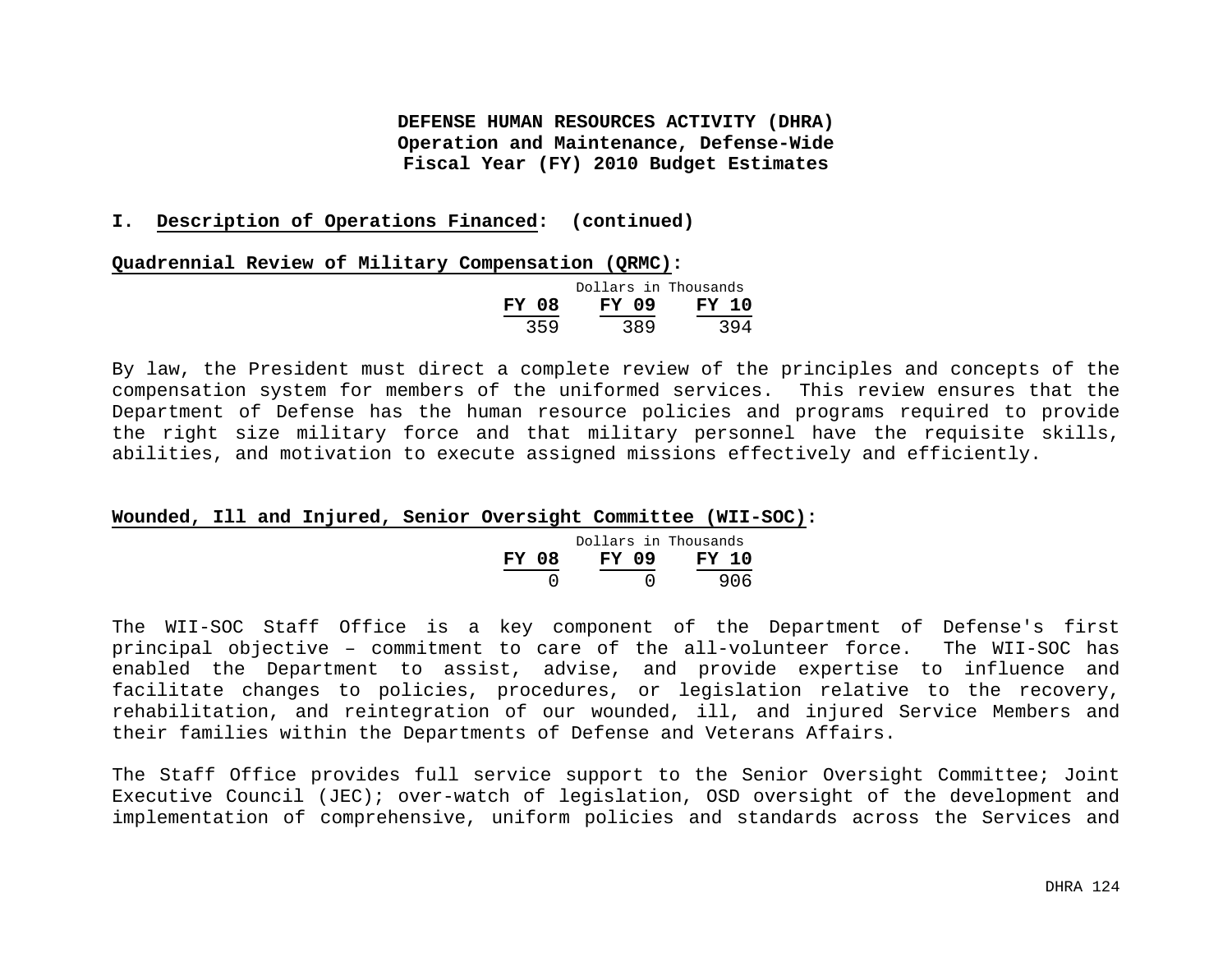## **I. Description of Operations Financed: (continued)**

#### **Quadrennial Review of Military Compensation (QRMC):**

|       | Dollars in Thousands |       |  |
|-------|----------------------|-------|--|
| FY 08 | FY 09                | FY 10 |  |
|       | 389                  |       |  |

By law, the President must direct a complete review of the principles and concepts of the compensation system for members of the uniformed services. This review ensures that the Department of Defense has the human resource policies and programs required to provide the right size military force and that military personnel have the requisite skills, abilities, and motivation to execute assigned missions effectively and efficiently.

#### **Wounded, Ill and Injured, Senior Oversight Committee (WII-SOC):**

|       |       | Dollars in Thousands |
|-------|-------|----------------------|
| FY 08 | FY 09 | FY 10                |
|       |       | 906                  |

The WII-SOC Staff Office is a key component of the Department of Defense's first principal objective – commitment to care of the all-volunteer force. The WII-SOC has enabled the Department to assist, advise, and provide expertise to influence and facilitate changes to policies, procedures, or legislation relative to the recovery, rehabilitation, and reintegration of our wounded, ill, and injured Service Members and their families within the Departments of Defense and Veterans Affairs.

The Staff Office provides full service support to the Senior Oversight Committee; Joint Executive Council (JEC); over-watch of legislation, OSD oversight of the development and implementation of comprehensive, uniform policies and standards across the Services and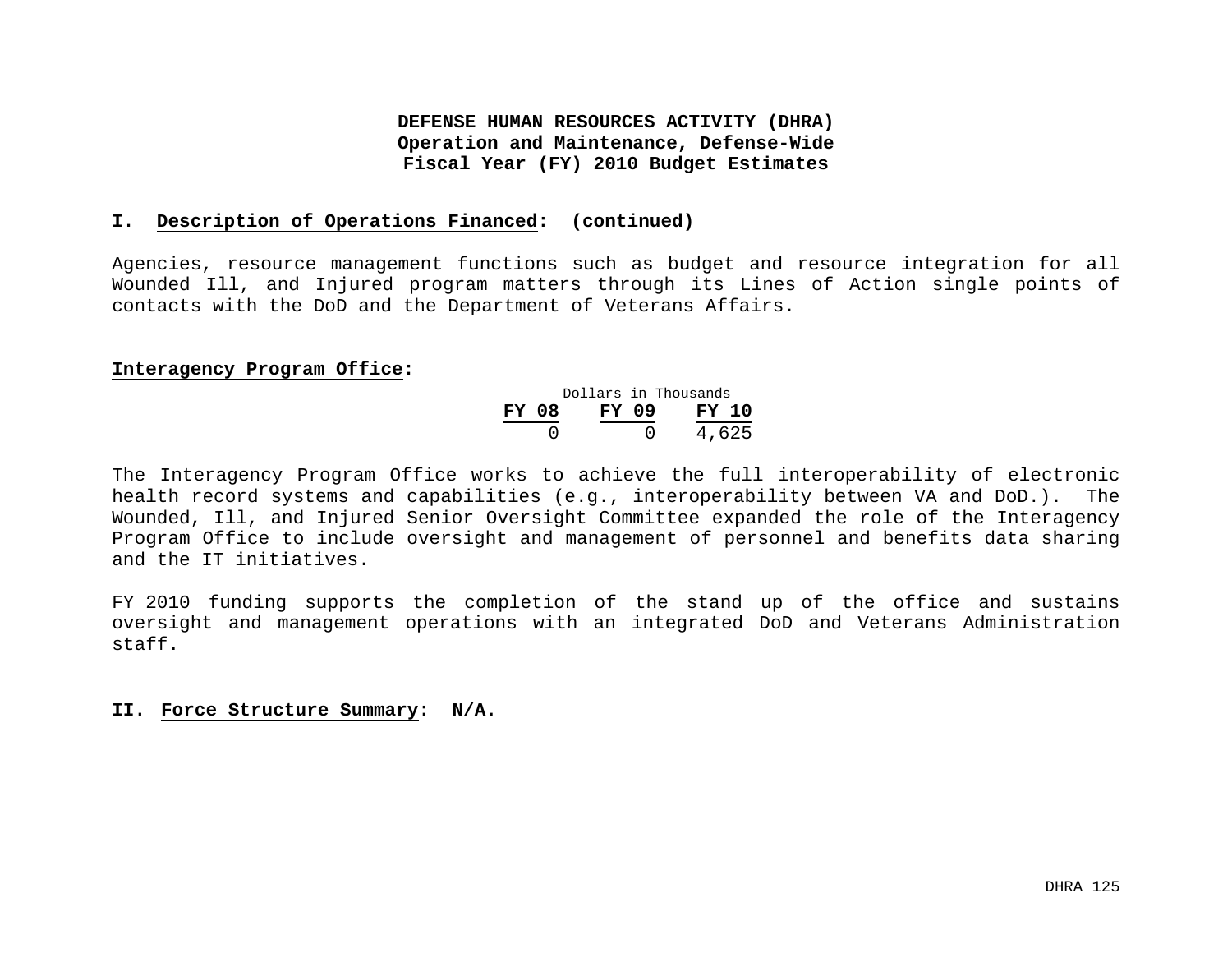## **I. Description of Operations Financed: (continued)**

Agencies, resource management functions such as budget and resource integration for all Wounded Ill, and Injured program matters through its Lines of Action single points of contacts with the DoD and the Department of Veterans Affairs.

#### **Interagency Program Office:**

|              |  |  |       | Dollars in Thousands |  |  |  |
|--------------|--|--|-------|----------------------|--|--|--|
| <b>FY 08</b> |  |  | FY 09 | FY 10                |  |  |  |
|              |  |  |       | 4,625                |  |  |  |

The Interagency Program Office works to achieve the full interoperability of electronic health record systems and capabilities (e.g., interoperability between VA and DoD.). The Wounded, Ill, and Injured Senior Oversight Committee expanded the role of the Interagency Program Office to include oversight and management of personnel and benefits data sharing and the IT initiatives.

FY 2010 funding supports the completion of the stand up of the office and sustains oversight and management operations with an integrated DoD and Veterans Administration staff.

#### **II. Force Structure Summary: N/A.**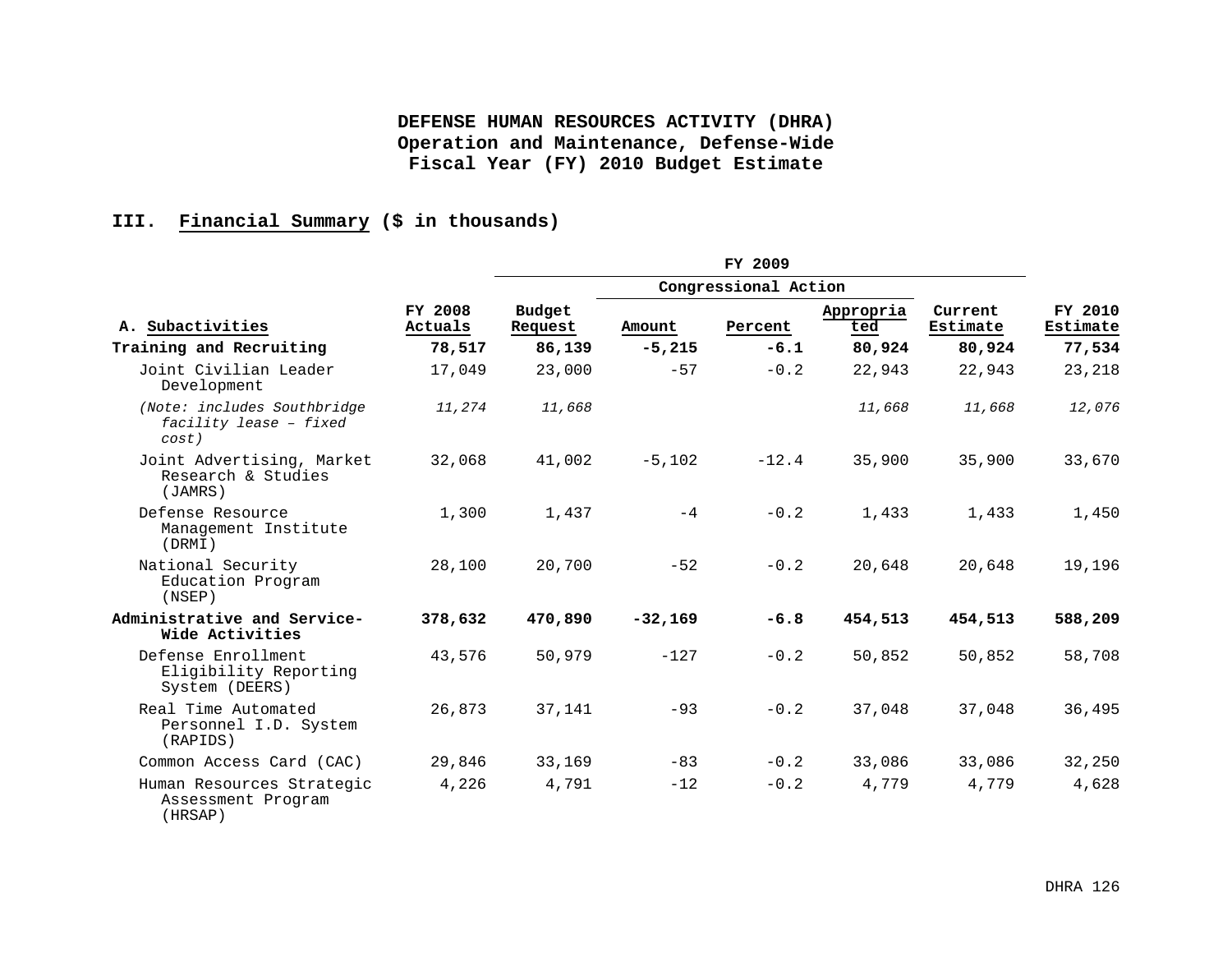# **III. Financial Summary (\$ in thousands)**

|                                                                |                           |                      |           | FY 2009 |                  |                     |                     |
|----------------------------------------------------------------|---------------------------|----------------------|-----------|---------|------------------|---------------------|---------------------|
|                                                                |                           | Congressional Action |           |         |                  |                     |                     |
| A. Subactivities                                               | <b>FY 2008</b><br>Actuals | Budget<br>Request    | Amount    | Percent | Appropria<br>ted | Current<br>Estimate | FY 2010<br>Estimate |
| Training and Recruiting                                        | 78,517                    | 86,139               | $-5,215$  | $-6.1$  | 80,924           | 80,924              | 77,534              |
| Joint Civilian Leader<br>Development                           | 17,049                    | 23,000               | $-57$     | $-0.2$  | 22,943           | 22,943              | 23,218              |
| (Note: includes Southbridge<br>facility lease - fixed<br>cost) | 11,274                    | 11,668               |           |         | 11,668           | 11,668              | 12,076              |
| Joint Advertising, Market<br>Research & Studies<br>(JAMRS)     | 32,068                    | 41,002               | $-5,102$  | $-12.4$ | 35,900           | 35,900              | 33,670              |
| Defense Resource<br>Management Institute<br>(DRMI)             | 1,300                     | 1,437                | $-4$      | $-0.2$  | 1,433            | 1,433               | 1,450               |
| National Security<br>Education Program<br>(NSEP)               | 28,100                    | 20,700               | $-52$     | $-0.2$  | 20,648           | 20,648              | 19,196              |
| Administrative and Service-<br>Wide Activities                 | 378,632                   | 470,890              | $-32,169$ | $-6.8$  | 454,513          | 454,513             | 588,209             |
| Defense Enrollment<br>Eligibility Reporting<br>System (DEERS)  | 43,576                    | 50,979               | $-127$    | $-0.2$  | 50,852           | 50,852              | 58,708              |
| Real Time Automated<br>Personnel I.D. System<br>(RAPIDS)       | 26,873                    | 37,141               | $-93$     | $-0.2$  | 37,048           | 37,048              | 36,495              |
| Common Access Card (CAC)                                       | 29,846                    | 33,169               | $-83$     | $-0.2$  | 33,086           | 33,086              | 32,250              |
| Human Resources Strategic<br>Assessment Program<br>(HRSAP)     | 4,226                     | 4,791                | $-12$     | $-0.2$  | 4,779            | 4,779               | 4,628               |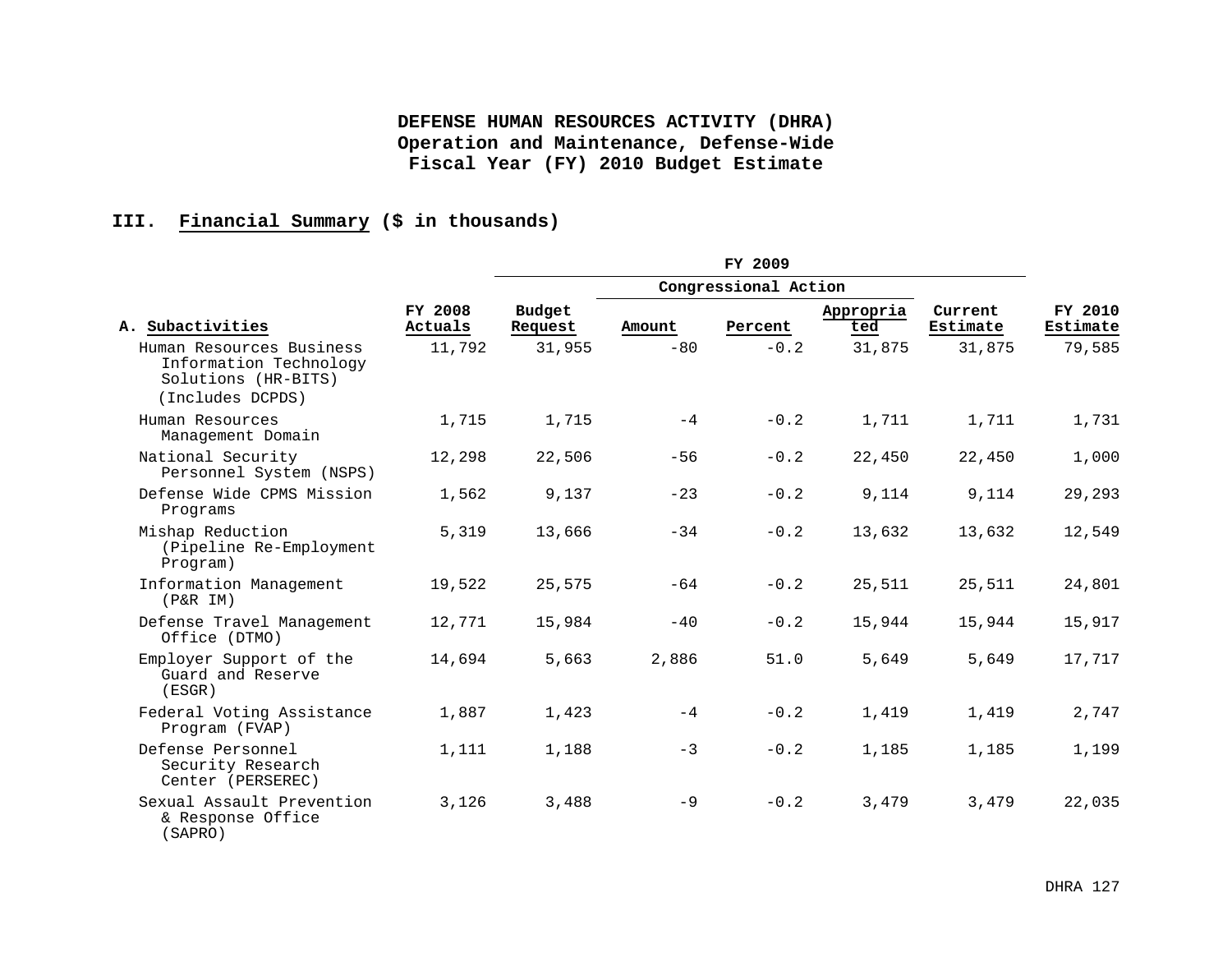# **III. Financial Summary (\$ in thousands)**

|                                                                                               |                    | FY 2009           |                      |         |                  |                     |                     |
|-----------------------------------------------------------------------------------------------|--------------------|-------------------|----------------------|---------|------------------|---------------------|---------------------|
|                                                                                               |                    |                   | Congressional Action |         |                  |                     |                     |
| A. Subactivities                                                                              | FY 2008<br>Actuals | Budget<br>Request | Amount               | Percent | Appropria<br>ted | Current<br>Estimate | FY 2010<br>Estimate |
| Human Resources Business<br>Information Technology<br>Solutions (HR-BITS)<br>(Includes DCPDS) | 11,792             | 31,955            | $-80$                | $-0.2$  | 31,875           | 31,875              | 79,585              |
| Human Resources<br>Management Domain                                                          | 1,715              | 1,715             | $-4$                 | $-0.2$  | 1,711            | 1,711               | 1,731               |
| National Security<br>Personnel System (NSPS)                                                  | 12,298             | 22,506            | $-56$                | $-0.2$  | 22,450           | 22,450              | 1,000               |
| Defense Wide CPMS Mission<br>Programs                                                         | 1,562              | 9,137             | $-23$                | $-0.2$  | 9,114            | 9,114               | 29,293              |
| Mishap Reduction<br>(Pipeline Re-Employment<br>Program)                                       | 5,319              | 13,666            | $-34$                | $-0.2$  | 13,632           | 13,632              | 12,549              |
| Information Management<br>(P&RIM)                                                             | 19,522             | 25,575            | $-64$                | $-0.2$  | 25,511           | 25,511              | 24,801              |
| Defense Travel Management<br>Office (DTMO)                                                    | 12,771             | 15,984            | $-40$                | $-0.2$  | 15,944           | 15,944              | 15,917              |
| Employer Support of the<br>Guard and Reserve<br>(ESGR)                                        | 14,694             | 5,663             | 2,886                | 51.0    | 5,649            | 5,649               | 17,717              |
| Federal Voting Assistance<br>Program (FVAP)                                                   | 1,887              | 1,423             | $-4$                 | $-0.2$  | 1,419            | 1,419               | 2,747               |
| Defense Personnel<br>Security Research<br>Center (PERSEREC)                                   | 1,111              | 1,188             | $-3$                 | $-0.2$  | 1,185            | 1,185               | 1,199               |
| Sexual Assault Prevention<br>& Response Office<br>(SAPRO)                                     | 3,126              | 3,488             | $-9$                 | $-0.2$  | 3,479            | 3,479               | 22,035              |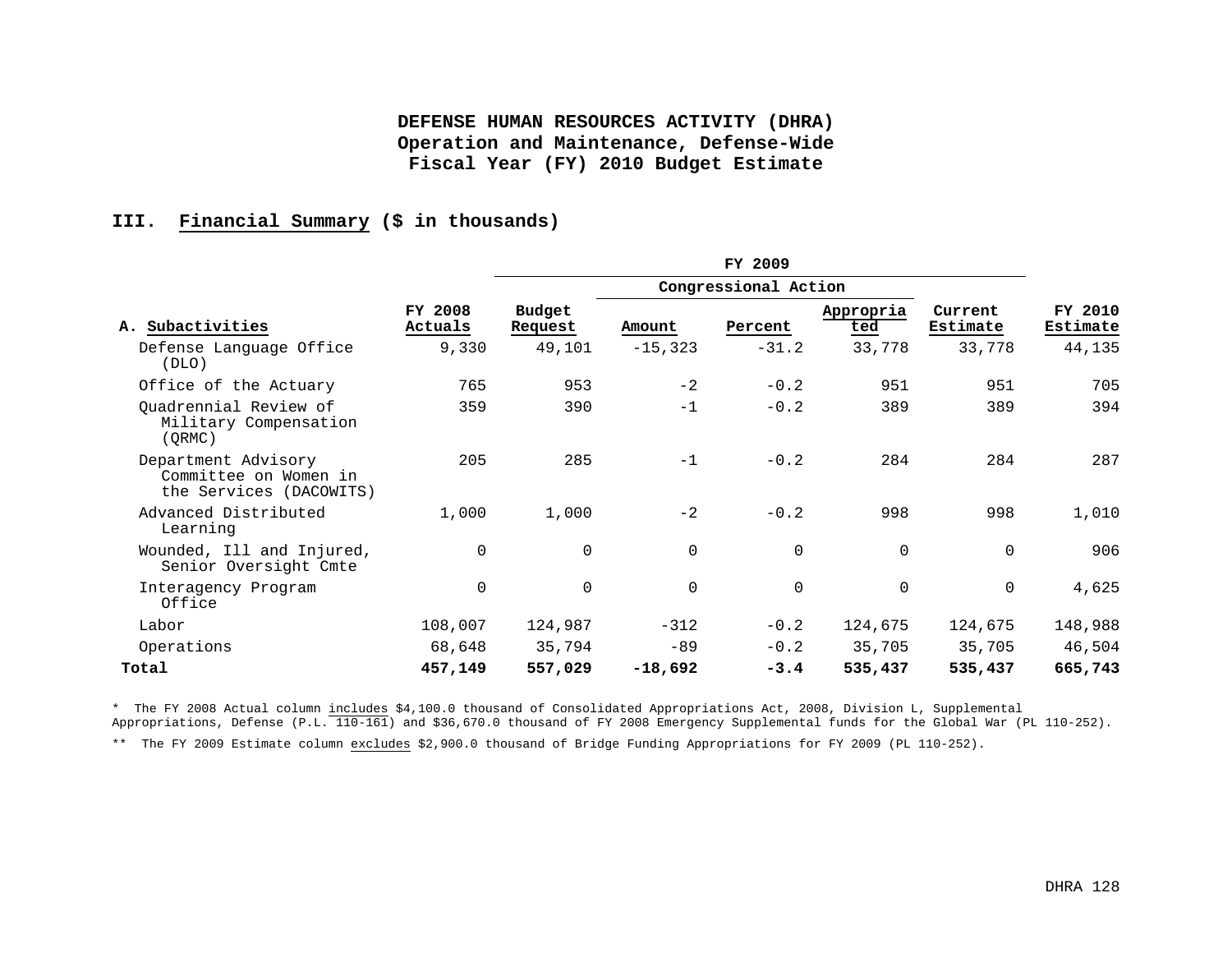# **III. Financial Summary (\$ in thousands)**

|                                                                         |                    |                   |                      | FY 2009        |                  |                     |                     |
|-------------------------------------------------------------------------|--------------------|-------------------|----------------------|----------------|------------------|---------------------|---------------------|
|                                                                         | FY 2008<br>Actuals |                   | Congressional Action |                |                  |                     |                     |
| A. Subactivities                                                        |                    | Budget<br>Request | Amount               | Percent        | Appropria<br>ted | Current<br>Estimate | FY 2010<br>Estimate |
| Defense Language Office<br>(DLO)                                        | 9,330              | 49,101            | $-15, 323$           | $-31.2$        | 33,778           | 33,778              | 44,135              |
| Office of the Actuary                                                   | 765                | 953               | $-2$                 | $-0.2$         | 951              | 951                 | 705                 |
| Quadrennial Review of<br>Military Compensation<br>(QRMC)                | 359                | 390               | $-1$                 | $-0.2$         | 389              | 389                 | 394                 |
| Department Advisory<br>Committee on Women in<br>the Services (DACOWITS) | 205                | 285               | $-1$                 | $-0.2$         | 284              | 284                 | 287                 |
| Advanced Distributed<br>Learning                                        | 1,000              | 1,000             | $-2$                 | $-0.2$         | 998              | 998                 | 1,010               |
| Wounded, Ill and Injured,<br>Senior Oversight Cmte                      | $\Omega$           | $\Omega$          | $\Omega$             | $\overline{0}$ | $\mathbf 0$      | $\Omega$            | 906                 |
| Interagency Program<br>Office                                           | 0                  | $\Omega$          | $\mathbf 0$          | $\mathbf 0$    | $\mathbf 0$      | 0                   | 4,625               |
| Labor                                                                   | 108,007            | 124,987           | $-312$               | $-0.2$         | 124,675          | 124,675             | 148,988             |
| Operations                                                              | 68,648             | 35,794            | $-89$                | $-0.2$         | 35,705           | 35,705              | 46,504              |
| Total                                                                   | 457,149            | 557,029           | $-18,692$            | $-3.4$         | 535,437          | 535,437             | 665,743             |

\* The FY 2008 Actual column includes \$4,100.0 thousand of Consolidated Appropriations Act, 2008, Division L, Supplemental Appropriations, Defense (P.L. 110-161) and \$36,670.0 thousand of FY 2008 Emergency Supplemental funds for the Global War (PL 110-252).

\*\* The FY 2009 Estimate column excludes \$2,900.0 thousand of Bridge Funding Appropriations for FY 2009 (PL 110-252).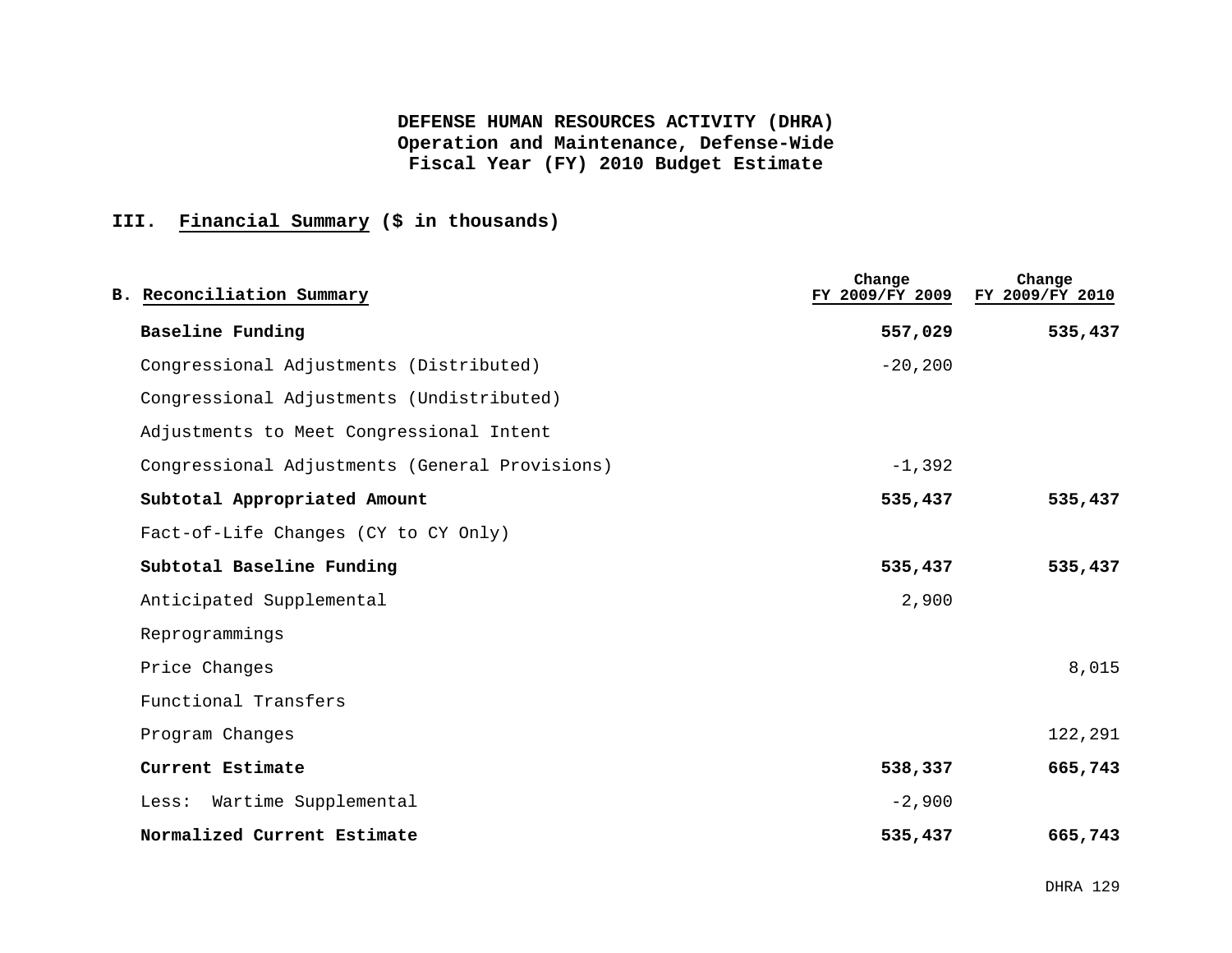# **III. Financial Summary (\$ in thousands)**

| B. Reconciliation Summary                      | Change<br>FY 2009/FY 2009 | Change<br>FY 2009/FY 2010 |
|------------------------------------------------|---------------------------|---------------------------|
| Baseline Funding                               | 557,029                   | 535,437                   |
| Congressional Adjustments (Distributed)        | $-20, 200$                |                           |
| Congressional Adjustments (Undistributed)      |                           |                           |
| Adjustments to Meet Congressional Intent       |                           |                           |
| Congressional Adjustments (General Provisions) | $-1,392$                  |                           |
| Subtotal Appropriated Amount                   | 535,437                   | 535,437                   |
| Fact-of-Life Changes (CY to CY Only)           |                           |                           |
| Subtotal Baseline Funding                      | 535,437                   | 535,437                   |
| Anticipated Supplemental                       | 2,900                     |                           |
| Reprogrammings                                 |                           |                           |
| Price Changes                                  |                           | 8,015                     |
| Functional Transfers                           |                           |                           |
| Program Changes                                |                           | 122,291                   |
| Current Estimate                               | 538,337                   | 665,743                   |
| Less: Wartime Supplemental                     | $-2,900$                  |                           |
| Normalized Current Estimate                    | 535,437                   | 665,743                   |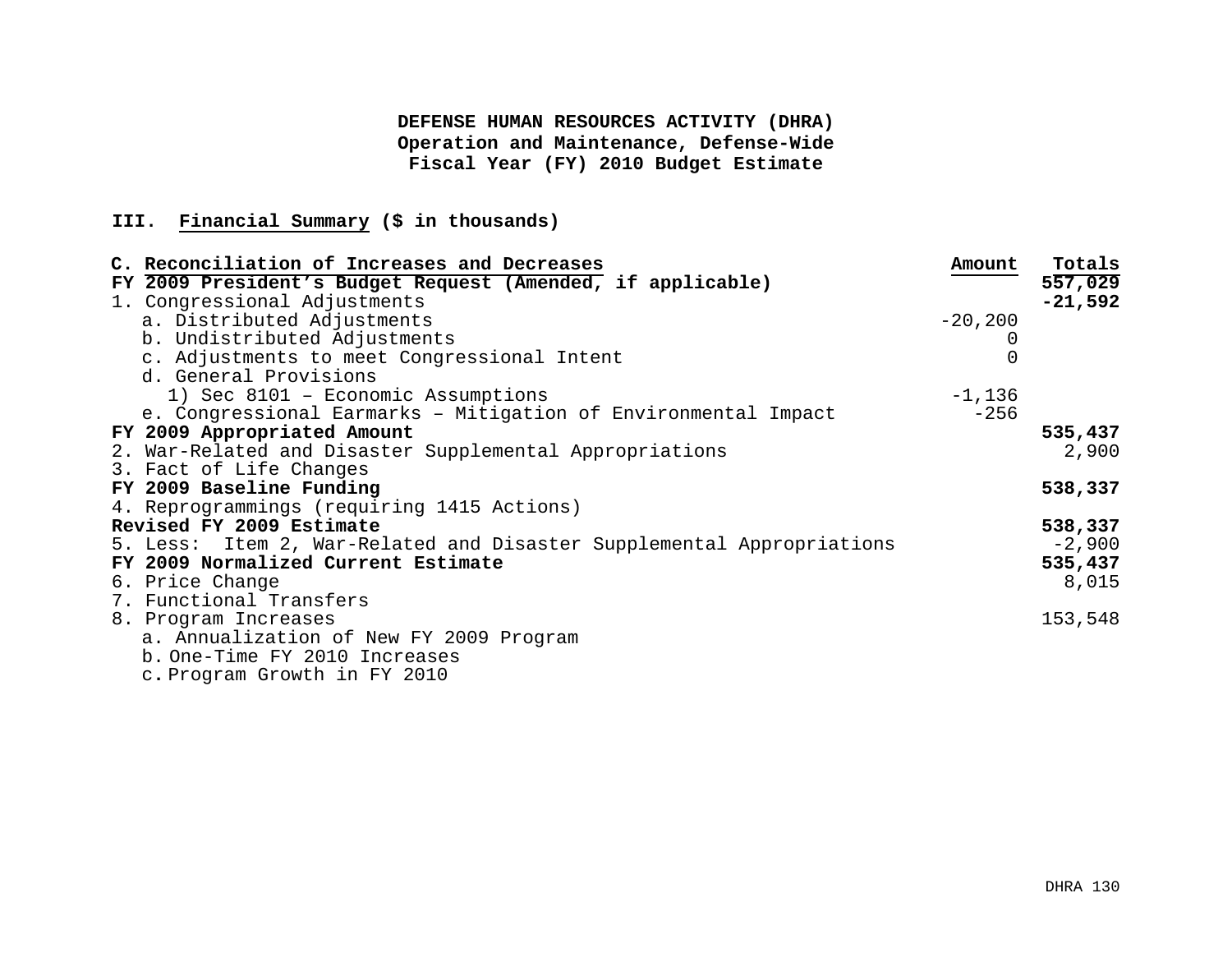# **III. Financial Summary (\$ in thousands)**

| C. Reconciliation of Increases and Decreases                          | Amount     | Totals    |
|-----------------------------------------------------------------------|------------|-----------|
| FY 2009 President's Budget Request (Amended, if applicable)           |            | 557,029   |
| 1. Congressional Adjustments                                          |            | $-21,592$ |
| a. Distributed Adjustments                                            | $-20, 200$ |           |
| b. Undistributed Adjustments                                          |            |           |
| c. Adjustments to meet Congressional Intent                           | $\Omega$   |           |
| d. General Provisions                                                 |            |           |
| 1) Sec 8101 - Economic Assumptions                                    | $-1,136$   |           |
| e. Congressional Earmarks - Mitigation of Environmental Impact        | $-256$     |           |
| FY 2009 Appropriated Amount                                           |            | 535,437   |
| 2. War-Related and Disaster Supplemental Appropriations               |            | 2,900     |
| 3. Fact of Life Changes                                               |            |           |
| FY 2009 Baseline Funding                                              |            | 538,337   |
| 4. Reprogrammings (requiring 1415 Actions)                            |            |           |
| Revised FY 2009 Estimate                                              |            | 538,337   |
| 5. Less: Item 2, War-Related and Disaster Supplemental Appropriations |            | $-2,900$  |
| FY 2009 Normalized Current Estimate                                   |            | 535,437   |
| 6. Price Change                                                       |            | 8,015     |
| 7. Functional Transfers                                               |            |           |
| 8. Program Increases                                                  |            | 153,548   |
| a. Annualization of New FY 2009 Program                               |            |           |
| b. One-Time FY 2010 Increases                                         |            |           |
|                                                                       |            |           |

<sup>c</sup>**.** Program Growth in FY 2010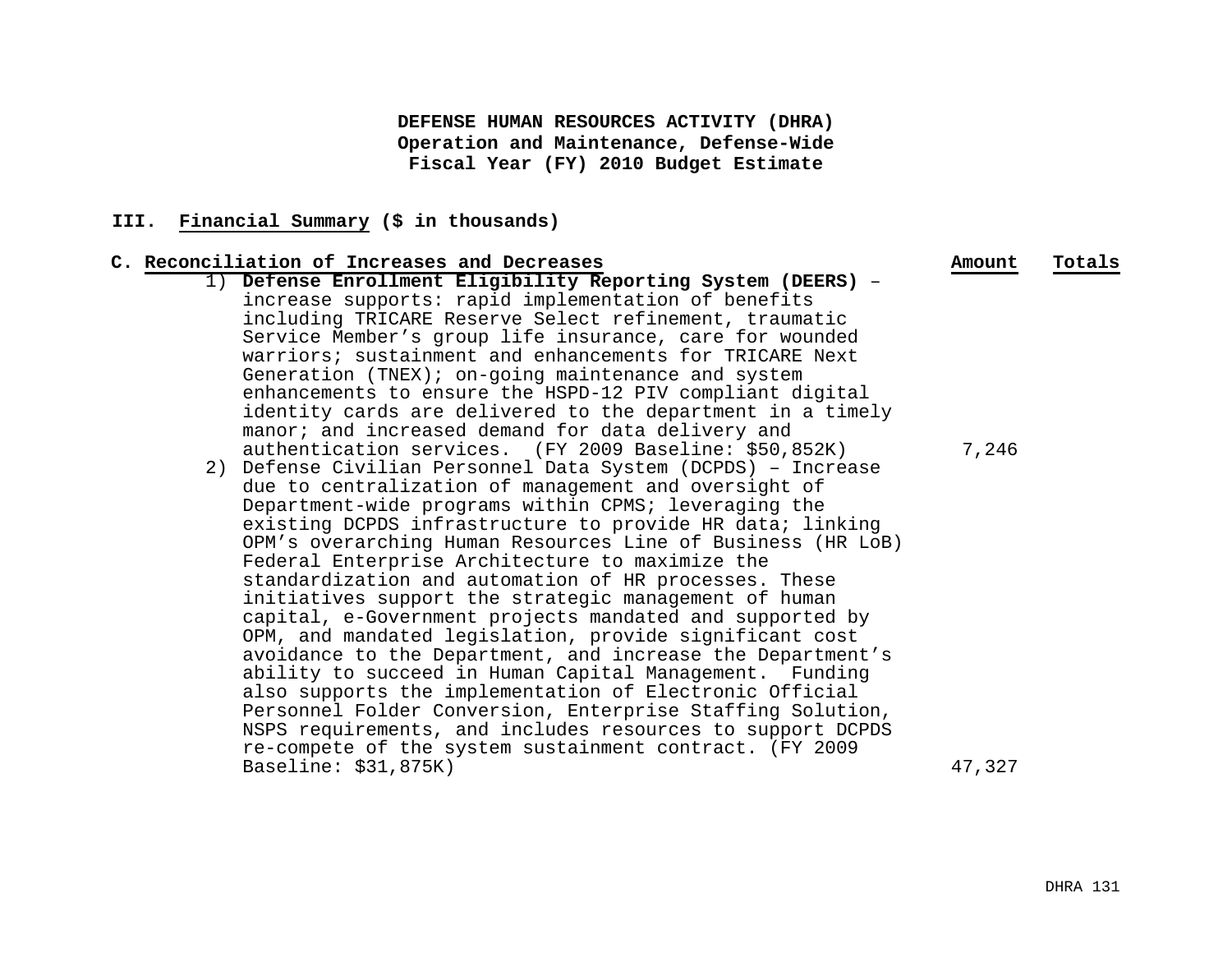#### **III. Financial Summary (\$ in thousands)**

#### **C.** Reconciliation of Increases and Decreases Amount

- 1) **Defense Enrollment Eligibility Reporting System (DEERS)**  increase supports: rapid implementation of benefits including TRICARE Reserve Select refinement, traumatic Service Member's group life insurance, care for wounded warriors; sustainment and enhancements for TRICARE Next Generation (TNEX); on-going maintenance and system enhancements to ensure the HSPD-12 PIV compliant digital identity cards are delivered to the department in a timely manor; and increased demand for data delivery and authentication services. (FY 2009 Baseline: \$50,852K) 7,246
- 2) Defense Civilian Personnel Data System (DCPDS) Increase due to centralization of management and oversight of Department-wide programs within CPMS; leveraging the existing DCPDS infrastructure to provide HR data; linking OPM's overarching Human Resources Line of Business (HR LoB) Federal Enterprise Architecture to maximize the standardization and automation of HR processes. These initiatives support the strategic management of human capital, e-Government projects mandated and supported by OPM, and mandated legislation, provide significant cost avoidance to the Department, and increase the Department's ability to succeed in Human Capital Management. Funding also supports the implementation of Electronic Official Personnel Folder Conversion, Enterprise Staffing Solution, NSPS requirements, and includes resources to support DCPDS re-compete of the system sustainment contract. (FY 2009 Baseline: \$31,875K) 47,327

**Totals**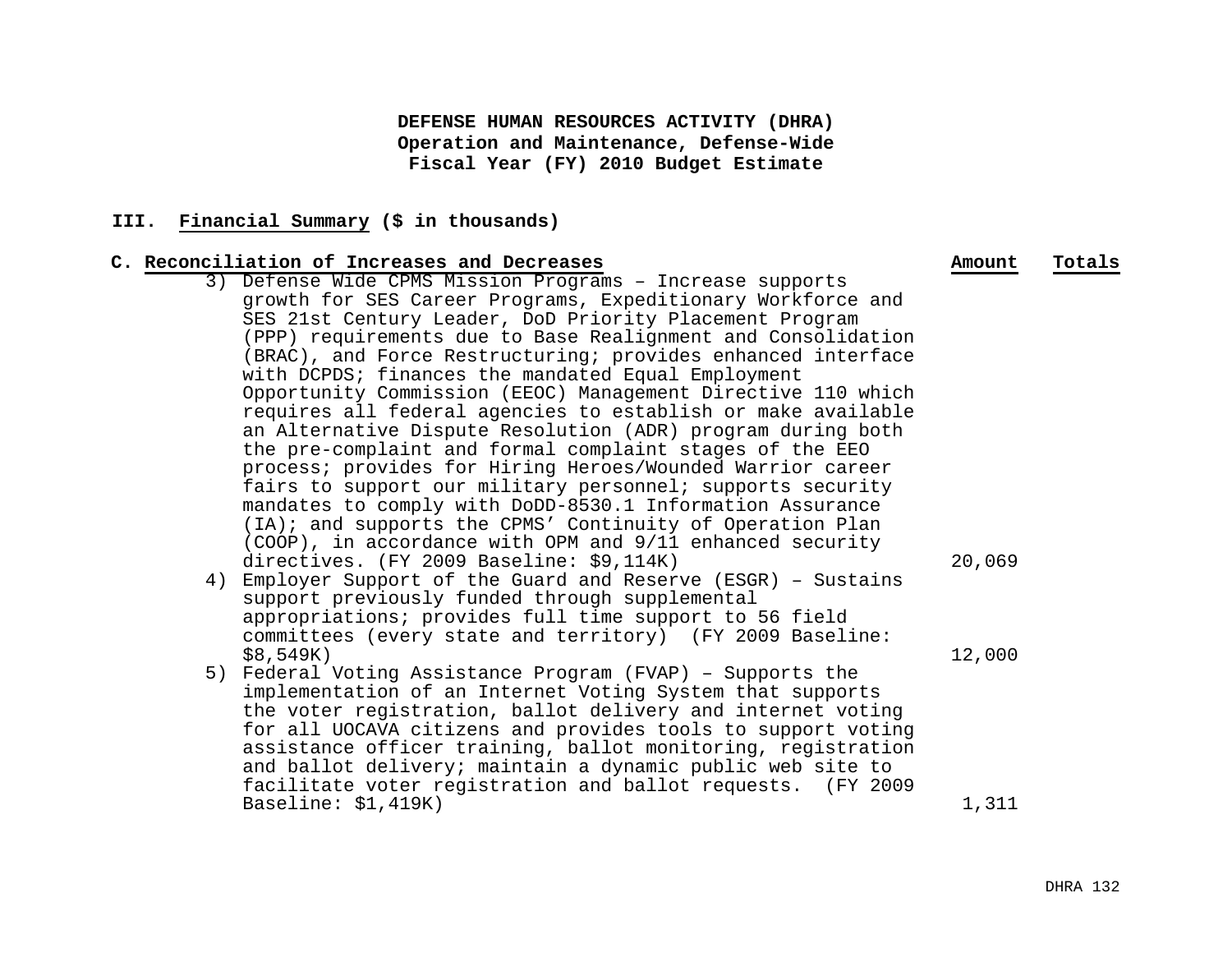#### **III. Financial Summary (\$ in thousands)**

#### **C.** Reconciliation of Increases and Decreases Amount

- 3) Defense Wide CPMS Mission Programs Increase supports growth for SES Career Programs, Expeditionary Workforce and SES 21st Century Leader, DoD Priority Placement Program (PPP) requirements due to Base Realignment and Consolidation (BRAC), and Force Restructuring; provides enhanced interface with DCPDS; finances the mandated Equal Employment Opportunity Commission (EEOC) Management Directive 110 which requires all federal agencies to establish or make available an Alternative Dispute Resolution (ADR) program during both the pre-complaint and formal complaint stages of the EEO process; provides for Hiring Heroes/Wounded Warrior career fairs to support our military personnel; supports security mandates to comply with DoDD-8530.1 Information Assurance (IA); and supports the CPMS' Continuity of Operation Plan (COOP), in accordance with OPM and 9/11 enhanced security directives. (FY 2009 Baseline: \$9,114K) 20,069 4) Employer Support of the Guard and Reserve (ESGR) – Sustains support previously funded through supplemental appropriations; provides full time support to 56 field
- committees (every state and territory) (FY 2009 Baseline: \$8,549K) 12,000
- 5) Federal Voting Assistance Program (FVAP) Supports the implementation of an Internet Voting System that supports the voter registration, ballot delivery and internet voting for all UOCAVA citizens and provides tools to support voting assistance offi cer training, ballot monitoring, registration and ballot delivery; maintain a dynamic public web site to facilitate voter registration and ballot requests. (FY 2009 Baseline: \$1,419K) 1,311

**Totals**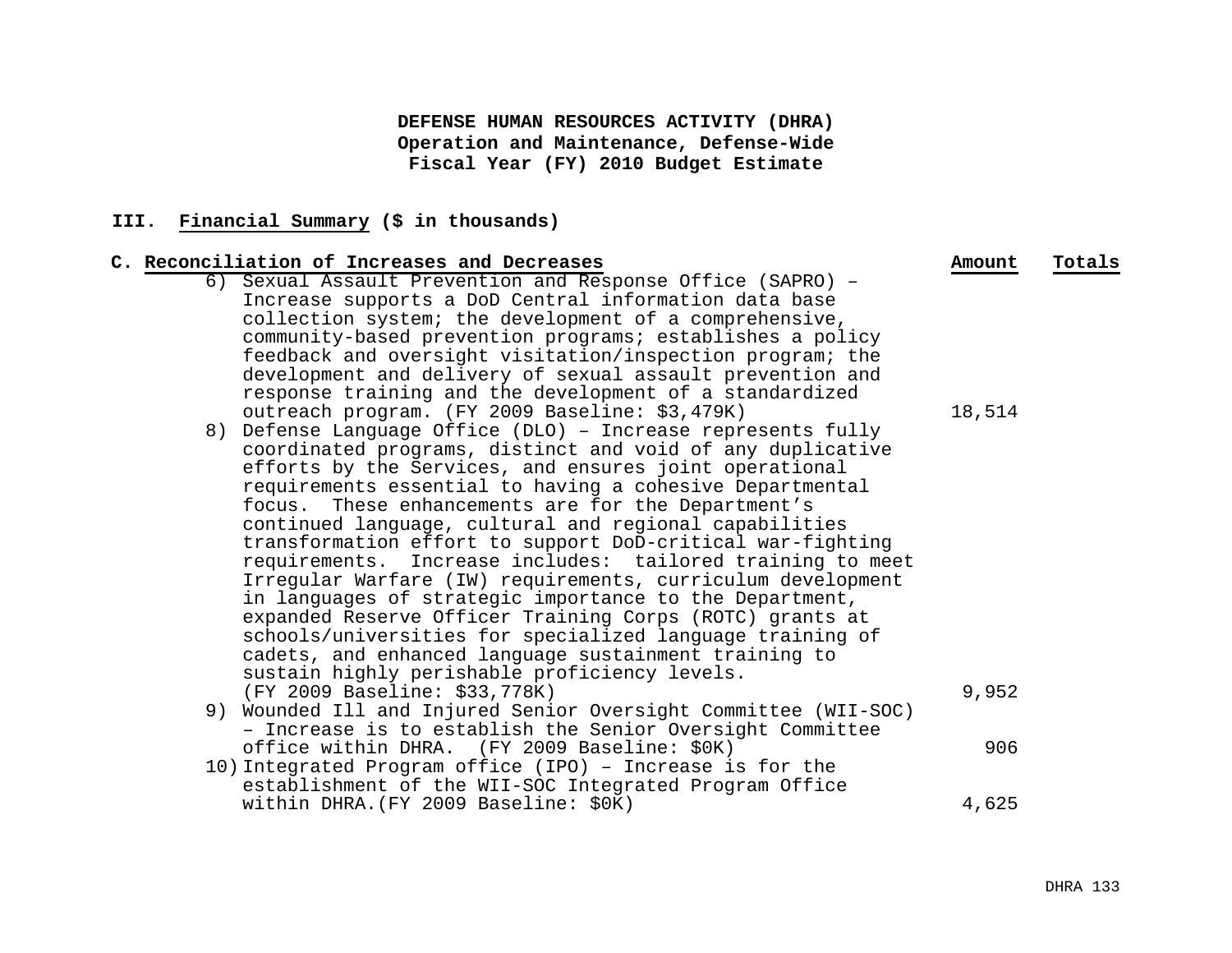#### **III. Financial Summary (\$ in thousands)**

# **C.** Reconciliation of Increases and Decreases Amount 6) Sexual Assault Prevention and Response Office (SAPRO) – Increase supports a DoD Central information data base collection system; the development of a comprehensive, community-based prevention programs; establishes a policy feedback and oversight visitation/inspection program; the development and delivery of sexual assault prevention and response training and the development of a standardized outreach program. (FY 2009 Baseline: \$3,479K) 18,514 8) Defense Language Office (DLO) – Increase represents fully coordinated programs, distinct and void of any duplicative efforts by the Services, and ensures joint operational requirements essential to having a cohesive Departmental

- focus. These enhancements are for the Department's continued language, cultural and regional capabilities transformation effort to support DoD-critical war-fighting requirements. Increase includes: tailored training to meet Irregular Warfare (IW) requirements, curriculum development in languages of strategic importance to the Department, expanded Reserve Officer Training Corps (ROTC) grants at schools/universities for specialized language training of cadets, and enhanced language sustainment training to sustain highly perishable proficiency levels. (FY 2009 Baseline: \$33,778K) 9,952 9) Wounded Ill and Injured Senior Oversight Committee (WII-SO C)
- Increase is to establish the Senior Oversight Committee office within DHRA. (FY 2009 Baseline: \$0K) 906
- 10) Integrated Program office (IPO) Increase is for the establishment of the WII-SOC Integrated Program Office within DHRA.(FY 2009 Baseline: \$0K) 4,625

DHRA 133

**Totals**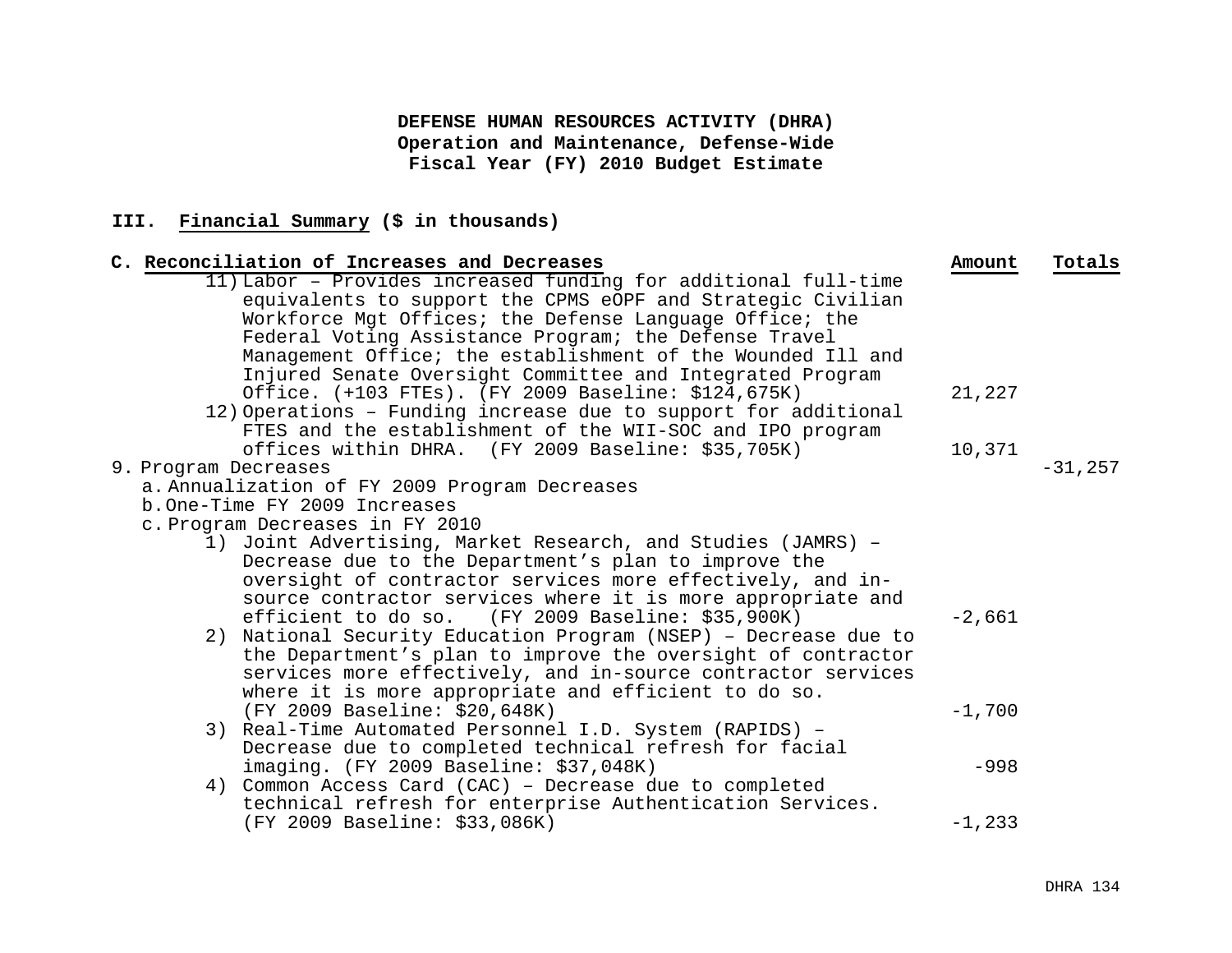# **III. Financial Summary (\$ in thousands)**

| C. Reconciliation of Increases and Decreases                       | Amount    | Totals    |
|--------------------------------------------------------------------|-----------|-----------|
| 11) Labor - Provides increased funding for additional full-time    |           |           |
| equivalents to support the CPMS eOPF and Strategic Civilian        |           |           |
| Workforce Mgt Offices; the Defense Language Office; the            |           |           |
| Federal Voting Assistance Program; the Defense Travel              |           |           |
| Management Office; the establishment of the Wounded Ill and        |           |           |
| Injured Senate Oversight Committee and Integrated Program          |           |           |
| Office. (+103 FTEs). (FY 2009 Baseline: \$124,675K)                | 21,227    |           |
| 12) Operations - Funding increase due to support for additional    |           |           |
| FTES and the establishment of the WII-SOC and IPO program          |           |           |
| offices within DHRA. (FY 2009 Baseline: \$35,705K)                 | 10,371    |           |
| 9. Program Decreases                                               |           | $-31,257$ |
| a. Annualization of FY 2009 Program Decreases                      |           |           |
| b. One-Time FY 2009 Increases                                      |           |           |
| c. Program Decreases in FY 2010                                    |           |           |
| 1) Joint Advertising, Market Research, and Studies (JAMRS) -       |           |           |
| Decrease due to the Department's plan to improve the               |           |           |
| oversight of contractor services more effectively, and in-         |           |           |
| source contractor services where it is more appropriate and        |           |           |
| efficient to do so. (FY 2009 Baseline: \$35,900K)                  | $-2,661$  |           |
| National Security Education Program (NSEP) - Decrease due to<br>2) |           |           |
| the Department's plan to improve the oversight of contractor       |           |           |
| services more effectively, and in-source contractor services       |           |           |
| where it is more appropriate and efficient to do so.               |           |           |
| (FY 2009 Baseline: \$20,648K)                                      | $-1,700$  |           |
| 3) Real-Time Automated Personnel I.D. System (RAPIDS) -            |           |           |
| Decrease due to completed technical refresh for facial             |           |           |
| imaging. (FY 2009 Baseline: \$37,048K)                             | $-998$    |           |
| Common Access Card (CAC) - Decrease due to completed<br>4)         |           |           |
| technical refresh for enterprise Authentication Services.          |           |           |
| (FY 2009 Baseline: \$33,086K)                                      | $-1, 233$ |           |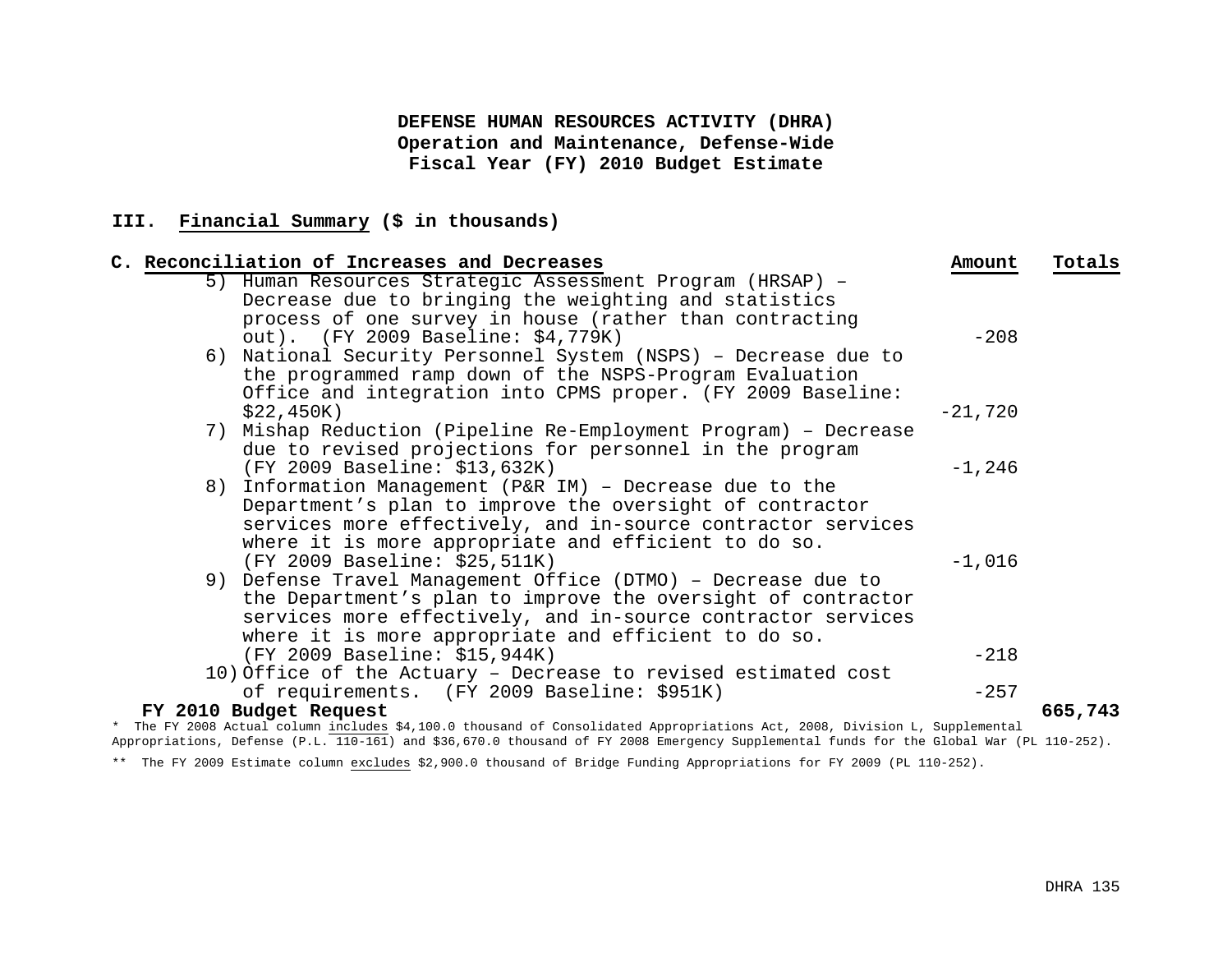# **III. Financial Summary (\$ in thousands)**

|    | C. Reconciliation of Increases and Decreases                                                                                            | Amount    | Totals  |
|----|-----------------------------------------------------------------------------------------------------------------------------------------|-----------|---------|
|    | 5) Human Resources Strategic Assessment Program (HRSAP) -                                                                               |           |         |
|    | Decrease due to bringing the weighting and statistics                                                                                   |           |         |
|    | process of one survey in house (rather than contracting                                                                                 |           |         |
|    | out). (FY 2009 Baseline: \$4,779K)                                                                                                      | $-208$    |         |
| 6) | National Security Personnel System (NSPS) - Decrease due to                                                                             |           |         |
|    | the programmed ramp down of the NSPS-Program Evaluation                                                                                 |           |         |
|    | Office and integration into CPMS proper. (FY 2009 Baseline:                                                                             |           |         |
|    | \$22,450K)                                                                                                                              | $-21,720$ |         |
|    | 7) Mishap Reduction (Pipeline Re-Employment Program) - Decrease                                                                         |           |         |
|    | due to revised projections for personnel in the program                                                                                 |           |         |
|    | (FY 2009 Baseline: \$13,632K)                                                                                                           | $-1,246$  |         |
|    | 8) Information Management (P&R IM) - Decrease due to the                                                                                |           |         |
|    | Department's plan to improve the oversight of contractor                                                                                |           |         |
|    | services more effectively, and in-source contractor services                                                                            |           |         |
|    | where it is more appropriate and efficient to do so.                                                                                    |           |         |
|    | (FY 2009 Baseline: \$25,511K)                                                                                                           | $-1,016$  |         |
|    | 9) Defense Travel Management Office (DTMO) - Decrease due to                                                                            |           |         |
|    | the Department's plan to improve the oversight of contractor                                                                            |           |         |
|    | services more effectively, and in-source contractor services                                                                            |           |         |
|    | where it is more appropriate and efficient to do so.                                                                                    |           |         |
|    | (FY 2009 Baseline: \$15,944K)                                                                                                           | $-218$    |         |
|    | 10) Office of the Actuary - Decrease to revised estimated cost                                                                          |           |         |
|    | of requirements. (FY 2009 Baseline: \$951K)                                                                                             | $-257$    |         |
|    | FY 2010 Budget Request                                                                                                                  |           | 665,743 |
|    | * The FY 2008 Actual column includes \$4,100.0 thousand of Consolidated Appropriations Act, 2008, Division L, Supplemental              |           |         |
|    | Appropriations, Defense (P.L. 110-161) and \$36,670.0 thousand of FY 2008 Emergency Supplemental funds for the Global War (PL 110-252). |           |         |

\*\* The FY 2009 Estimate column excludes \$2,900.0 thousand of Bridge Funding Appropriations for FY 2009 (PL 110-252).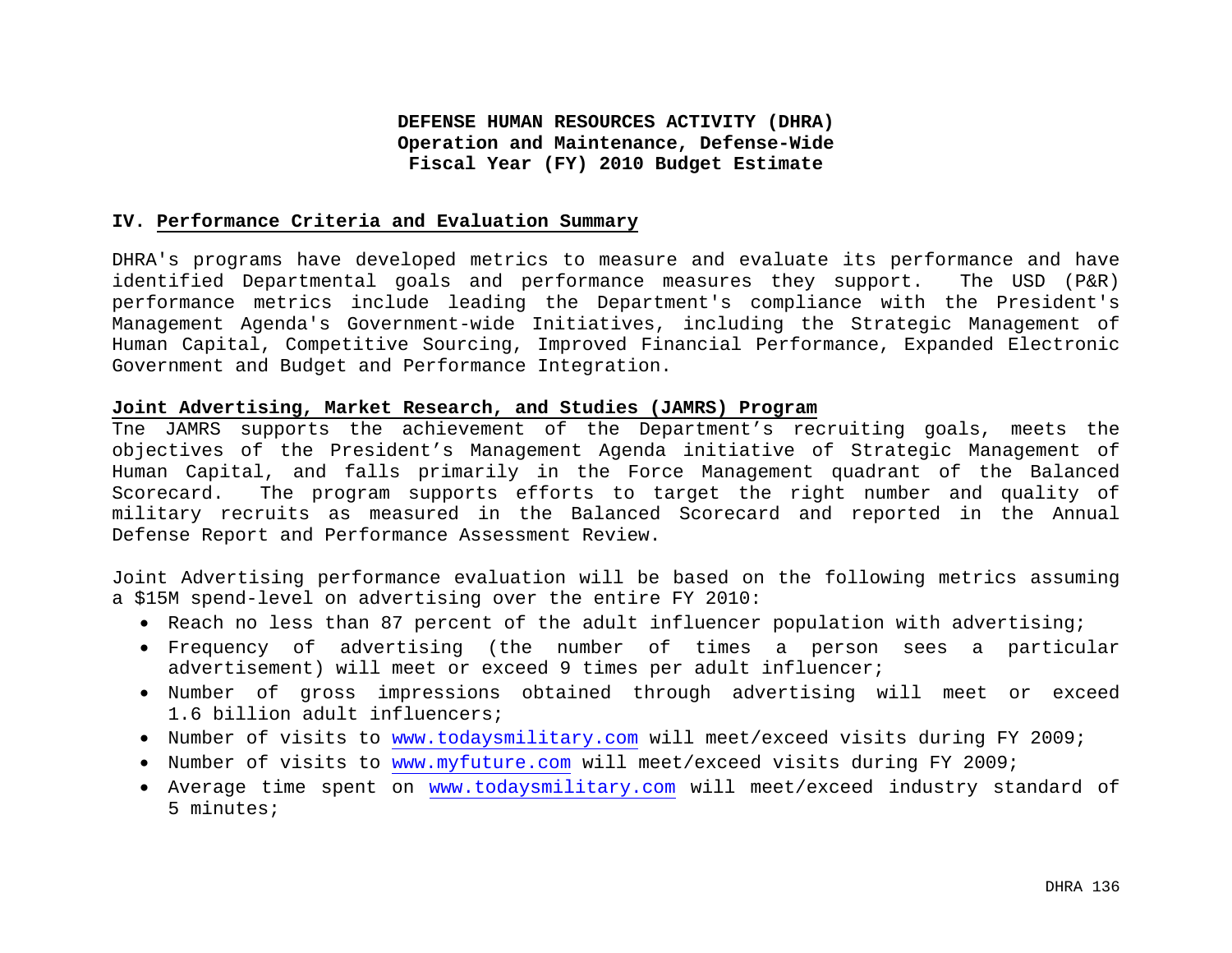### **IV. Performance Criteria and Evaluation Summary**

DHRA's programs have developed metrics to measure and evaluate its performance and have identified Departmental goals and performance measures they support. The USD (P&R) performance metrics include leading the Department's compliance with the President's Management Agenda's Government-wide Initiatives, including the Strategic Management of Human Capital, Competitive Sourcing, Improved Financial Performance, Expanded Electronic Government and Budget and Performance Integration.

#### **Joint Advertising, Market Research, and Studies (JAMRS) Program**

Tne JAMRS supports the achievement of the Department's recruiting goals, meets the objectives of the President's Management Agenda initiative of Strategic Management of Human Capital, and falls primarily in the Force Management quadrant of the Balanced Scorecard. The program supports efforts to target the right number and quality of military recruits as measured in the Balanced Scorecard and reported in the Annual Defense Report and Performance Assessment Review.

Joint Advertising performance evaluation will be based on the following metrics assuming a \$15M spend-level on advertising over the entire FY 2010:

- Reach no less than 87 percent of the adult influencer population with advertising;
- Frequency of advertising (the number of times a person sees a particular advertisement) will meet or exceed 9 times per adult influencer;
- Number of gross impressions obtained through advertising will meet or exceed 1.6 billion adult influencers;
- Number of visits to [www.todaysmilitary.com](http://www.todaysmilitary.com/) will meet/exceed visits during FY 2009;
- Number of visits to [www.myfuture.com](http://www.myfuture.com/) will meet/exceed visits during FY 2009;
- Average time spent on [www.todaysmilitary.com](http://www.todaysmilitary.com/) will meet/exceed industry standard of 5 minutes;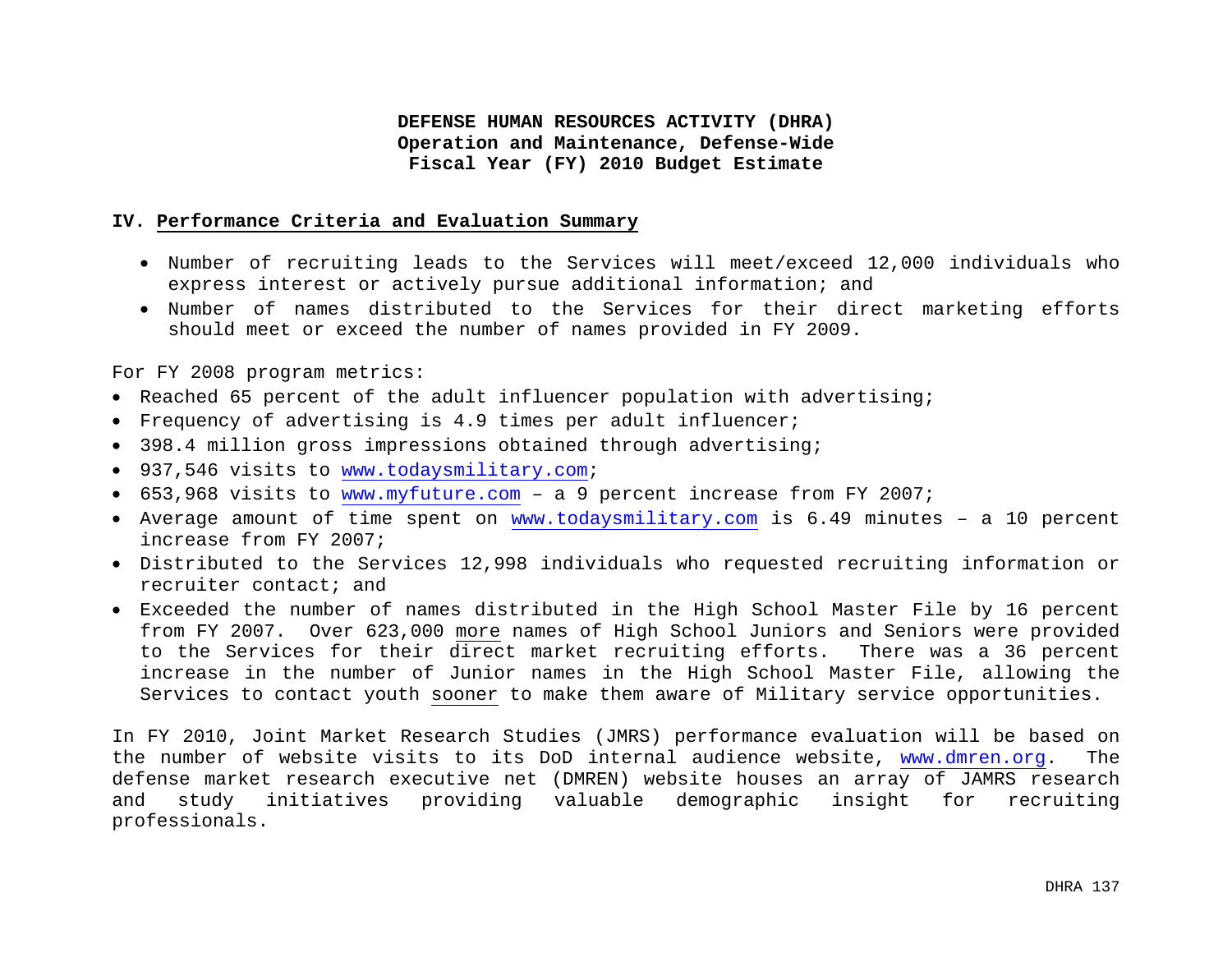#### **IV P . erformance Criteria and Evaluation Summary**

- Number of recruiting leads to the Services will meet/exceed 12,000 individuals who express interest or actively pursue additional information; and
- Number of names distributed to the Services for their direct marketing efforts should meet or exceed the number of names provided in FY 2009.

For FY 2008 program metrics:

- Reached 65 percent of the adult influencer population with advertising;
- Frequency of advertising is 4.9 times per adult influencer;
- 398.4 million gross impressions obtained through advertising;
- 937,546 visits to [www.todaysmilitary.com](http://www.todaysmilitary.com/);
- 653,968 visits to [www.myfuture.com](http://www.myfuture.com/)  a 9 percent increase from FY 2007;
- Average amount of time spent on [www.todaysmilitary.com](http://www.todaysmilitary.com/) is 6.49 minutes a 10 percent increase from FY 2007;
- Distributed to the Services 12,998 individuals who requested recruiting information or recruiter contact; and
- Exceeded the number of names distributed in the High School Master File by 16 percent from FY 2007. Over 623,000 more names of High School Juniors and Seniors were provided to the Services for their direct market recruiting efforts. There was a 36 percent increase in the number of Junior names in the High School Master File, allowing the Services to contact youth sooner to make them aware of Military service opportunities.

In FY 2010, Joint Market Research Studies (JMRS) performance evaluation will be based on the number of website visits to its DoD internal audience website, [www.dmren.org](http://www.dmren.org/). The defense market research executive net (DMREN) website houses an array of JAMRS research and study initiatives providing valuable demographic insight for recruiting professionals.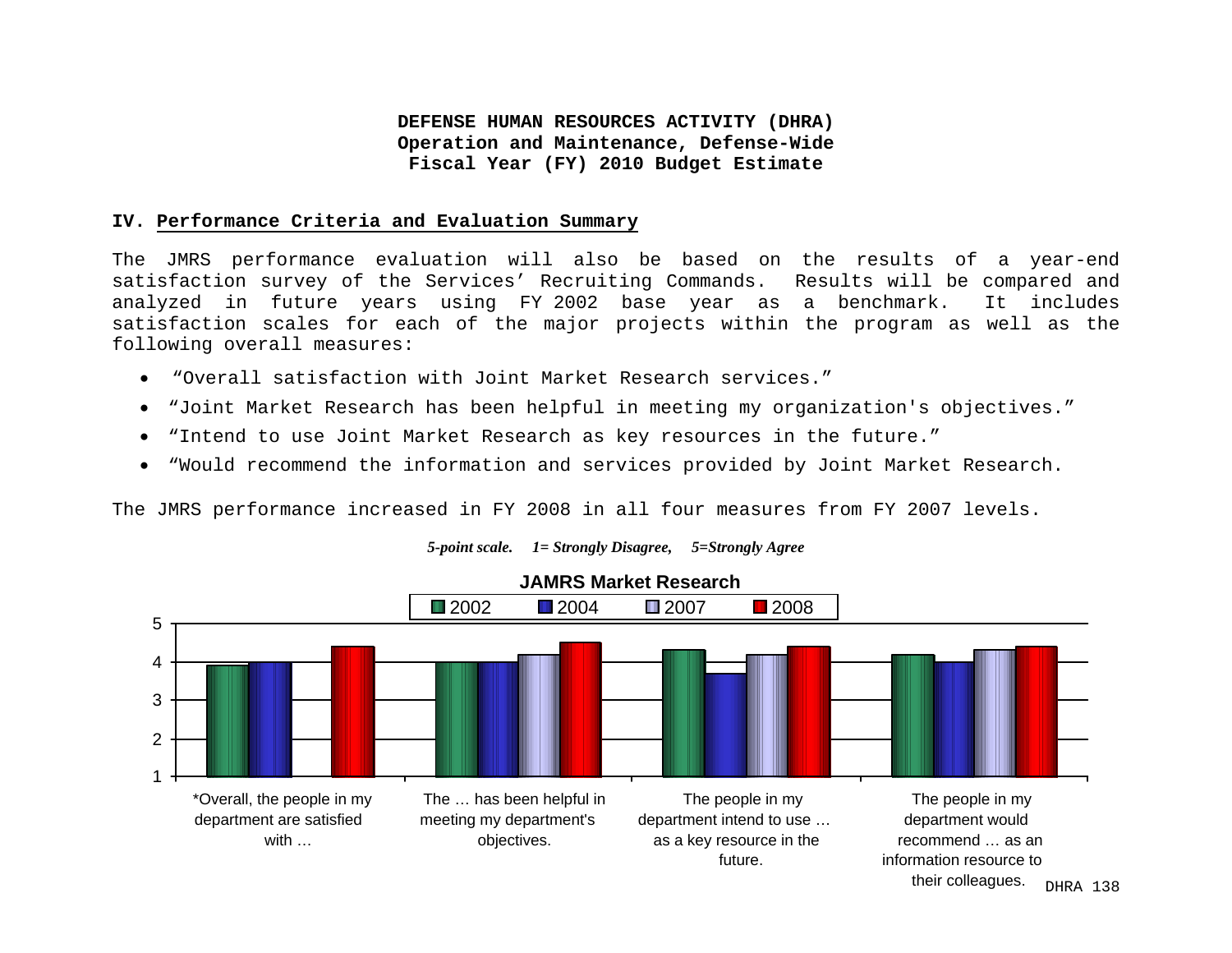### **IV. Performance Criteria and Evaluation Summary**

The JMRS performance evaluation will also be based on the results of a year-end satisfaction survey of the Services' Recruiting Commands. Results will be compared and analyzed in future years using FY 2002 base year as a benchmark. It includes satisfaction scales for each of the major projects within the program as well as the following overall measures:

- •"Overall satisfaction with Joint Market Research services."
- "Joint Market Research has been helpful in meeting my organization's objectives."
- •"Intend to use Joint Market Research as key resources in the future."
- •"Would recommend the information and services provided by Joint Market Research.

The JMRS performance increased in FY 2008 in all four measures from FY 2007 levels.



*5-point scale. 1= Strongly Disagree, 5=Strongly Agree*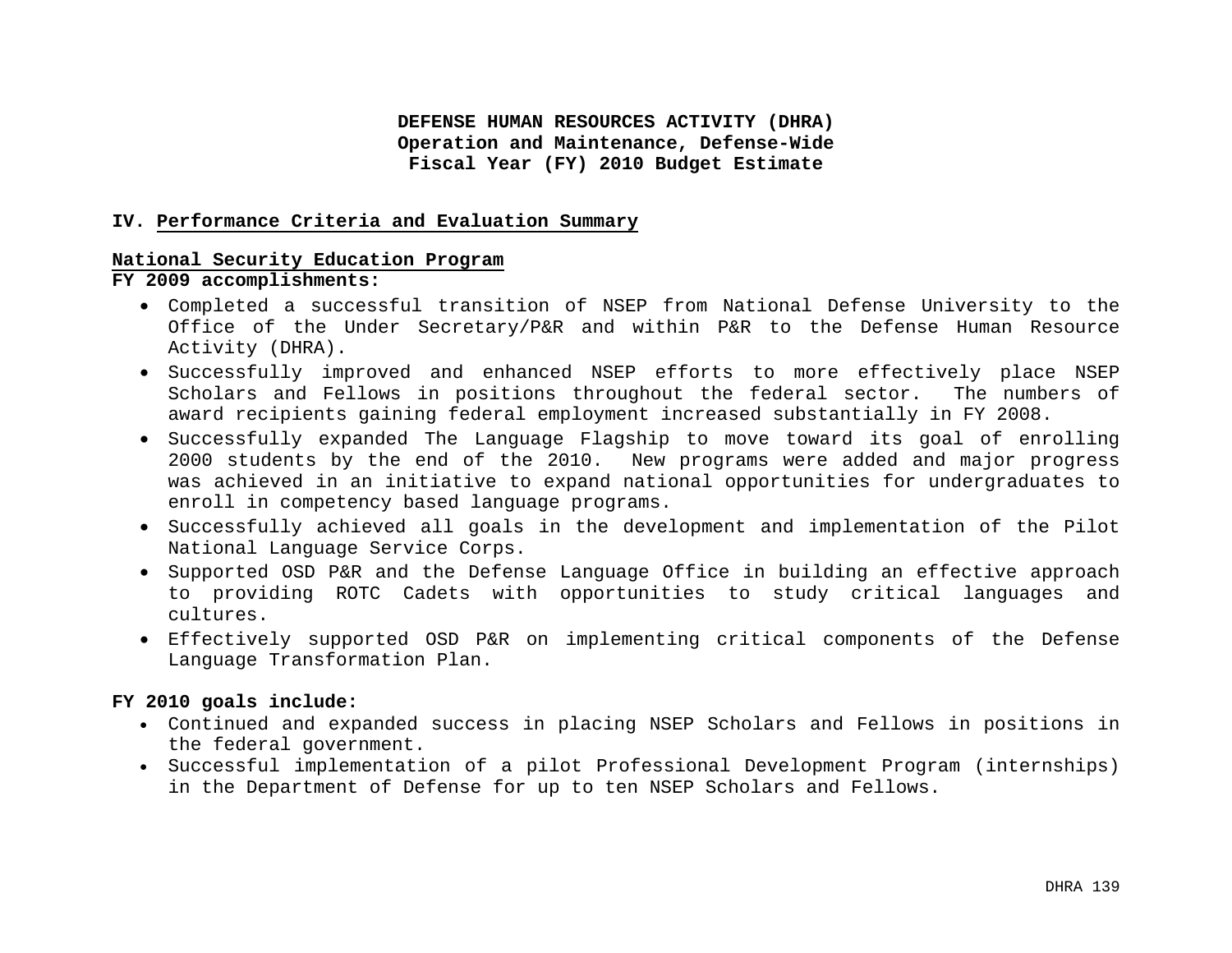### **IV. Performance Criteria and Evaluation Summary**

#### **National Security Education Program**

#### **FY 2009 accomplishments:**

- Completed a successful transition of NSEP from National Defense University to the Office of the Under Secretary/P&R and within P&R to the Defense Human Resource Activity (DHRA).
- Successfully improved and enhanced NSEP efforts to more effectively place NSEP Scholars and Fellows in positions throughout the federal sector. The numbers of award recipients gaining federal employment increased substantially in FY 2008.
- Successfully expanded The Language Flagship to move toward its goal of enrolling 2000 students by the end of the 2010. New programs were added and major progress was achieved in an initiative to expand national opportunities for undergraduates to enroll in competency based language programs.
- Successfully achieved all goals in the development and implementation of the Pilot National Language Service Corps.
- Supported OSD P&R and the Defense Language Office in building an effective approach to providing ROTC Cadets with opportunities to study critical languages and cultures.
- Effectively supported OSD P&R on implementing critical components of the Defense Language Transformation Plan.

#### **FY 2010 goals include:**

- Continued and expanded success in placing NSEP Scholars and Fellows in positions in the federal government.
- Successful implementation of a pilot Professional Development Program (internships) in the Department of Defense for up to ten NSEP Scholars and Fellows.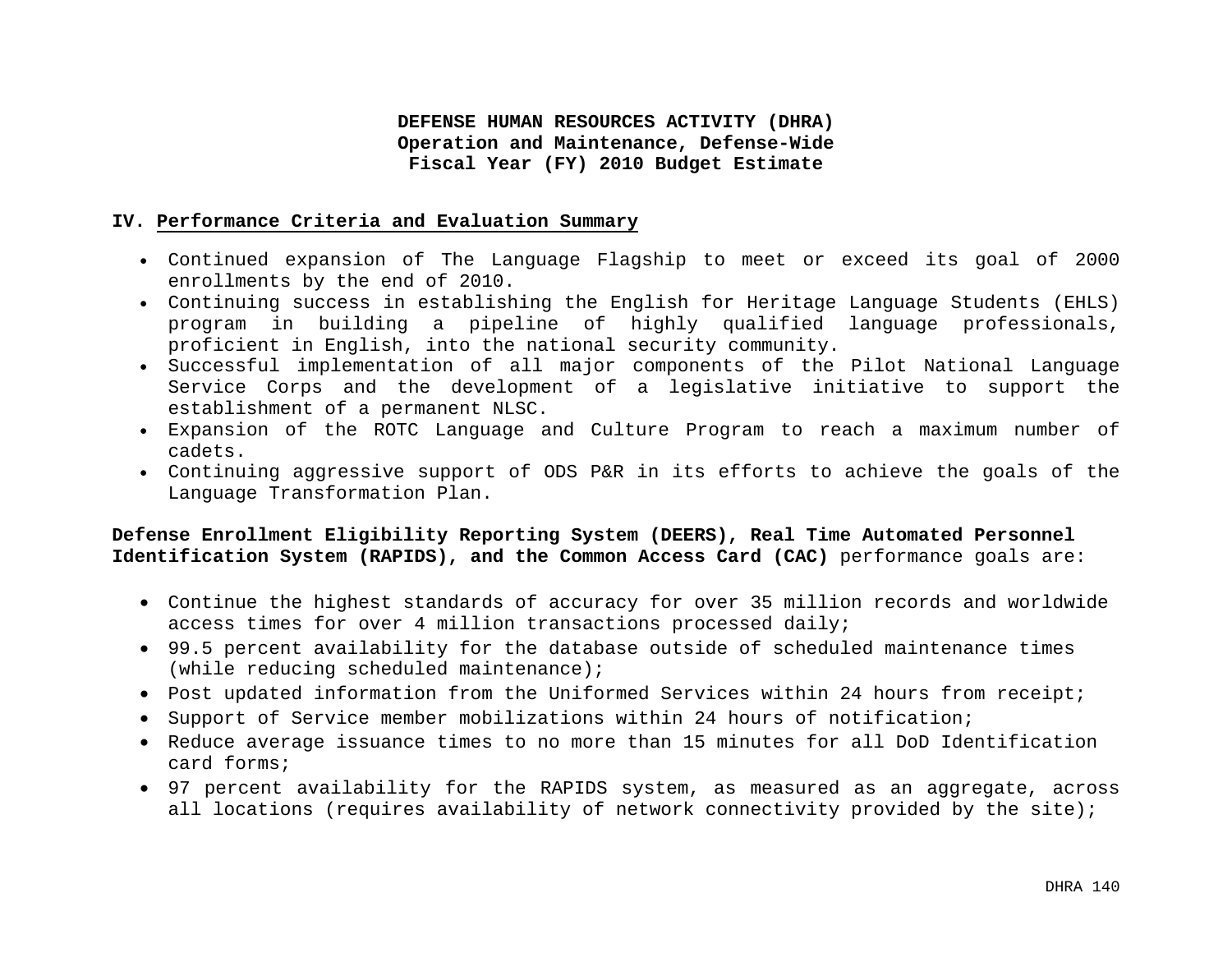#### **IV P . erformance Criteria and Evaluation Summary**

- Continued expansion of The Language Flagship to meet or exceed its goal of 2000 enrollments by the end of 2010.
- Continuing success in establishing the English for Heritage Language Students (EHLS) program in building a pipeline of highly qualified language professionals, proficient in English, into the national security community.
- Successful implementation of all major components of the Pilot National Language Service Corps and the development of a legislative initiative to support the establishment of a permanent NLSC.
- Expansion of the ROTC Language and Culture Program to reach a maximum number of cadets.
- Continuing aggressive support of ODS P&R in its efforts to achieve the goals of the Language Transformation Plan.

**Defense Enrollment Eligibility Reporting System (DEERS), Real Time Automated Personnel Identification System (RAPIDS), and the Common Access Card (CAC)** performance goals are:

- Continue the highest standards of accuracy for over 35 million records and worldwide access times for over 4 million transactions processed daily;
- 99.5 percent availability for the database outside of scheduled maintenance times (while reducing scheduled maintenance);
- Post updated information from the Uniformed Services within 24 hours from receipt;
- Support of Service member mobilizations within 24 hours of notification;
- Reduce average issuance times to no more than 15 minutes for all DoD Identification card forms;
- 97 percent availability for the RAPIDS system, as measured as an aggregate, across all locations (requires availability of network connectivity provided by the site);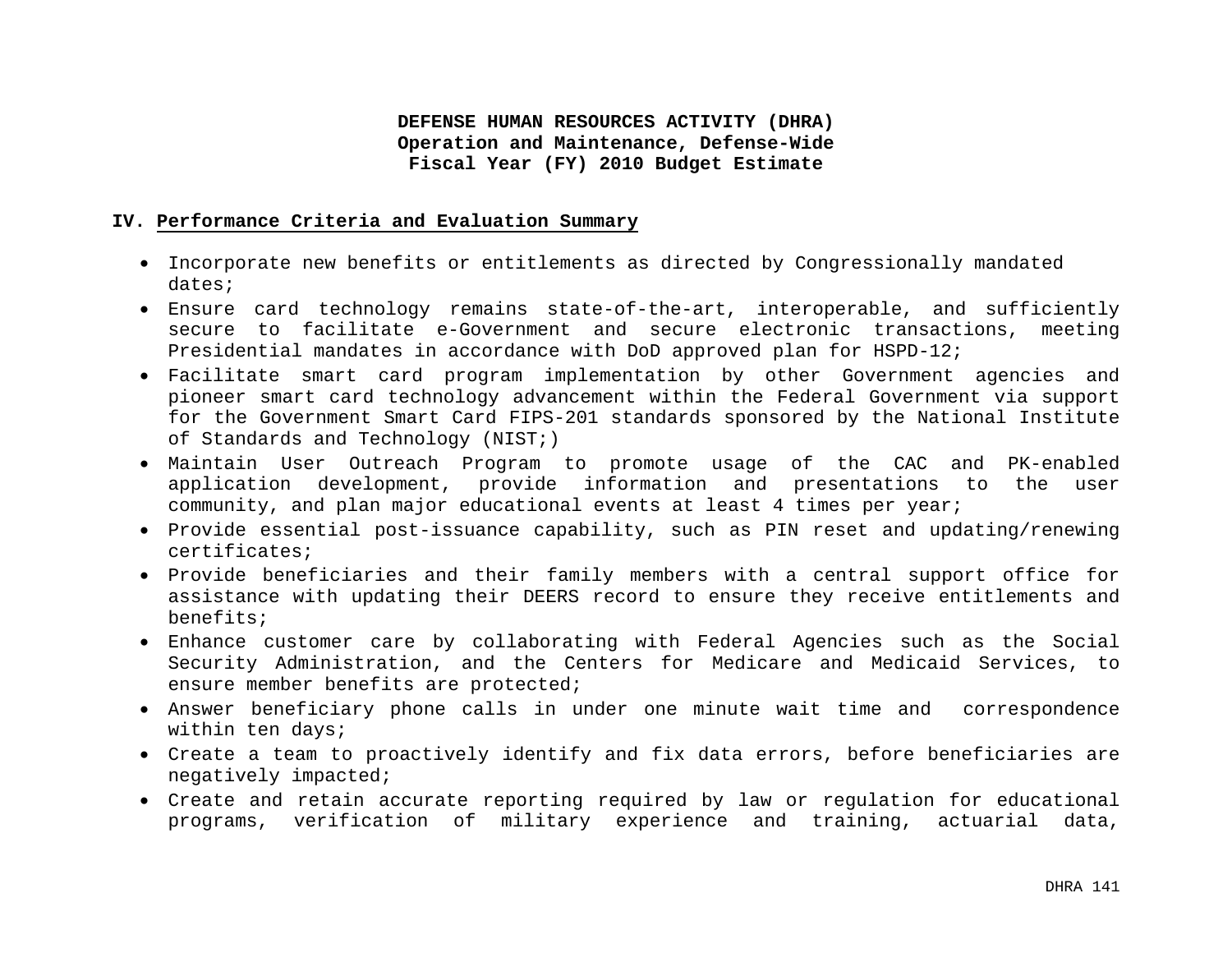#### **IV P . erformance Criteria and Evaluation Summary**

- Incorporate new benefits or entitlements as directed by Congressionally mandated dates;
- Ensure card technology remains state-of-the-art, interoperable, and sufficiently secure to facilitate e-Government and secure electronic transactions, meeting Presidential mandates in accordance with DoD approved plan for HSPD-12;
- Facilitate smart card program implementation by other Government agencies and pioneer smart card technology advancement within the Federal Government via support for the Government Smart Card FIPS-201 standards sponsored by the National Institute of Standards and Technology (NIST;)
- Maintain User Outreach Program to promote usage of the CAC and PK-enabled application development, provide information and presentations to the user community, and plan major educational events at least 4 times per year;
- Provide essential post-issuance capability, such as PIN reset and updating/renewing certificates;
- Provide beneficiaries and their family members with a central support office for assistance with updating their DEERS record to ensure they receive entitlements and benefits;
- Enhance customer care by collaborating with Federal Agencies such as the Social Security Administration, and the Centers for Medicare and Medicaid Services, to ensure member benefits are protected;
- Answer beneficiary phone calls in under one minute wait time and correspondence within ten days;
- Create a team to proactively identify and fix data errors, before beneficiaries are negatively impacted;
- Create and retain accurate reporting required by law or regulation for educational programs, verification of military experience and training, actuarial data,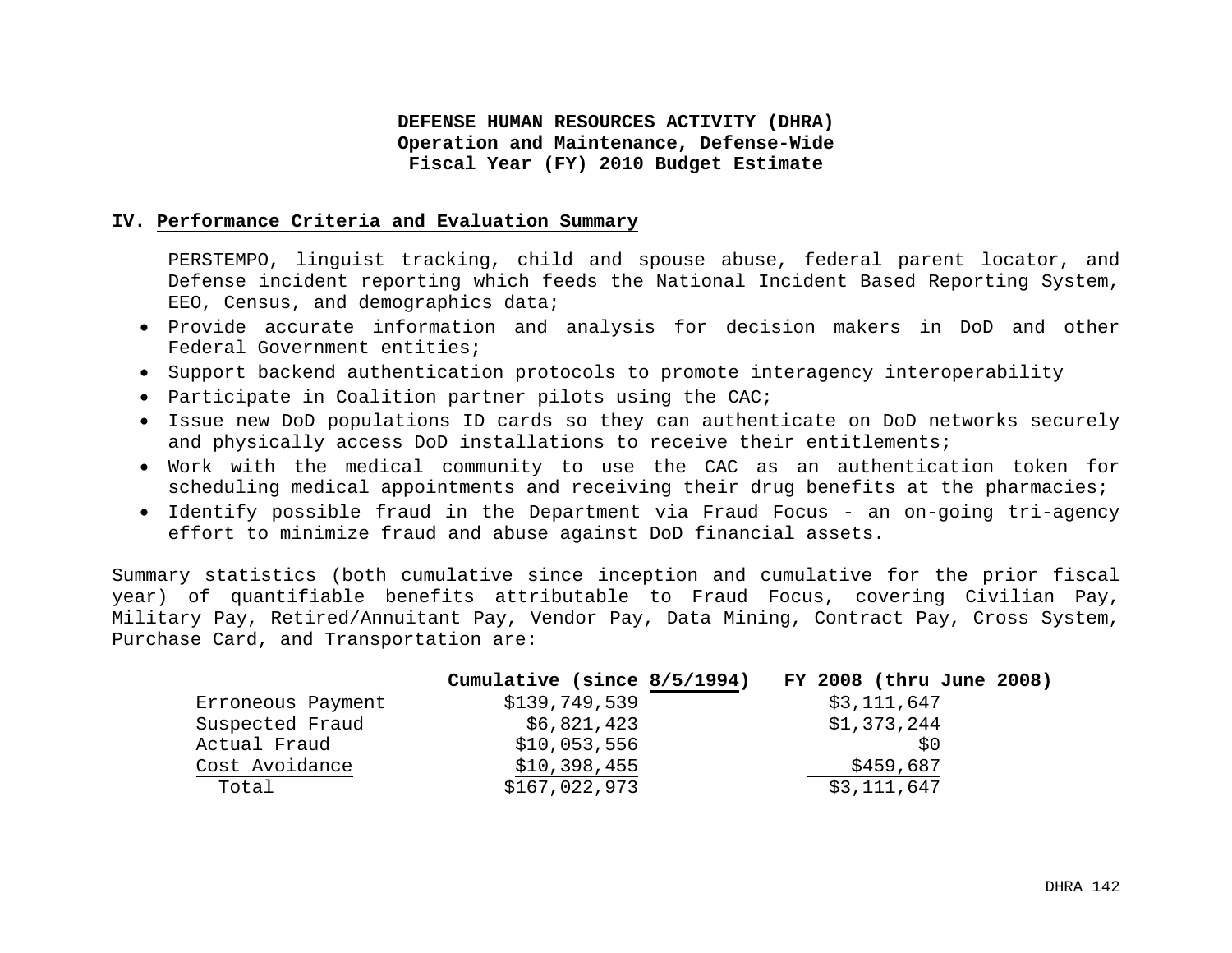### **IV. Performance Criteria and Evaluation Summary**

PERSTEMPO, linguist tracking, child and spouse abuse, federal parent locator, and Defense incident reporting which feeds the National Incident Based Reporting System, EEO, Census, and demographics data;

- Provide accurate information and analysis for decision makers in DoD and other Federal Government entities;
- Support backend authentication protocols to promote interagency interoperability
- Participate in Coalition partner pilots using the CAC;
- Issue new DoD populations ID cards so they can authenticate on DoD networks securely and physically access DoD installations to receive their entitlements;
- Work with the medical community to use the CAC as an authentication token for scheduling medical appointments and receiving their drug benefits at the pharmacies;
- Identify possible fraud in the Department via Fraud Focus an on-going tri-agency effort to minimize fraud and abuse against DoD financial assets.

Summary statistics (both cumulative since inception and cumulative for the prior fiscal year) of quantifiable benefits attributable to Fraud Focus, covering Civilian Pay, Military Pay, Retired/Annuitant Pay, Vendor Pay, Data Mining, Contract Pay, Cross System, Purchase Card, and Transportation are:

| Cumulative (since 8/5/1994) | FY 2008 (thru June 2008) |
|-----------------------------|--------------------------|
| \$139,749,539               | \$3,111,647              |
| \$6,821,423                 | \$1,373,244              |
| \$10,053,556                | SO.                      |
| \$10,398,455                | \$459,687                |
| \$167,022,973               | \$3,111,647              |
|                             |                          |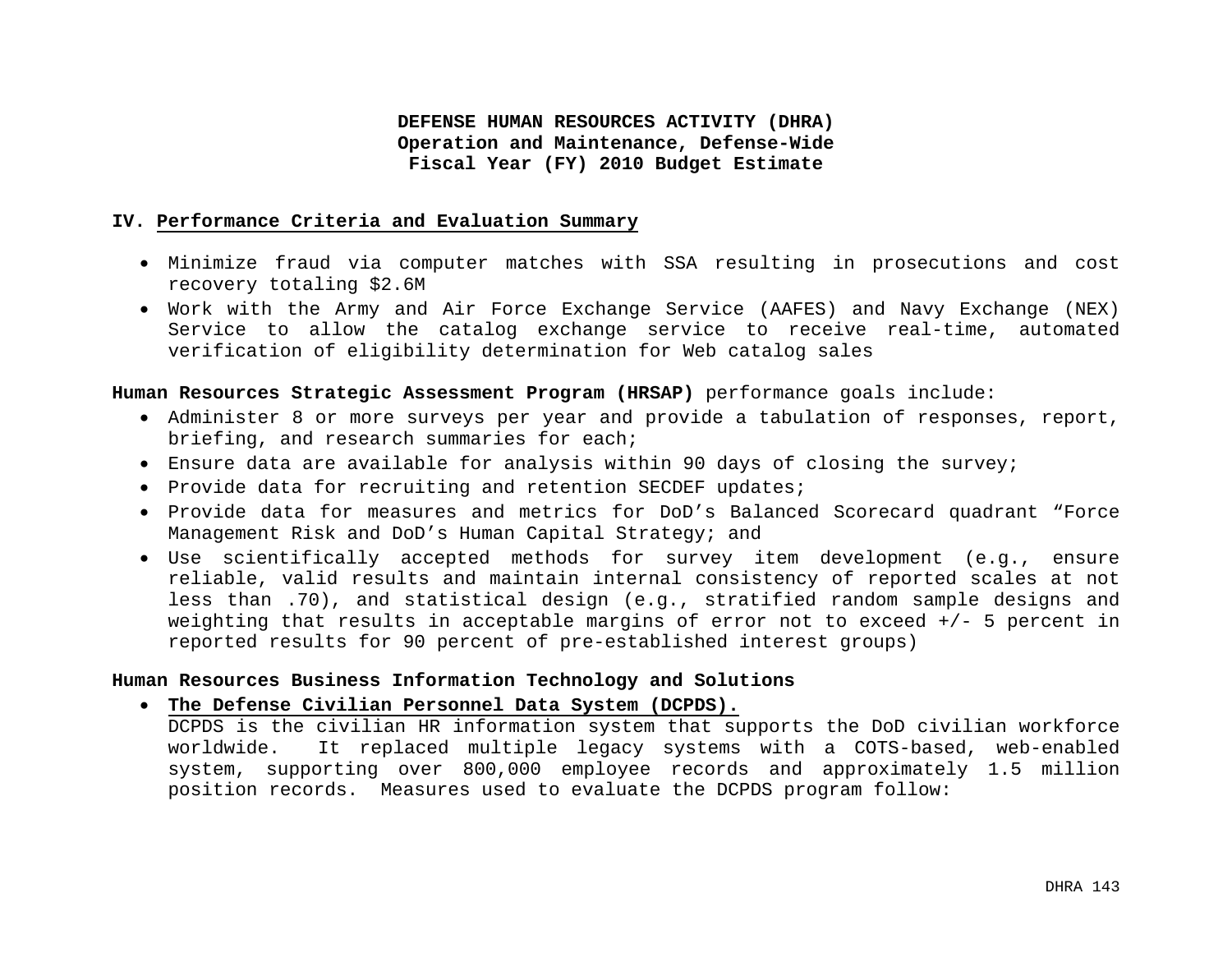#### **IV P . erformance Criteria and Evaluation Summary**

- Minimize fraud via computer matches with SSA resulting in prosecutions and cost recovery totaling \$2.6M
- Work with the Army and Air Force Exchange Service (AAFES) and Navy Exchange (NEX) Service to allow the catalog exchange service to receive real-time, automated verification of eligibility determination for Web catalog sales

#### **Human Resources Strategic Assessment Program (HRSAP)** performance goals include:

- Administer 8 or more surveys per year and provide a tabulation of responses, report, briefing, and research summaries for each;
- Ensure data are available for analysis within 90 days of closing the survey;
- Provide data for recruiting and retention SECDEF updates;
- Provide data for measures and metrics for DoD's Balanced Scorecard quadrant "Force Management Risk and DoD's Human Capital Strategy; and
- Use scientifically accepted methods for survey item development (e.g., ensure reliable, valid results and maintain internal consistency of reported scales at not less than .70), and statistical design (e.g., stratified random sample designs and weighting that results in acceptable margins of error not to exceed +/- 5 percent in reported results for 90 percent of pre-established interest groups)

#### **Human Resources Business Information Technology and Solutions**

• **The Defense Civilian Personnel Data System (DCPDS).**

DCPDS is the civilian HR information system that supports the DoD civilian workforce worldwide. It replaced multiple legacy systems with a COTS-based, web-enabled system, supporting over 800,000 employee records and approximately 1.5 million position records. Measures used to evaluate the DCPDS program follow: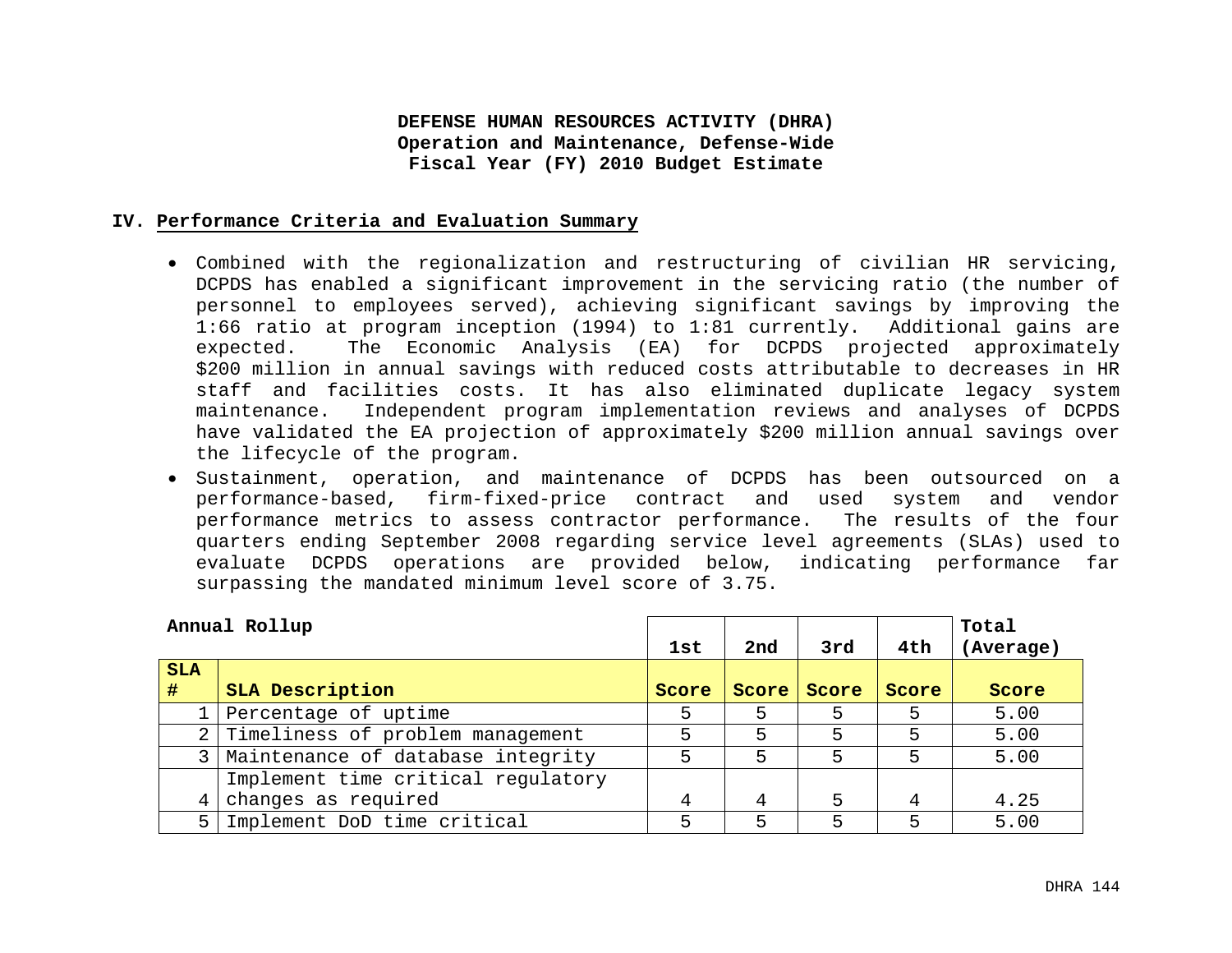### **IV. Performance Criteria and Evaluation Summary**

- Combined with the regionalization and restructuring of civilian HR servicing, DCPDS has enabled a significant improvement in the servicing ratio (the number of personnel to employees served), achieving significant savings by improving the 1:66 ratio at program inception (1994) to 1:81 currently. Additional gains are expected. The Economic Analysis (EA) for DCPDS projected approximately \$200 million in annual savings with reduced costs attributable to decreases in HR staff and facilities costs. It has also eliminated duplicate legacy system maintenance. Independent program implementation reviews and analyses of DCPDS have validated the EA projection of approximately \$200 million annual savings over the lifecycle of the program.
- Sustainment, operation, and maintenance of DCPDS has been outsourced on a performance-based, firm-fixed-price contract and used system and vendor performance metrics to assess contractor performance. The results of the four quarters ending September 2008 regarding service level agreements (SLAs) used to evaluate DCPDS operations are provided below, indicating performance far surpassing the mandated minimum level score of 3.75.

| Annual Rollup |                                       |            |       |       |       | Total     |
|---------------|---------------------------------------|------------|-------|-------|-------|-----------|
|               |                                       | <b>1st</b> | 2nd   | 3rd   | 4th   | (Average) |
| <b>SLA</b>    |                                       |            |       |       |       |           |
| #             | <b>SLA Description</b>                | Score      | Score | Score | Score | Score     |
|               | Percentage of uptime                  | 5          | 5     | 5     | 5     | 5.00      |
|               | 2 Timeliness of problem management    | 5          | 5     | 5     |       | 5.00      |
|               | 3   Maintenance of database integrity | 5          | 5     | 5     | 5     | 5.00      |
|               | Implement time critical regulatory    |            |       |       |       |           |
| 4             | changes as required                   | 4          | 4     | 5     | 4     | 4.25      |
| $5 -$         | Implement DoD time critical           | 5          | 5     | 5     |       | 5.00      |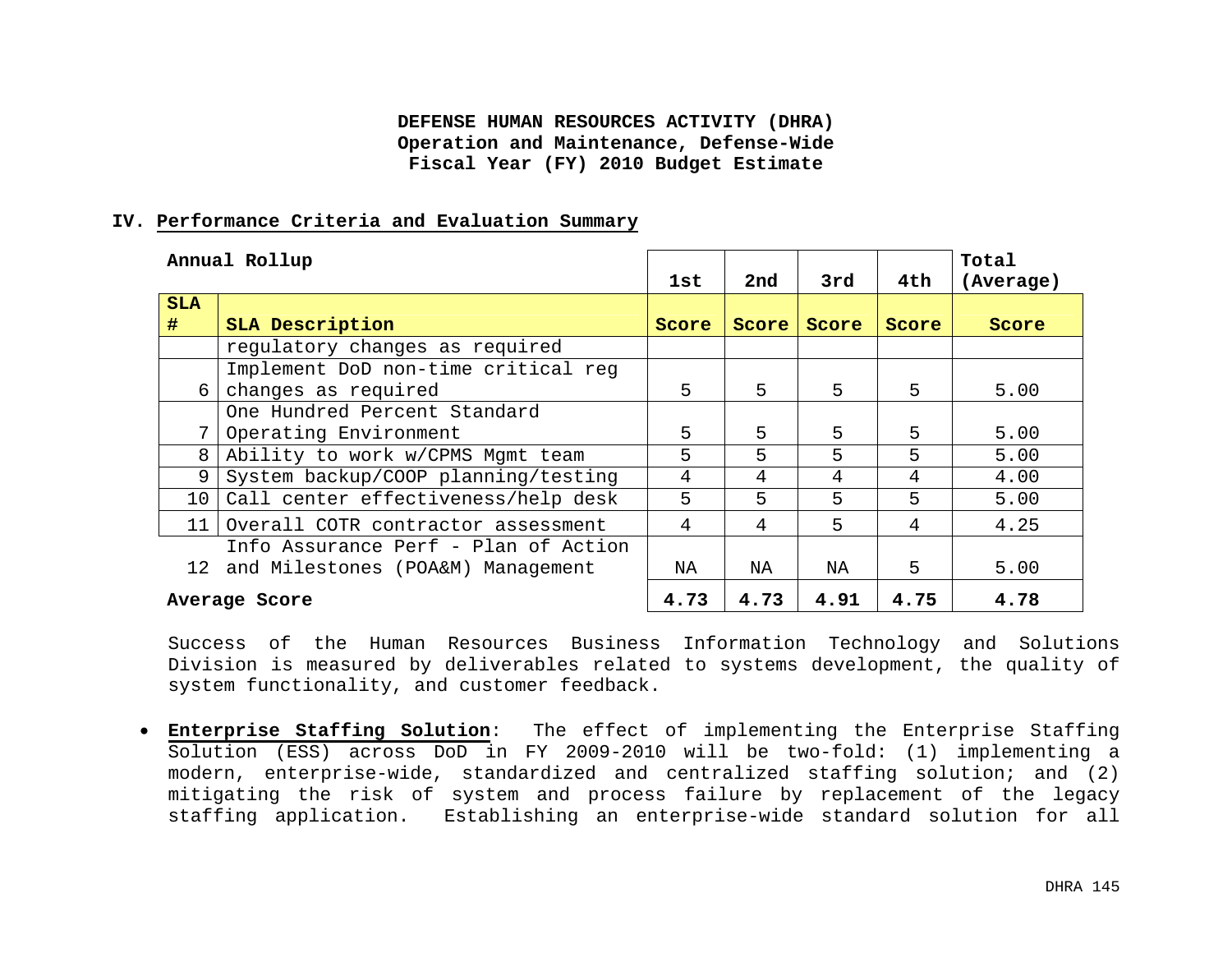#### **IV. Performance Criteria and Evaluation Summary**

| Annual Rollup   |                                      | 1st   | 2nd   | 3rd   | 4th   | Total<br>(Average) |
|-----------------|--------------------------------------|-------|-------|-------|-------|--------------------|
| <b>SLA</b>      |                                      |       |       |       |       |                    |
| #               | <b>SLA Description</b>               | Score | Score | Score | Score | Score              |
|                 | regulatory changes as required       |       |       |       |       |                    |
|                 | Implement DoD non-time critical reg  |       |       |       |       |                    |
| 6               | changes as required                  | 5     | 5     | 5     | 5     | 5.00               |
|                 | One Hundred Percent Standard         |       |       |       |       |                    |
|                 | Operating Environment                | 5     | 5     | 5     | 5     | 5.00               |
| 8               | Ability to work w/CPMS Mgmt team     | 5     | 5     | 5     | 5     | 5.00               |
| 9               | System backup/COOP planning/testing  | 4     | 4     | 4     | 4     | 4.00               |
| 10 <sup>1</sup> | Call center effectiveness/help desk  | 5     | 5     | 5     | 5.    | 5.00               |
| 11              | Overall COTR contractor assessment   | 4     | 4     | 5     | 4     | 4.25               |
|                 | Info Assurance Perf - Plan of Action |       |       |       |       |                    |
| 12              | and Milestones (POA&M) Management    | ΝA    | ΝA    | ΝA    | 5     | 5.00               |
| Average Score   |                                      | 4.73  | 4.73  | 4.91  | 4.75  | 4.78               |

Success of the Human Resources Business Information Technology and Solutions Division is measured by deliverables related to systems development, the quality of system functionality, and customer feedback.

• **Enterprise Staffing Solution**: The effect of implementing the Enterprise Staffing Solution (ESS) across DoD in FY 2009-2010 will be two-fold: (1) implementing a modern, enterprise-wide, standardized and centralized staffing solution; and (2) mitigating the risk of system and process failure by replacement of the legacy staffing application. Establishing an enterprise-wide standard solution for all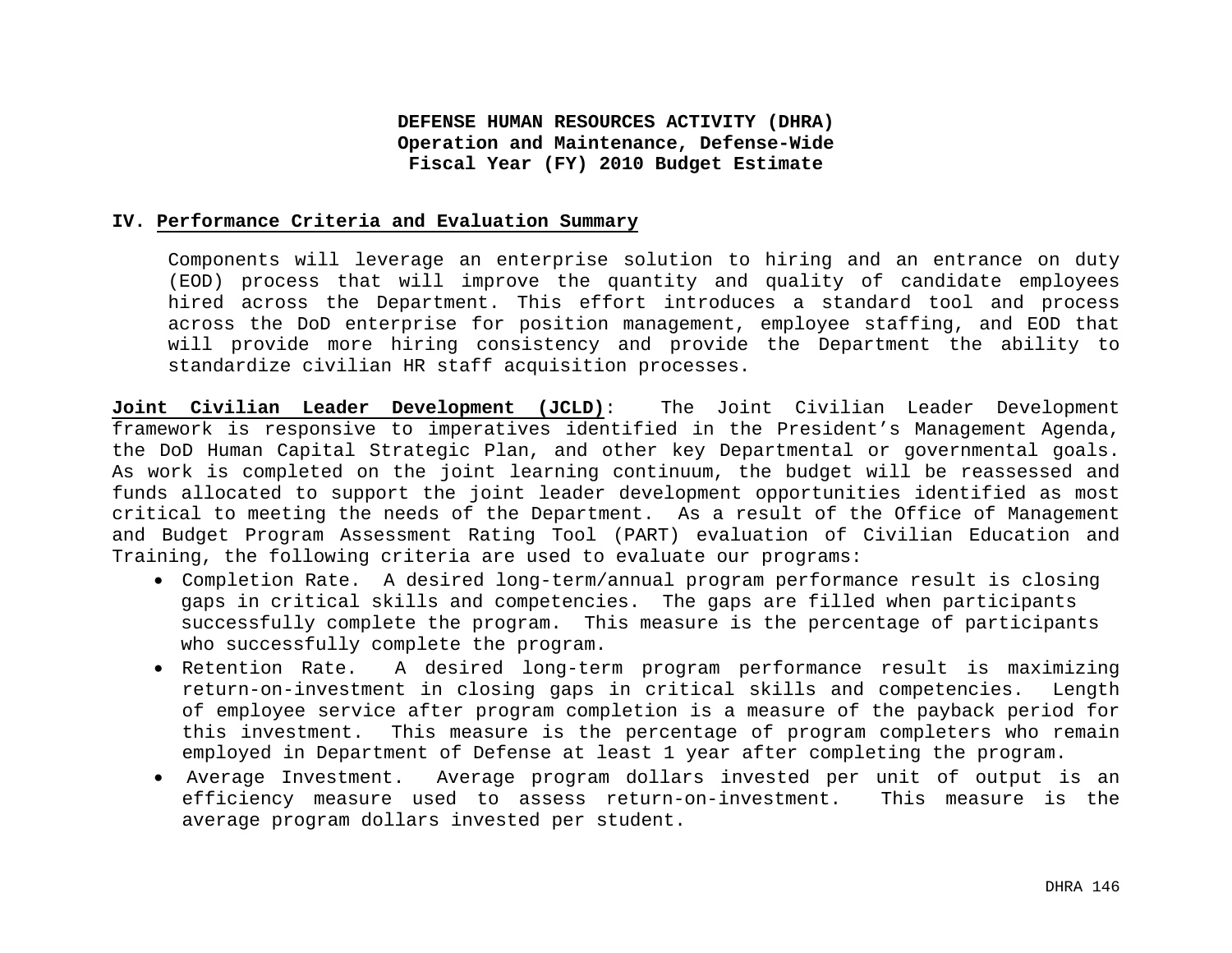### **IV. Performance Criteria and Evaluation Summary**

Components will leverage an enterprise solution to hiring and an entrance on duty (EOD) process that will improve the quantity and quality of candidate employees hired across the Department. This effort introduces a standard tool and process across the DoD enterprise for position management, employee staffing, and EOD that will provide more hiring consistency and provide the Department the ability to standardize civilian HR staff acquisition processes.

**Joint Civilian Leader Development (JCLD)**: The Joint Civilian Leader Development framework is responsive to imperatives identified in the President's Management Agenda, the DoD Human Capital Strategic Plan, and other key Departmental or governmental goals. As work is completed on the joint learning continuum, the budget will be reassessed and funds allocated to support the joint leader development opportunities identified as most critical to meeting the needs of the Department. As a result of the Office of Management and Budget Program Assessment Rating Tool (PART) evaluation of Civilian Education and Training, the following criteria are used to evaluate our programs:

- Completion Rate. A desired long-term/annual program performance result is closing gaps in critical skills and competencies. The gaps are filled when participants successfully complete the program. This measure is the percentage of participants who successfully complete the program.
- Retention Rate. A desired long-term program performance result is maximizing return-on-investment in closing gaps in critical skills and competencies. Length of employee service after program completion is a measure of the payback period for this investment. This measure is the percentage of program completers who remain employed in Department of Defense at least 1 year after completing the program.
- Average Investment. Average program dollars invested per unit of output is an efficiency measure used to assess return-on-investment. This measure is the average program dollars invested per student.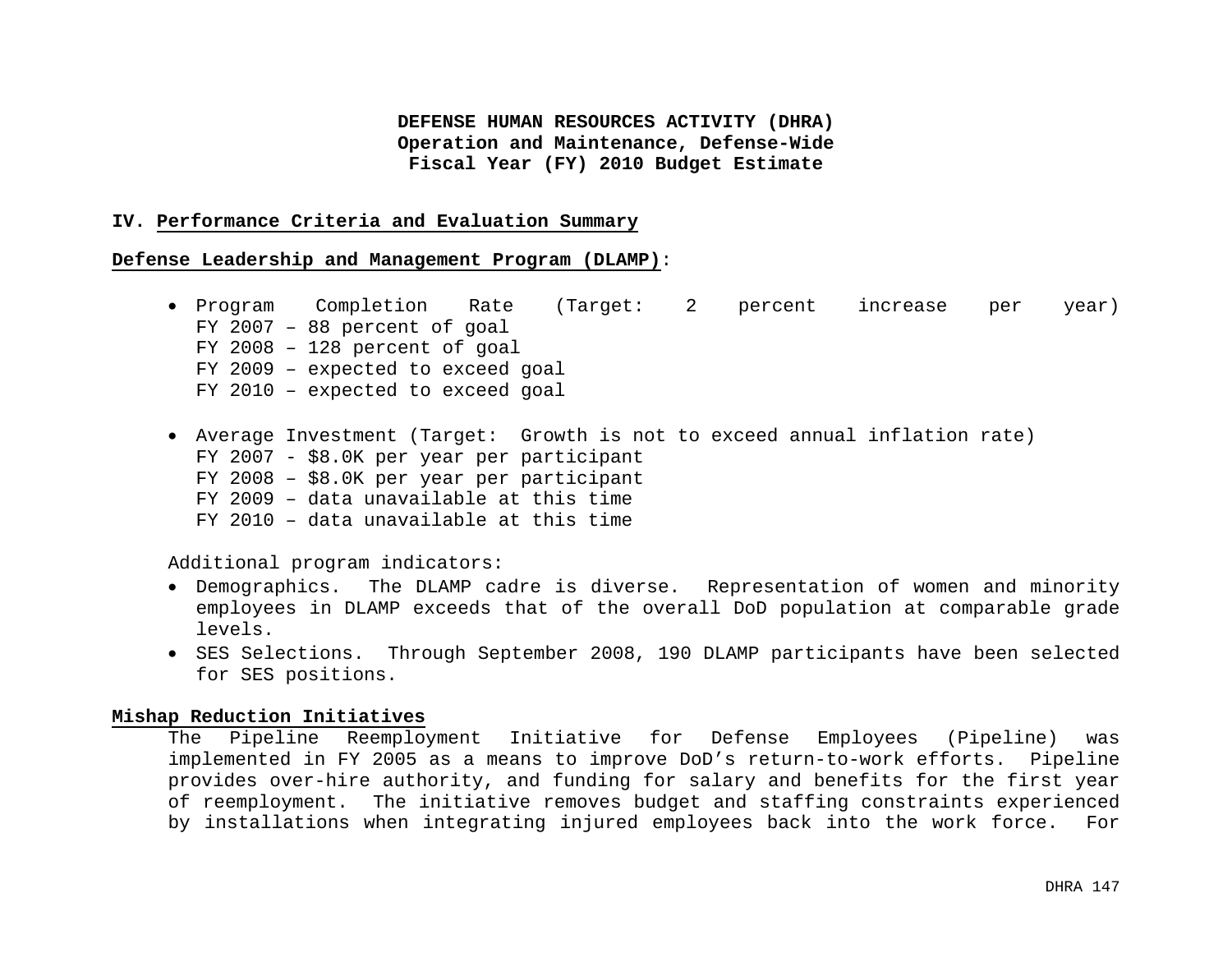### **IV. Performance Criteria and Evaluation Summary**

#### **Defense Leadership and Management Program (DLAMP)**:

- Program Completion Rate (Target: 2 percent increase per year) FY 2007 – 88 percent of goal FY 2008 – 128 percent of goal FY 2009 – expected to exceed goal FY 2010 – expected to exceed goal
- Average Investment (Target: Growth is not to exceed annual inflation rate) FY 2007 - \$8.0K per year per participant FY 2008 – \$8.0K per year per participant FY 2009 – data unavailable at this time FY 2010 – data unavailable at this time

Additional program indicators:

- Demographics. The DLAMP cadre is diverse. Representation of women and minority employees in DLAMP exceeds that of the overall DoD population at comparable grade levels.
- SES Selections. Through September 2008, 190 DLAMP participants have been selected for SES positions.

### **Mishap Reduction Initiatives**

The Pipeline Reemployment Initiative for Defense Employees (Pipeline) was implemented in FY 2005 as a means to improve DoD's return-to-work efforts. Pipeline provides over-hire authority, and funding for salary and benefits for the first year of reemployment. The initiative removes budget and staffing constraints experienced by installations when integrating injured employees back into the work force. For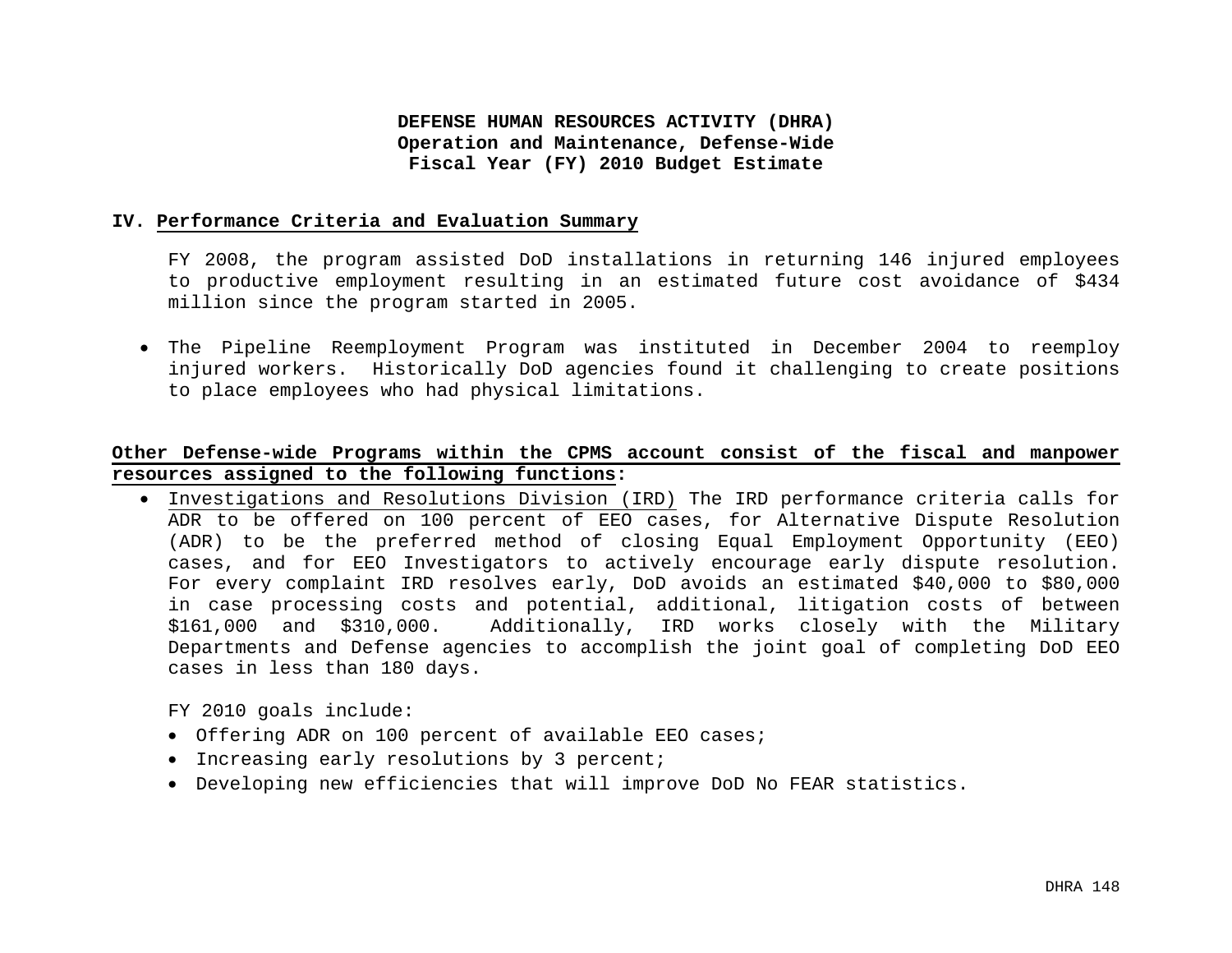### **IV. Performance Criteria and Evaluation Summary**

FY 2008, the program assisted DoD installations in returning 146 injured employees to productive employment resulting in an estimated future cost avoidance of \$434 million since the program started in 2005.

• The Pipeline Reemployment Program was instituted in December 2004 to reemploy injured workers. Historically DoD agencies found it challenging to create positions to place employees who had physical limitations.

# **Other Defense-wide Programs within the CPMS account consist of the fiscal and manpower resources assigned to the following functions:**

• Investigations and Resolutions Division (IRD) The IRD performance criteria calls for ADR to be offered on 100 percent of EEO cases, for Alternative Dispute Resolution (ADR) to be the preferred method of closing Equal Employment Opportunity (EEO) cases, and for EEO Investigators to actively encourage early dispute resolution. For every complaint IRD resolves early, DoD avoids an estimated \$40,000 to \$80,000 in case processing costs and potential, additional, litigation costs of between \$161,000 and \$310,000. Additionally, IRD works closely with the Military Departments and Defense agencies to accomplish the joint goal of completing DoD EEO cases in less than 180 days.

FY 2010 goals include:

- Offering ADR on 100 percent of available EEO cases;
- Increasing early resolutions by 3 percent;
- Developing new efficiencies that will improve DoD No FEAR statistics.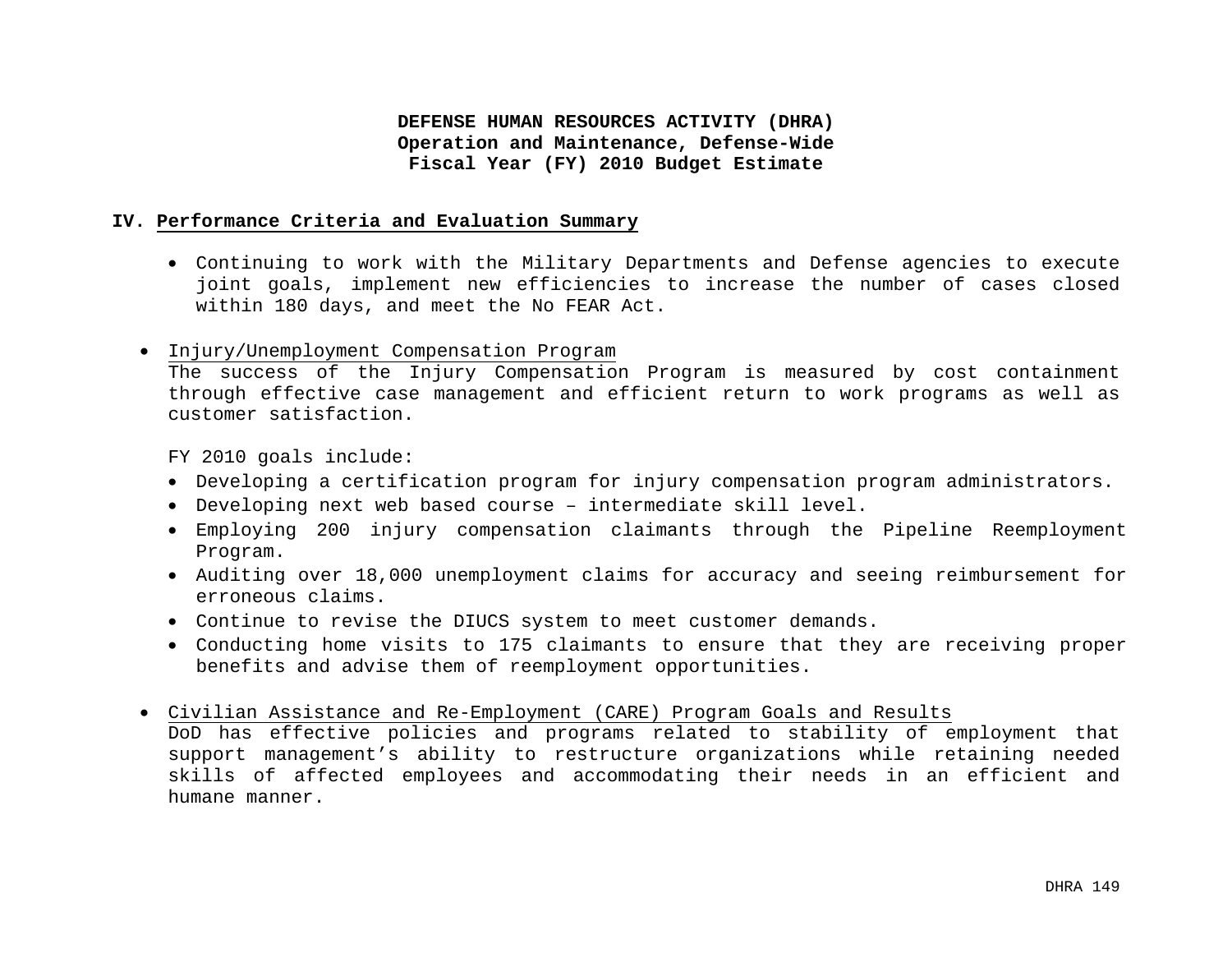### **IV. Performance Criteria and Evaluation Summary**

• Continuing to work with the Military Departments and Defense agencies to execute joint goals, implement new efficiencies to increase the number of cases closed within 180 days, and meet the No FEAR Act.

#### • Injury/Unemployment Compensation Program

The success of the Injury Compensation Program is measured by cost containment through effective case management and efficient return to work programs as well as customer satisfaction.

FY 2010 goals include:

- Developing a certification program for injury compensation program administrators.
- Developing next web based course intermediate skill level.
- Employing 200 injury compensation claimants through the Pipeline Reemployment Program.
- Auditing over 18,000 unemployment claims for accuracy and seeing reimbursement for erroneous claims.
- Continue to revise the DIUCS system to meet customer demands.
- Conducting home visits to 175 claimants to ensure that they are receiving proper benefits and advise them of reemployment opportunities.
- Civilian Assistance and Re-Employment (CARE) Program Goals and Results

DoD has effective policies and programs related to stability of employment that support management's ability to restructure organizations while retaining needed skills of affected employees and accommodating their needs in an efficient and humane manner.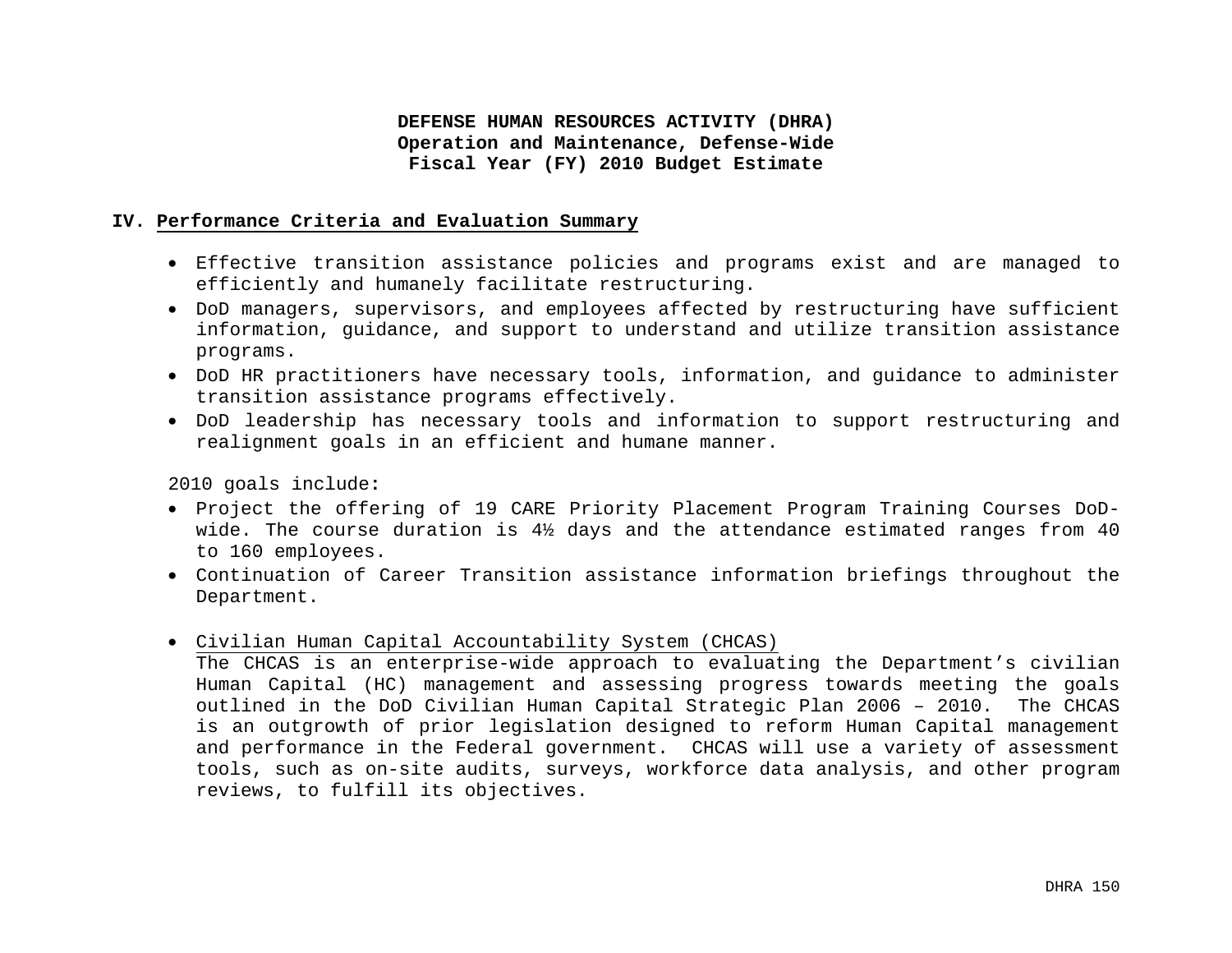### **IV. Performance Criteria and Evaluation Summary**

- Effective transition assistance policies and programs exist and are managed to efficiently and humanely facilitate restructuring.
- DoD managers, supervisors, and employees affected by restructuring have sufficient information, guidance, and support to understand and utilize transition assistance programs.
- DoD HR practitioners have necessary tools, information, and guidance to administer transition assistance programs effectively.
- DoD leadership has necessary tools and information to support restructuring and realignment goals in an efficient and humane manner.

2010 goals include**:**

- Project the offering of 19 CARE Priority Placement Program Training Courses DoDwide. The course duration is 4½ days and the attendance estimated ranges from 40 to 160 employees.
- Continuation of Career Transition assistance information briefings throughout the Department.
- Civilian Human Capital Accountability System (CHCAS)

The CHCAS is an enterprise-wide approach to evaluating the Department's civilian Human Capital (HC) management and assessing progress towards meeting the goals outlined in the DoD Civilian Human Capital Strategic Plan 2006 – 2010. The CHCAS is an outgrowth of prior legislation designed to reform Human Capital management and performance in the Federal government. CHCAS will use a variety of assessment tools, such as on-site audits, surveys, workforce data analysis, and other program reviews, to fulfill its objectives.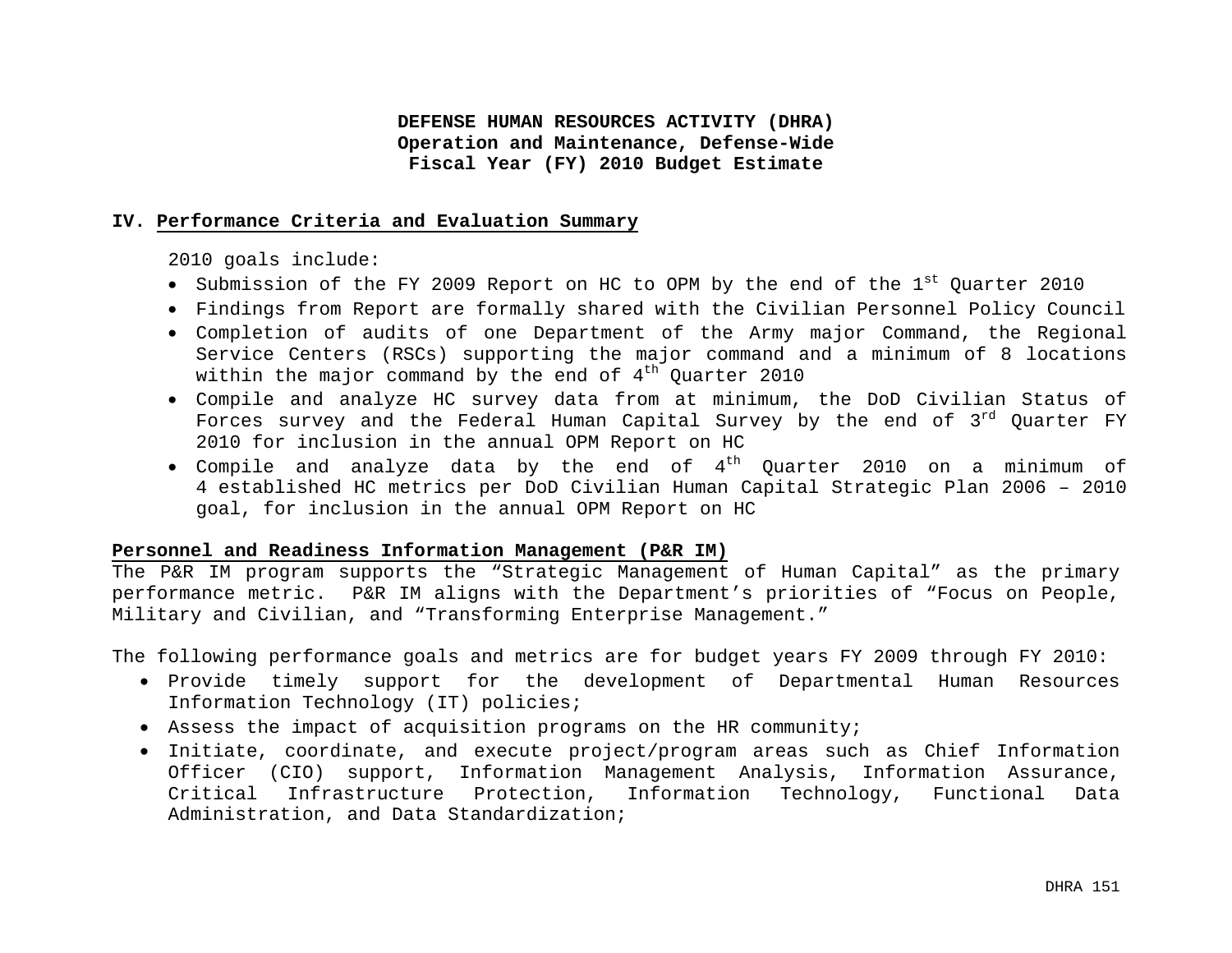### **IV. Performance Criteria and Evaluation Summary**

2010 goals include:

- Submission of the FY 2009 Report on HC to OPM by the end of the  $1^\mathrm{st}$  Quarter 2010
- Findings from Report are formally shared with the Civilian Personnel Policy Council
- Completion of audits of one Department of the Army major Command, the Regional Service Centers (RSCs) supporting the major command and a minimum of 8 locations within the major command by the end of  $4<sup>th</sup>$  Ouarter 2010
- Compile and analyze HC survey data from at minimum, the DoD Civilian Status of Forces survey and the Federal Human Capital Survey by the end of  $3<sup>rd</sup>$  Quarter FY 2010 for inclusion in the annual OPM Report on HC
- $\bullet$  Compile and analyze data by the end of  $4^\text{th}$  Quarter 2010 on a minimum of 4 established HC metrics per DoD Civilian Human Capital Strategic Plan 2006 – 2010 goal, for inclusion in the annual OPM Report on HC

#### **Personnel and Readiness Information Management (P&R IM)**

The P&R IM program supports the "Strategic Management of Human Capital" as the primary performance metric. P&R IM aligns with the Department's priorities of "Focus on People, Military and Civilian, and "Transforming Enterprise Management."

The following performance goals and metrics are for budget years FY 2009 through FY 2010:

- Provide timely support for the development of Departmental Human Resources Information Technology (IT) policies;
- Assess the impact of acquisition programs on the HR community;
- Initiate, coordinate, and execute project/program areas such as Chief Information Officer (CIO) support, Information Management Analysis, Information Assurance, Critical Infrastructure Protection, Information Technology, Functional Data Administration, and Data Standardization;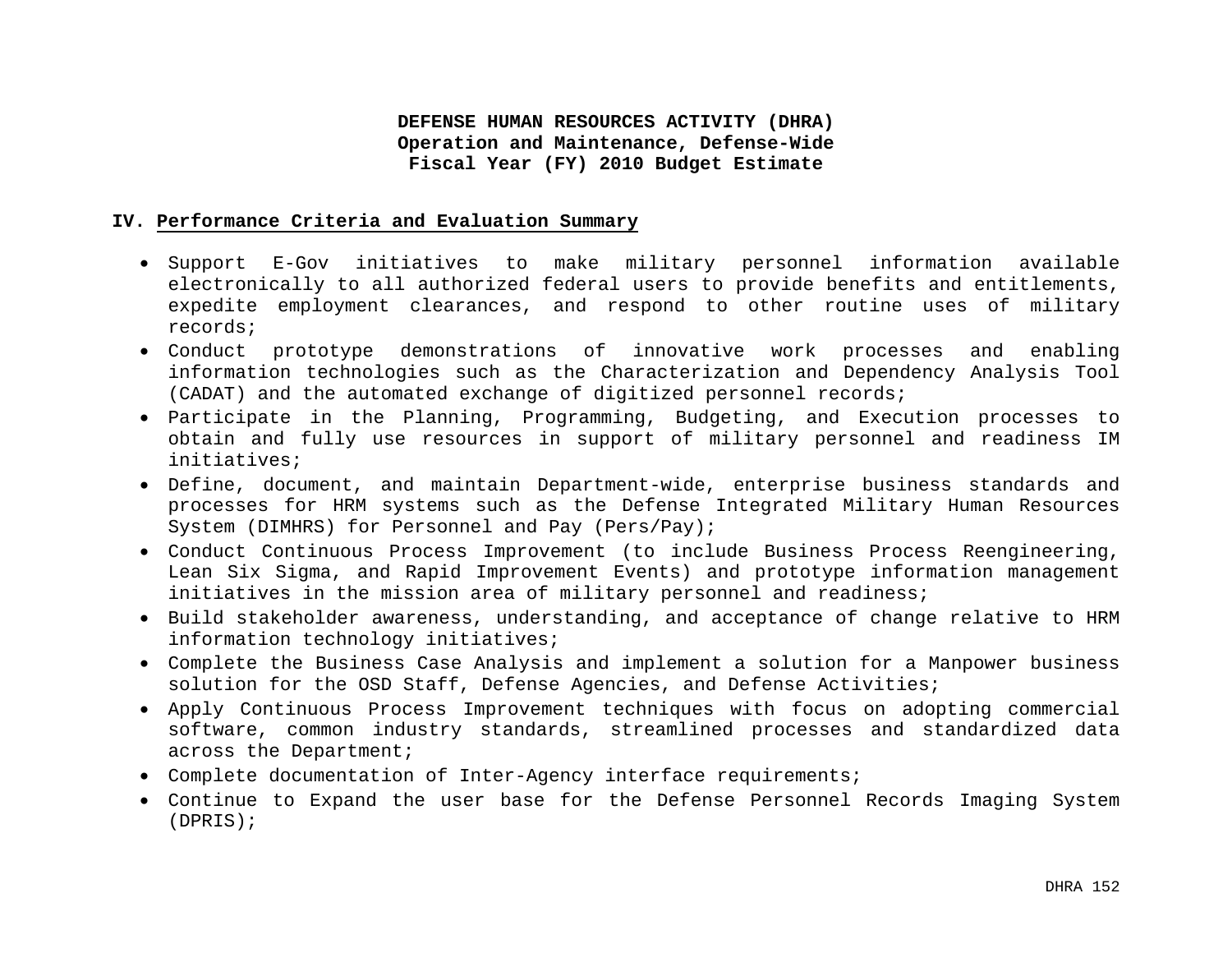#### **IV P . erformance Criteria and Evaluation Summary**

- Support E-Gov initiatives to make military personnel information available electronically to all authorized federal users to provide benefits and entitlements, expedite employment clearances, and respond to other routine uses of military records;
- Conduct prototype demonstrations of innovative work processes and enabling information technologies such as the Characterization and Dependency Analysis Tool (CADAT) and the automated exchange of digitized personnel records;
- Participate in the Planning, Programming, Budgeting, and Execution processes to obtain and fully use resources in support of military personnel and readiness IM initiatives;
- Define, document, and maintain Department-wide, enterprise business standards and processes for HRM systems such as the Defense Integrated Military Human Resources System (DIMHRS) for Personnel and Pay (Pers/Pay);
- Conduct Continuous Process Improvement (to include Business Process Reengineering, Lean Six Sigma, and Rapid Improvement Events) and prototype information management initiatives in the mission area of military personnel and readiness;
- Build stakeholder awareness, understanding, and acceptance of change relative to HRM information technology initiatives;
- Complete the Business Case Analysis and implement a solution for a Manpower business solution for the OSD Staff, Defense Agencies, and Defense Activities;
- Apply Continuous Process Improvement techniques with focus on adopting commercial software, common industry standards, streamlined processes and standardized data across the Department;
- Complete documentation of Inter-Agency interface requirements;
- Continue to Expand the user base for the Defense Personnel Records Imaging System (DPRIS);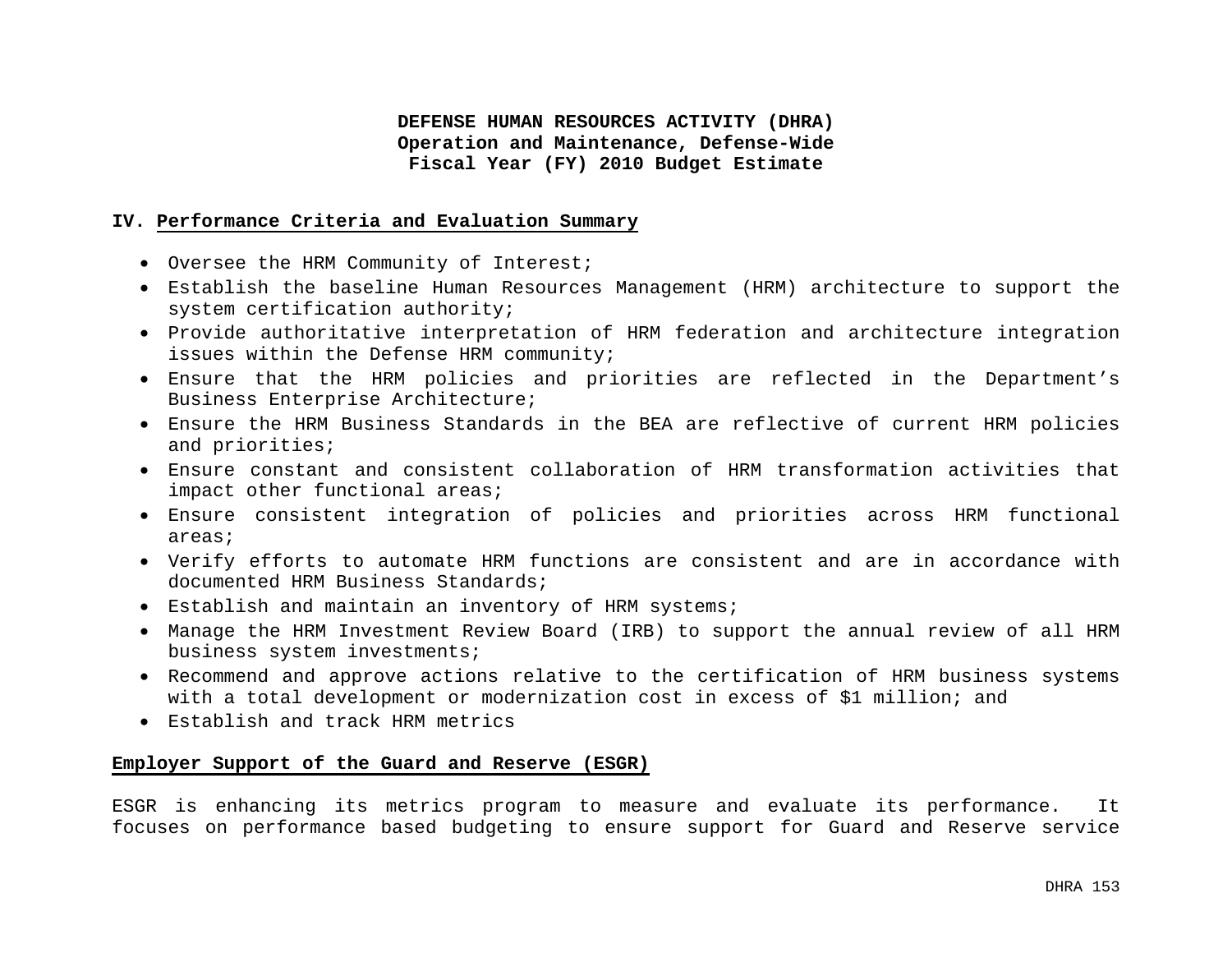#### **IV P . erformance Criteria and Evaluation Summary**

- Oversee the HRM Community of Interest;
- Establish the baseline Human Resources Management (HRM) architecture to support the system certification authority;
- Provide authoritative interpretation of HRM federation and architecture integration issues within the Defense HRM community;
- Ensure that the HRM policies and priorities are reflected in the Department's Business Enterprise Architecture;
- Ensure the HRM Business Standards in the BEA are reflective of current HRM policies and priorities;
- Ensure constant and consistent collaboration of HRM transformation activities that impact other functional areas;
- Ensure consistent integration of policies and priorities across HRM functional areas;
- Verify efforts to automate HRM functions are consistent and are in accordance with documented HRM Business Standards;
- Establish and maintain an inventory of HRM systems;
- Manage the HRM Investment Review Board (IRB) to support the annual review of all HRM business system investments;
- Recommend and approve actions relative to the certification of HRM business systems with a total development or modernization cost in excess of \$1 million; and
- Establish and track HRM metrics

#### **Employer Support of the Guard and Reserve (ESGR)**

ESGR is enhancing its metrics program to measure and evaluate its performance. It focuses on performance based budgeting to ensure support for Guard and Reserve service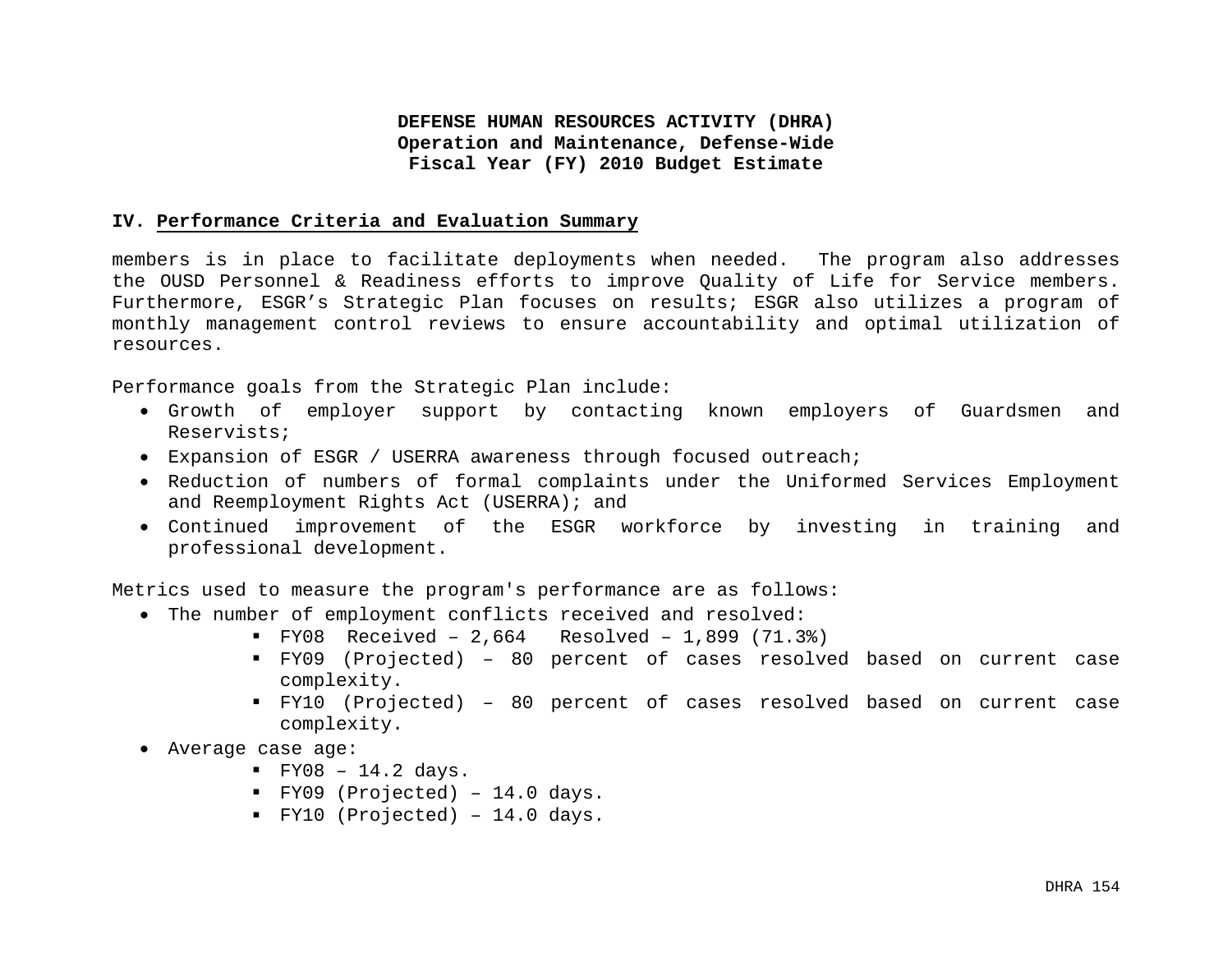### **IV. Performance Criteria and Evaluation Summary**

members is in place to facilitate deployments when needed. The program also addresses the OUSD Personnel & Readiness efforts to improve Quality of Life for Service members. Furthermore, ESGR's Strategic Plan focuses on results; ESGR also utilizes a program of monthly management control reviews to ensure accountability and optimal utilization of resources.

Performance goals from the Strategic Plan include:

- Growth of employer support by contacting known employers of Guardsmen and Reservists;
- Expansion of ESGR / USERRA awareness through focused outreach;
- Reduction of numbers of formal complaints under the Uniformed Services Employment and Reemployment Rights Act (USERRA); and
- Continued improvement of the ESGR workforce by investing in training and professional development.

Metrics used to measure the program's performance are as follows:

- The number of employment conflicts received and resolved:
	- FY08 Received 2,664 Resolved 1,899 (71.3%)
	- FY09 (Projected) 80 percent of cases resolved based on current case complexity.
	- FY10 (Projected) 80 percent of cases resolved based on current case complexity.
- Average case age:
	- FY08 14.2 days.
	- FY09 (Projected) 14.0 days.
	- FY10 (Projected) 14.0 days.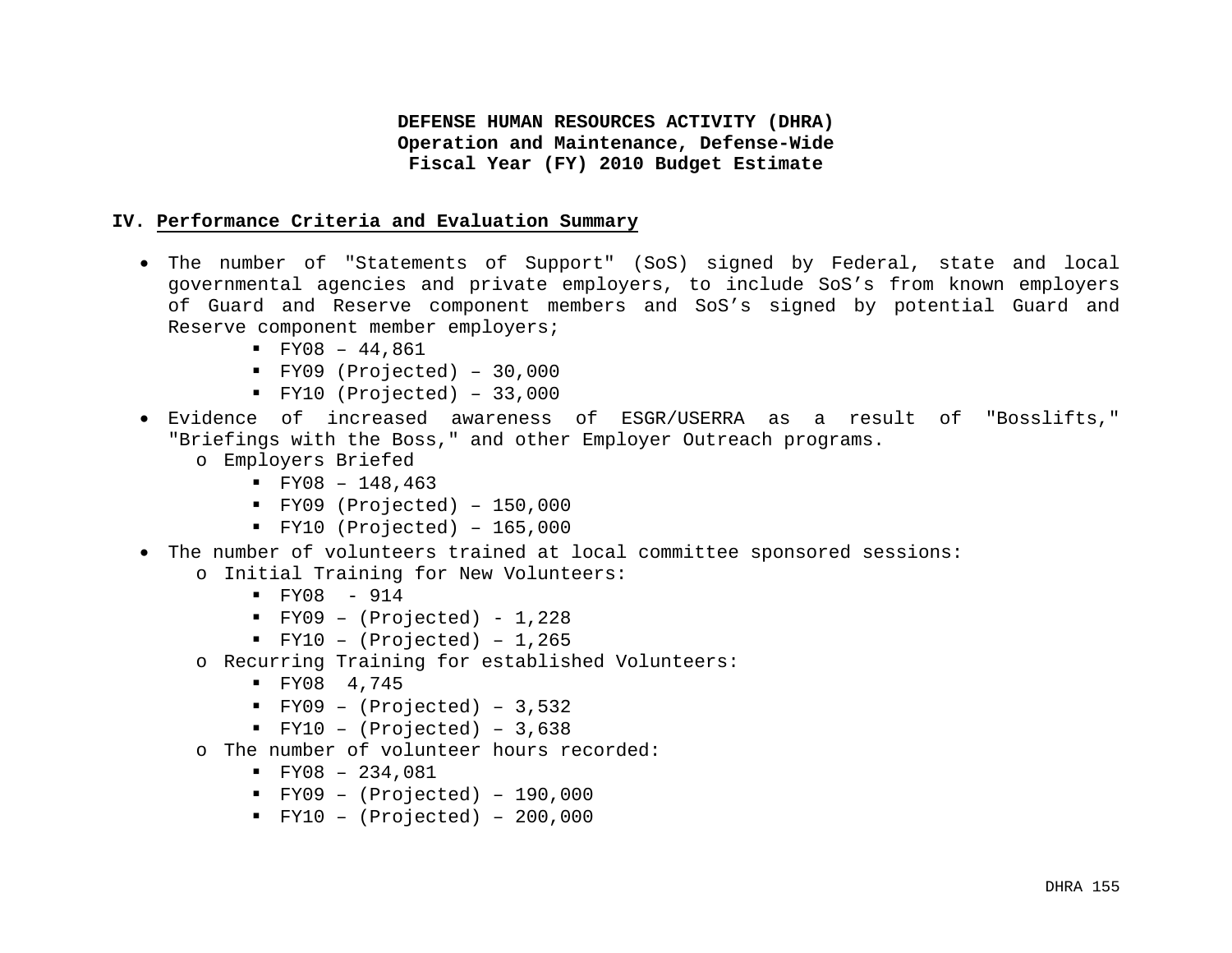#### **IV P . erformance Criteria and Evaluation Summary**

- The number of "Statements of Support" (SoS) signed by Federal, state and local governmental agencies and private employers, to include SoS's from known employers of Guard and Reserve component members and SoS's signed by potential Guard and Reserve component member employers;
	- FY08 44,861
	- FY09 (Projected) 30,000
	- FY10 (Projected) 33,000
- Evidence of increased awareness of ESGR/USERRA as a result of "Bosslifts," "Briefings with the Boss," and other Employer Outreach programs.
	- o Employers Briefed
		- FY08 148,463
		- FY09 (Projected) 150,000
		- FY10 (Projected) 165,000
- The number of volunteers trained at local committee sponsored sessions:
	- o Initial Training for New Volunteers:
		- FY08 914
		- FY09 (Projected) 1,228
		- FY10 (Projected) 1,265
	- o Recurring Training for established Volunteers:
		- FY08 4,745
		- FY09 (Projected) 3,532
		- FY10 (Projected) 3,638
	- o The number of volunteer hours recorded:
		- FY08 234,081
		- FY09 (Projected) 190,000
		- FY10 (Projected) 200,000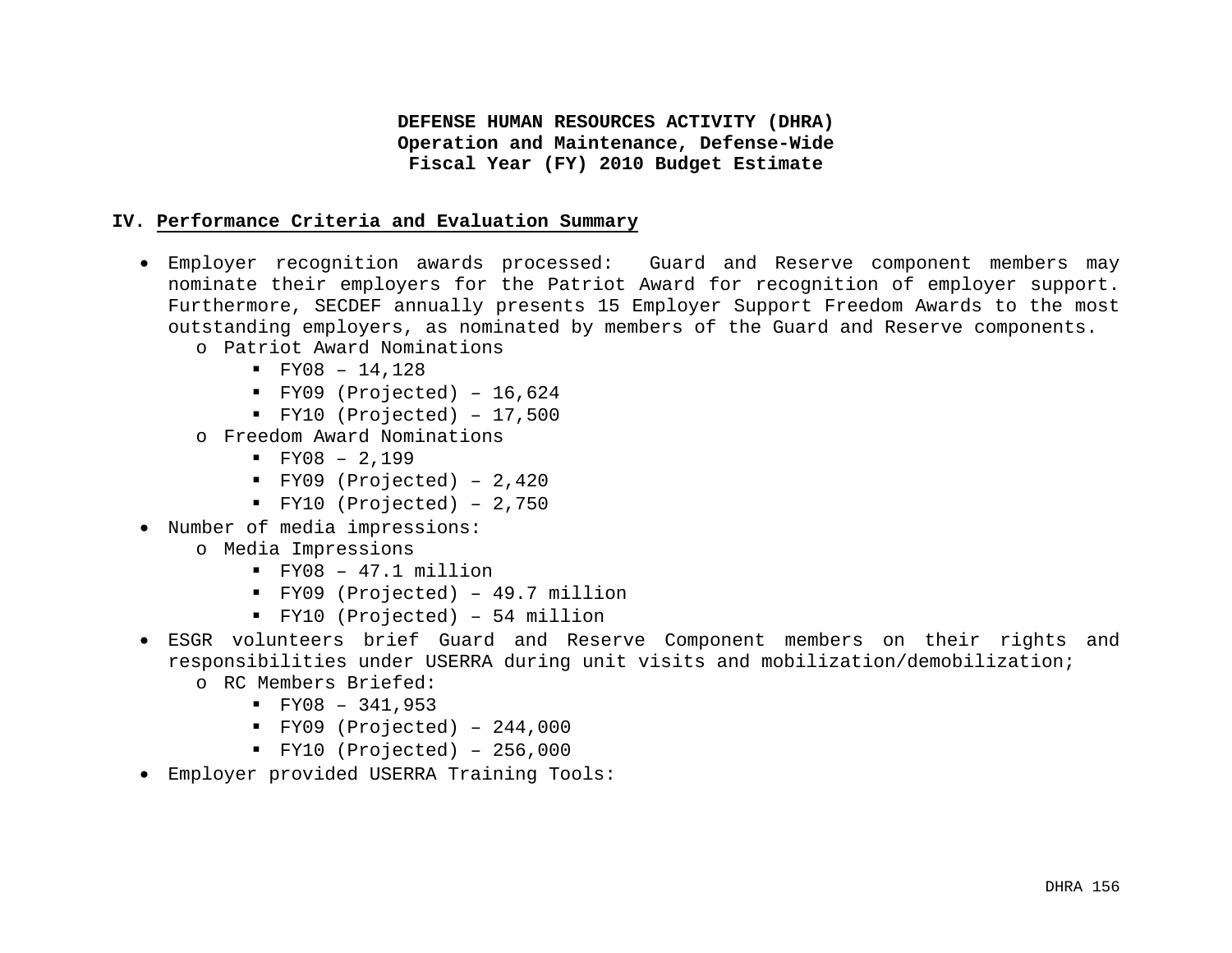#### **IV P . erformance Criteria and Evaluation Summary**

- Employer recognition awards processed: Guard and Reserve component members may nominate their employers for the Patriot Award for recognition of employer support. Furthermore, SECDEF annually presents 15 Employer Support Freedom Awards to the most outstanding employers, as nominated by members of the Guard and Reserve components.
	- o Patriot Award Nominations
		- FY08 14,128
		- FY09 (Projected) 16,624
		- FY10 (Projected) 17,500
	- o Freedom Award Nominations
		- FY08 2,199
		- FY09 (Projected) 2,420
		- FY10 (Projected) 2,750
- Number of media impressions:
	- o Media Impressions
		- FY08 47.1 million
		- FY09 (Projected) 49.7 million
		- FY10 (Projected) 54 million
- ESGR volunteers brief Guard and Reserve Component members on their rights and responsibilities under USERRA during unit visits and mobilization/demobilization;
	- o RC Members Briefed:
		- FY08 341,953
		- FY09 (Projected) 244,000
		- FY10 (Projected) 256,000
- Employer provided USERRA Training Tools: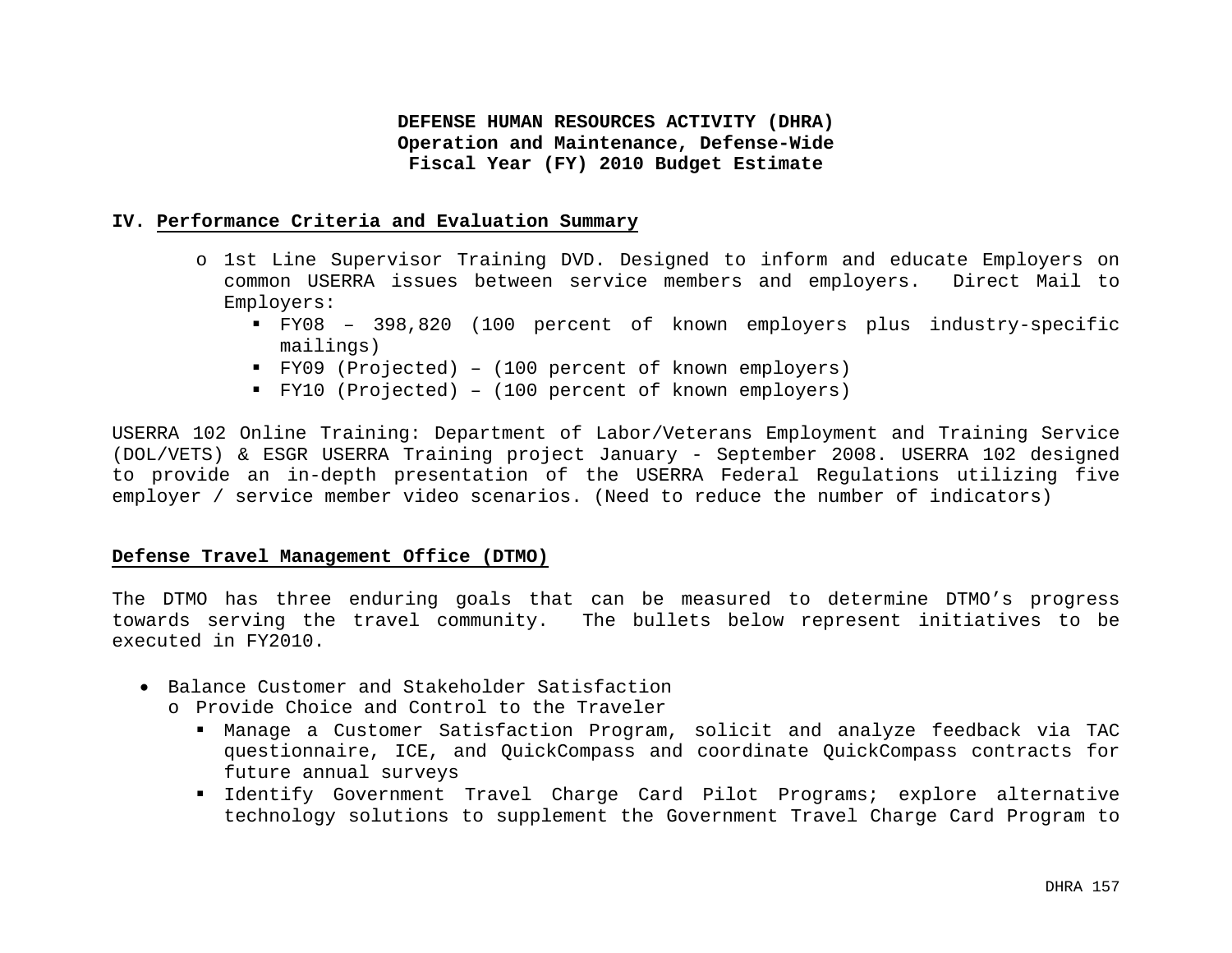#### **IV. Per r fo mance Criteria and Evaluation Summary**

- o 1st Line Supervisor Training DVD. Designed to inform and educate Employers on common USERRA issues between service members and employers. Direct Mail to Employers:
	- FY08 398,820 (100 percent of known employers plus industry-specific mailings)
	- FY09 (Projected) (100 percent of known employers)
	- FY10 (Projected) (100 percent of known employers)

USERRA 102 Online Training: Department of Labor/Veterans Employment and Training Service (DOL/VETS) & ESGR USERRA Training project January - September 2008. USERRA 102 designed to provide an in-depth presentation of the USERRA Federal Regulations utilizing five employer / service member video scenarios. (Need to reduce the number of indicators)

#### **Defense Travel Management Office (DTMO)**

The DTMO has three enduring goals that can be measured to determine DTMO's progress towards serving the travel community. The bullets below represent initiatives to be executed in FY2010.

- Balance Customer and Stakeholder Satisfaction
	- o Provide Choice and Control to the Traveler
		- Manage a Customer Satisfaction Program, solicit and analyze feedback via TAC questionnaire, ICE, and QuickCompass and coordinate QuickCompass contracts for future annual surveys
		- Identify Government Travel Charge Card Pilot Programs; explore alternative technology solutions to supplement the Government Travel Charge Card Program to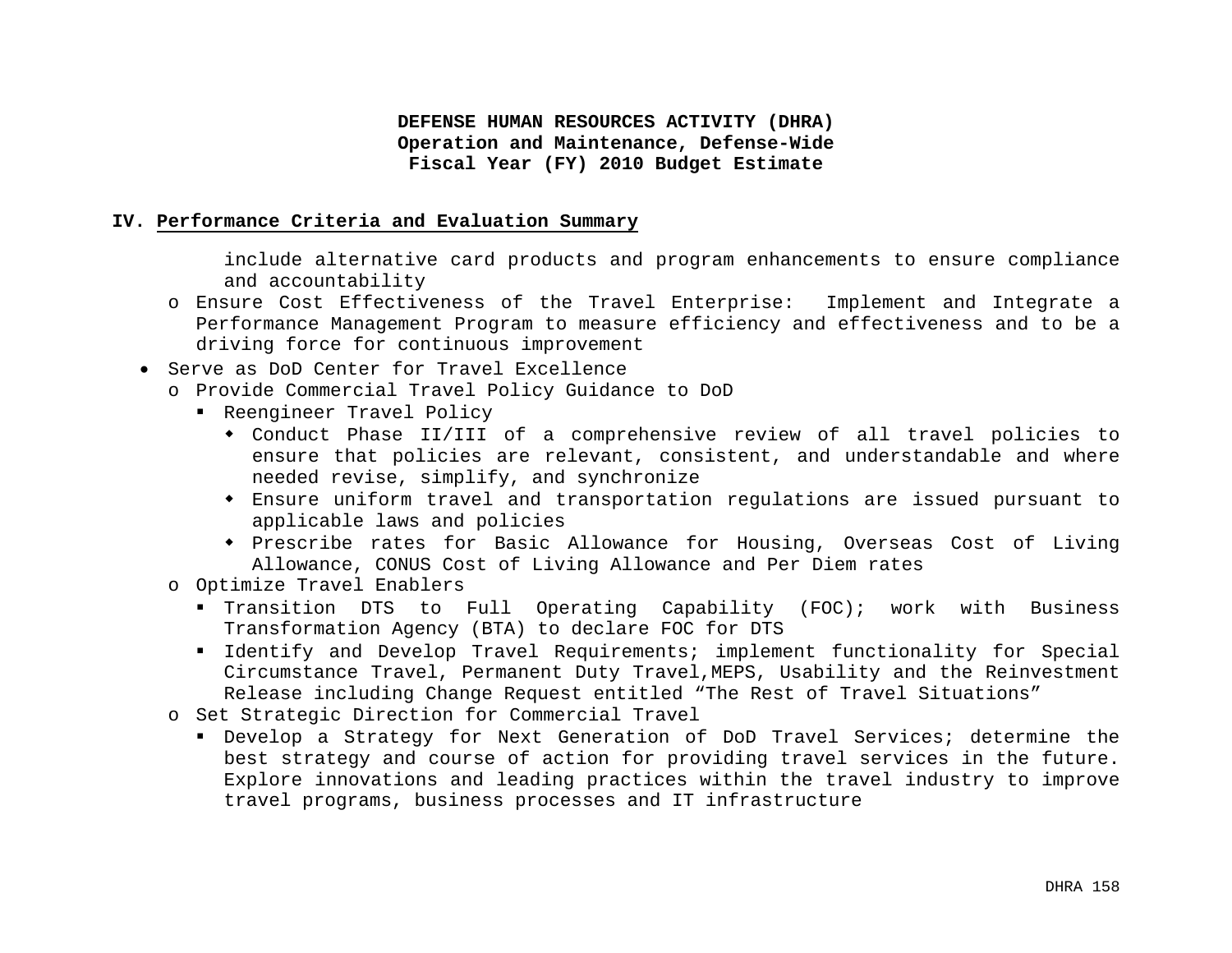### **IV. Performance Criteria and Evaluation Summary**

include alternative card products and program enhancements to ensure compliance and accountability

- o Ensure Cost Effectiveness of the Travel Enterprise: Implement and Integrate a Performance Management Program to measure efficiency and effectiveness and to be a driving force for continuous improvement
- Serve as DoD Center for Travel Excellence
	- o Provide Commercial Travel Policy Guidance to DoD
		- Reengineer Travel Policy
			- Conduct Phase II/III of a comprehensive review of all travel policies to ensure that policies are relevant, consistent, and understandable and where needed revise, simplify, and synchronize
			- Ensure uniform travel and transportation regulations are issued pursuant to applicable laws and policies
			- Prescribe rates for Basic Allowance for Housing, Overseas Cost of Living Allowance, CONUS Cost of Living Allowance and Per Diem rates
	- o Optimize Travel Enablers
		- Transition DTS to Full Operating Capability (FOC); work with Business Transformation Agency (BTA) to declare FOC for DTS
		- Identify and Develop Travel Requirements; implement functionality for Special Circumstance Travel, Permanent Duty Travel,MEPS, Usability and the Reinvestment Release including Change Request entitled "The Rest of Travel Situations"
	- o Set Strategic Direction for Commercial Travel
		- Develop a Strategy for Next Generation of DoD Travel Services; determine the best strategy and course of action for providing travel services in the future. Explore innovations and leading practices within the travel industry to improve travel programs, business processes and IT infrastructure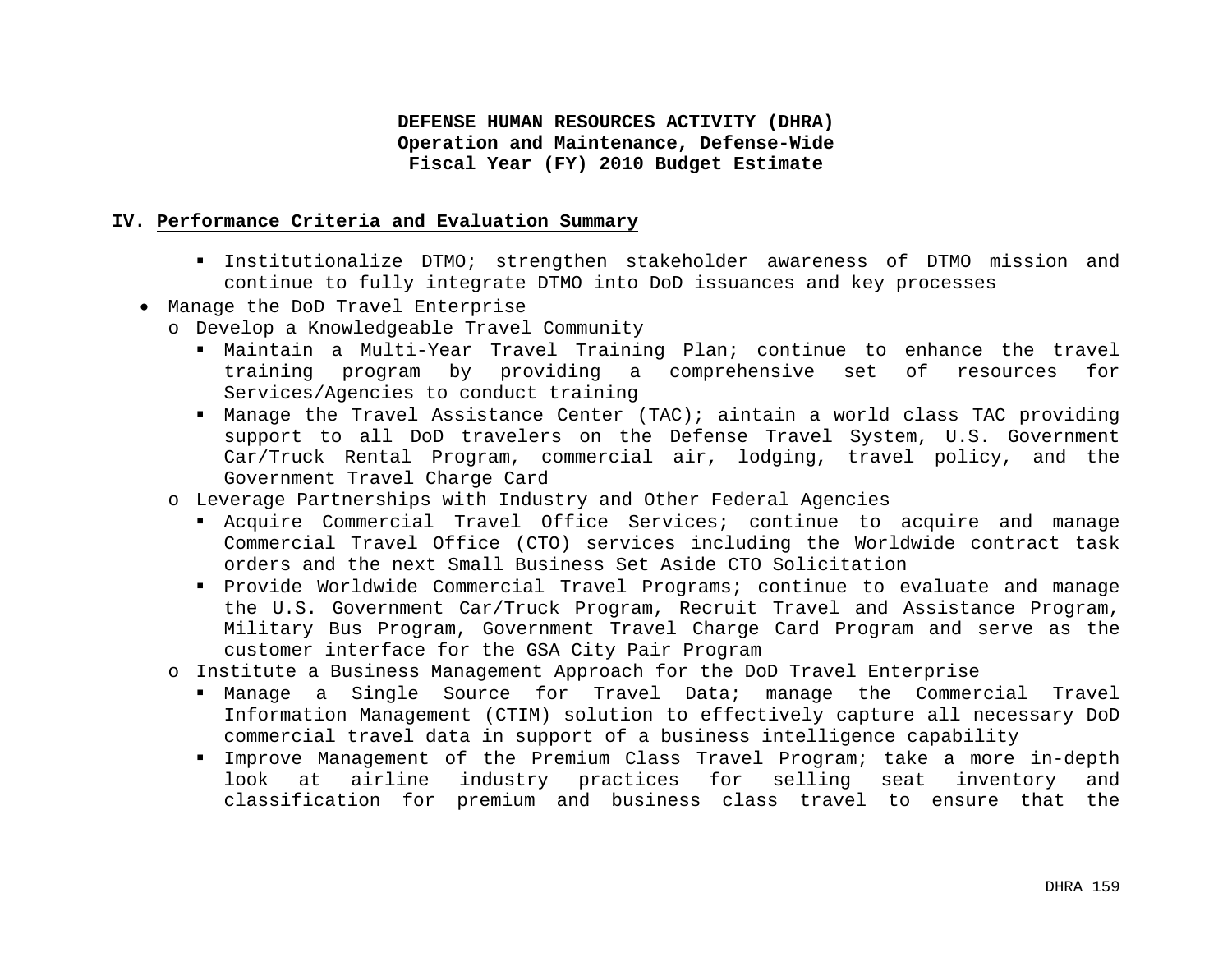#### **IV. Per r fo mance Criteria and Evaluation Summary**

- Institutionalize DTMO; strengthen stakeholder awareness of DTMO mission and continue to fully integrate DTMO into DoD issuances and key processes
- Manage the DoD Travel Enterprise
	- o Develop a Knowledgeable Travel Community
		- Maintain a Multi-Year Travel Training Plan; continue to enhance the travel training program by providing a comprehensive set of resources for Services/Agencies to conduct training
		- Manage the Travel Assistance Center (TAC); aintain a world class TAC providing support to all DoD travelers on the Defense Travel System, U.S. Government Car/Truck Rental Program, commercial air, lodging, travel policy, and the Government Travel Charge Card
	- o Leverage Partnerships with Industry and Other Federal Agencies
		- Acquire Commercial Travel Office Services; continue to acquire and manage Commercial Travel Office (CTO) services including the Worldwide contract task orders and the next Small Business Set Aside CTO Solicitation
		- Provide Worldwide Commercial Travel Programs; continue to evaluate and manage the U.S. Government Car/Truck Program, Recruit Travel and Assistance Program, Military Bus Program, Government Travel Charge Card Program and serve as the customer interface for the GSA City Pair Program
	- o Institute a Business Management Approach for the DoD Travel Enterprise
		- Manage a Single Source for Travel Data; manage the Commercial Travel Information Management (CTIM) solution to effectively capture all necessary DoD commercial travel data in support of a business intelligence capability
		- Г Improve Management of the Premium Class Travel Program; take a more in-depth look at airline industry practices for selling seat inventory and classification for premium and business class travel to ensure that the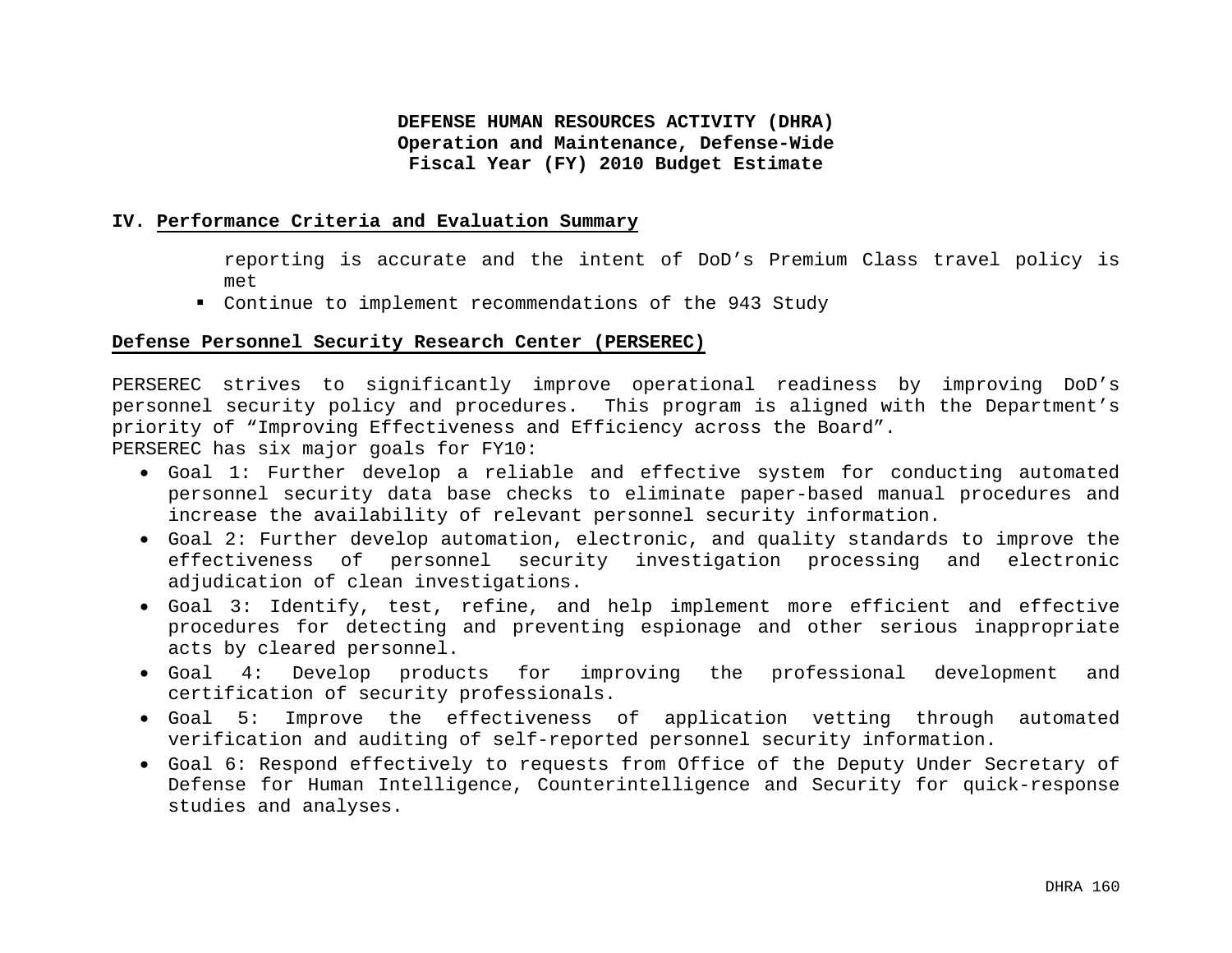### **IV. Performance Criteria and Evaluation Summary**

reporting is accurate and the intent of DoD's Premium Class travel policy is met

Continue to implement recommendations of the 943 Study

#### **Defense Personnel Security Research Center (PERSEREC)**

PERSEREC strives to significantly improve operational readiness by improving DoD's personnel security policy and procedures. This program is aligned with the Department's priority of "Improving Effectiveness and Efficiency across the Board". PERSEREC has six major goals for FY10:

- Goal 1: Further develop a reliable and effective system for conducting automated personnel security data base checks to eliminate paper-based manual procedures and increase the availability of relevant personnel security information.
- Goal 2: Further develop automation, electronic, and quality standards to improve the effectiveness of personnel security investigation processing and electronic adjudication of clean investigations.
- Goal 3: Identify, test, refine, and help implement more efficient and effective procedures for detecting and preventing espionage and other serious inappropriate acts by cleared personnel.
- Goal 4: Develop products for improving the professional development and certification of security professionals.
- Goal 5: Improve the effectiveness of application vetting through automated verification and auditing of self-reported personnel security information.
- Goal 6: Respond effectively to requests from Office of the Deputy Under Secretary of Defense for Human Intelligence, Counterintelligence and Security for quick-response studies and analyses.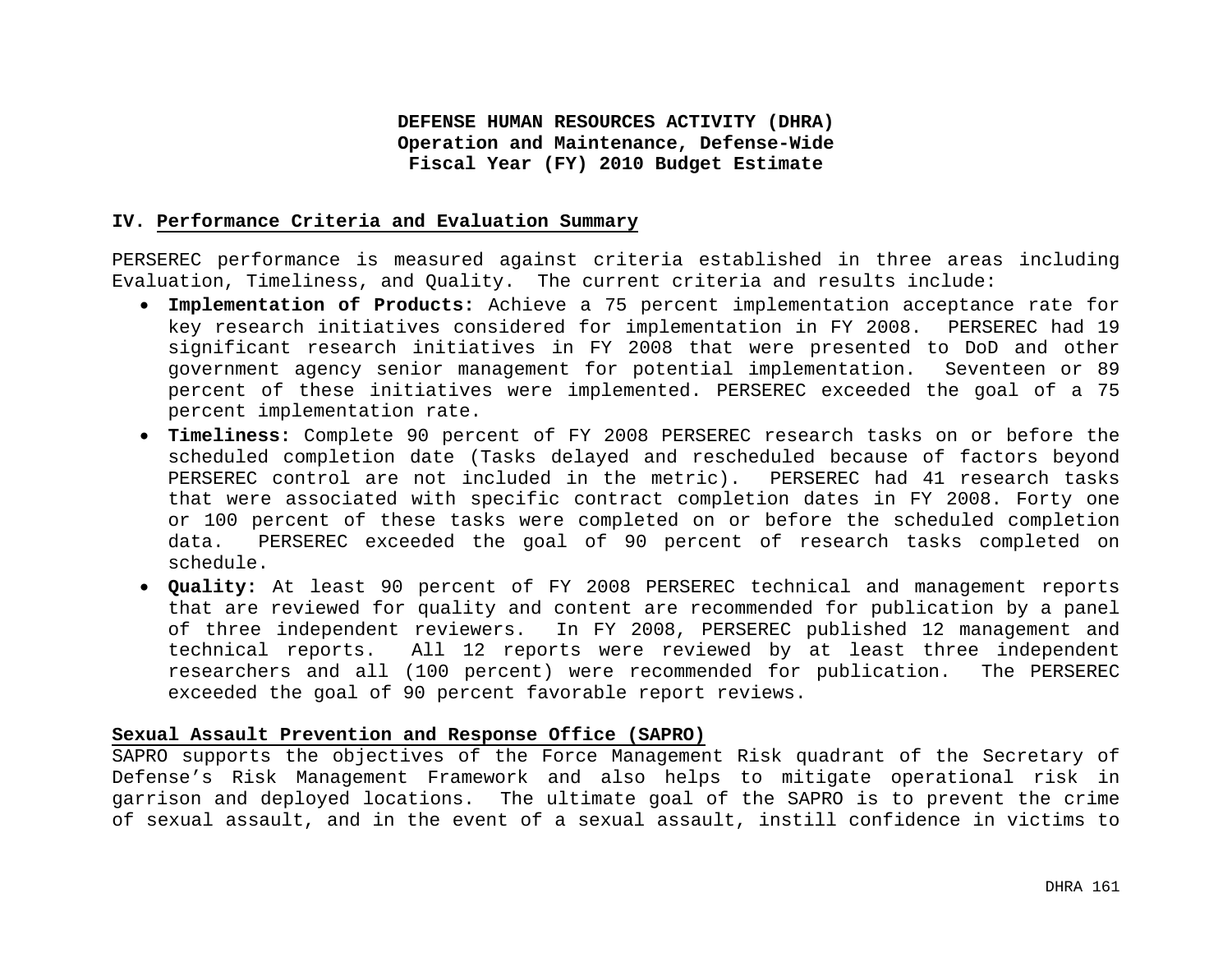### **IV. Performance Criteria and Evaluation Summary**

PERSEREC performance is measured against criteria established in three areas including Evaluation, Timeliness, and Quality. The current criteria and results include:

- **Implementation of Products:** Achieve a 75 percent implementation acceptance rate for key research initiatives considered for implementation in FY 2008. PERSEREC had 19 significant research initiatives in FY 2008 that were presented to DoD and other government agency senior management for potential implementation. Seventeen or 89 percent of these initiatives were implemented. PERSEREC exceeded the goal of a 75 percent implementation rate.
- **Timeliness:** Complete 90 percent of FY 2008 PERSEREC research tasks on or before the scheduled completion date (Tasks delayed and rescheduled because of factors beyond PERSEREC control are not included in the metric). PERSEREC had 41 research tasks that were associated with specific contract completion dates in FY 2008. Forty one or 100 percent of these tasks were completed on or before the scheduled completion data. PERSEREC exceeded the goal of 90 percent of research tasks completed on schedule.
- **Quality:** At least 90 percent of FY 2008 PERSEREC technical and management reports that are reviewed for quality and content are recommended for publication by a panel of three independent reviewers. In FY 2008, PERSEREC published 12 management and technical reports. All 12 reports were reviewed by at least three independent researchers and all (100 percent) were recommended for publication. The PERSEREC exceeded the goal of 90 percent favorable report reviews.

#### **Sexual Assault Prevention and Response Office (SAPRO)**

SAPRO supports the objectives of the Force Management Risk quadrant of the Secretary of Defense's Risk Management Framework and also helps to mitigate operational risk in garrison and deployed locations. The ultimate goal of the SAPRO is to prevent the crime of sexual assault, and in the event of a sexual assault, instill confidence in victims to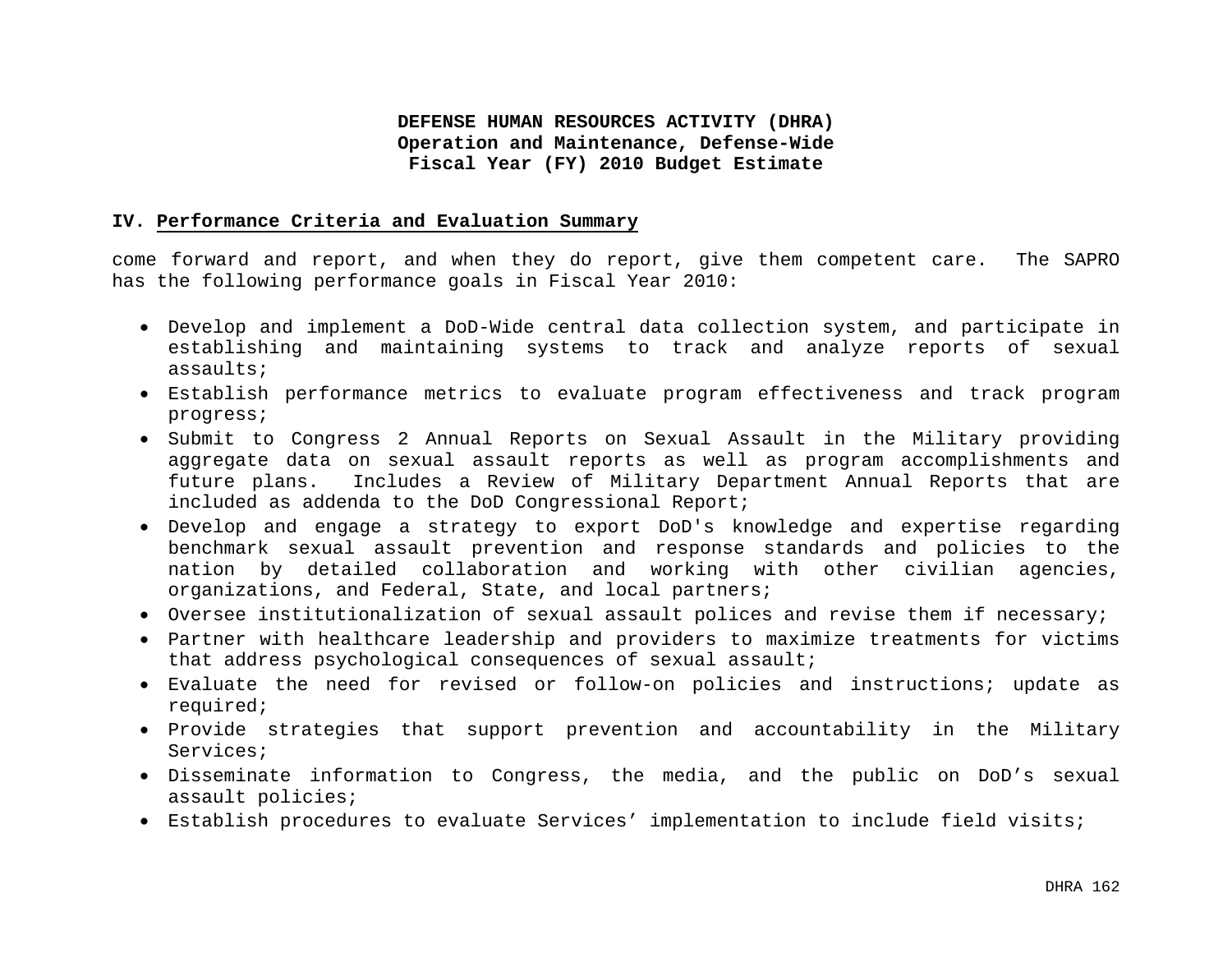### **IV. Performance Criteria and Evaluation Summary**

come forward and report, and when they do report, give them competent care. The SAPRO has the following performance goals in Fiscal Year 2010:

- Develop and implement a DoD-Wide central data collection system, and participate in establishing and maintaining systems to track and analyze reports of sexual assaults;
- Establish performance metrics to evaluate program effectiveness and track program progress;
- Submit to Congress 2 Annual Reports on Sexual Assault in the Military providing aggregate data on sexual assault reports as well as program accomplishments and future plans. Includes a Review of Military Department Annual Reports that are included as addenda to the DoD Congressional Report;
- Develop and engage a strategy to export DoD's knowledge and expertise regarding benchmark sexual assault prevention and response standards and policies to the nation by detailed collaboration and working with other civilian agencies, organizations, and Federal, State, and local partners;
- Oversee institutionalization of sexual assault polices and revise them if necessary;
- Partner with healthcare leadership and providers to maximize treatments for victims that address psychological consequences of sexual assault;
- Evaluate the need for revised or follow-on policies and instructions; update as required;
- Provide strategies that support prevention and accountability in the Military Services;
- Disseminate information to Congress, the media, and the public on DoD's sexual assault policies;
- Establish procedures to evaluate Services' implementation to include field visits;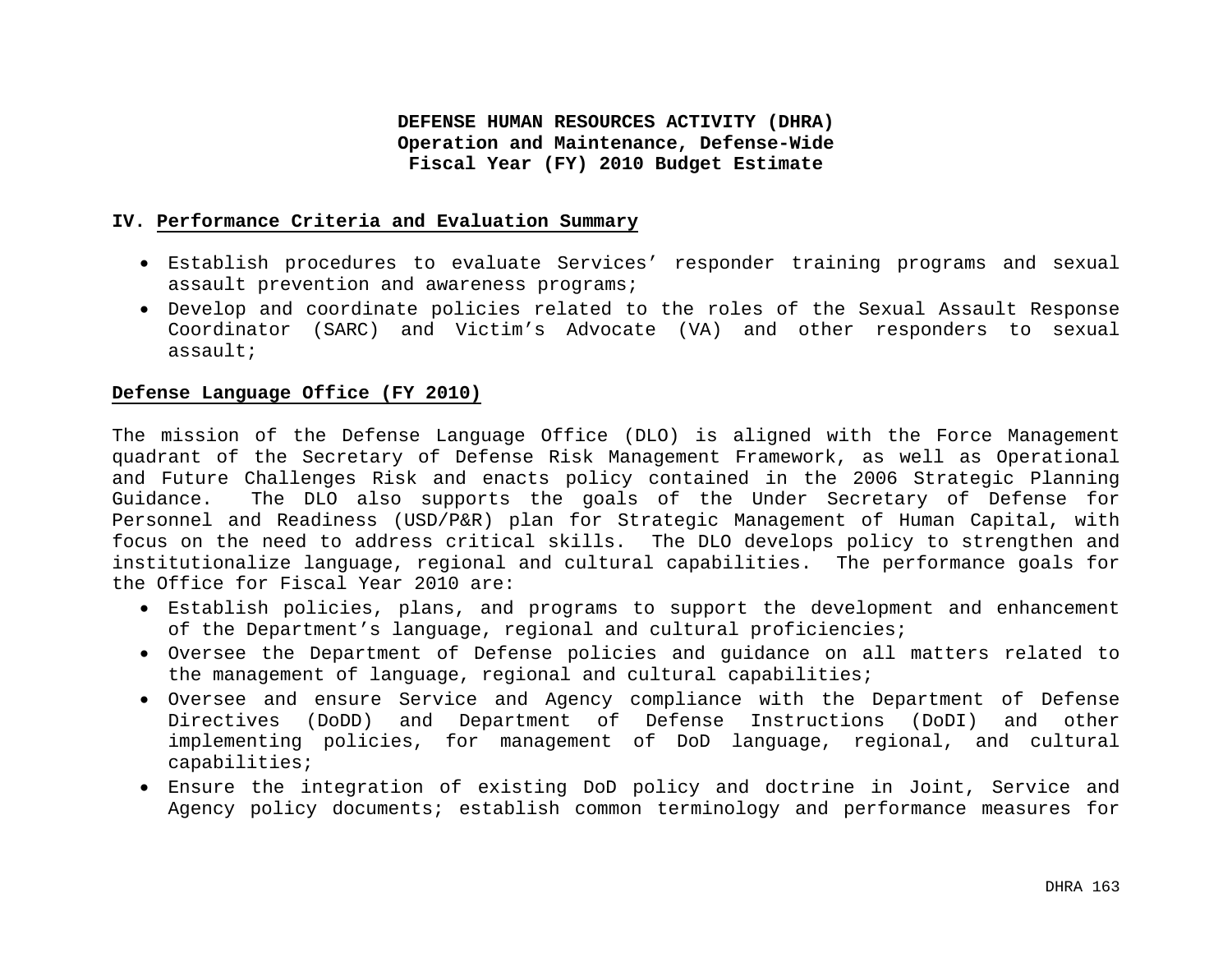#### **IV P . erformance Criteria and Evaluation Summary**

- Establish procedures to evaluate Services' responder training programs and sexual assault prevention and awareness programs;
- Develop and coordinate policies related to the roles of the Sexual Assault Response Coordinator (SARC) and Victim's Advocate (VA) and other responders to sexual assault;

### **Defense Language Office (FY 2010)**

The mission of the Defense Language Office (DLO) is aligned with the Force Management quadrant of the Secretary of Defense Risk Management Framework, as well as Operational and Future Challenges Risk and enacts policy contained in the 2006 Strategic Planning Guidance. The DLO also supports the goals of the Under Secretary of Defense for Personnel and Readiness (USD/P&R) plan for Strategic Management of Human Capital, with focus on the need to address critical skills. The DLO develops policy to strengthen and institutionalize language, regional and cultural capabilities. The performance goals for the Office for Fiscal Year 2010 are:

- Establish policies, plans, and programs to support the development and enhancement of the Department's language, regional and cultural proficiencies;
- Oversee the Department of Defense policies and guidance on all matters related to the management of language, regional and cultural capabilities;
- Oversee and ensure Service and Agency compliance with the Department of Defense Directives (DoDD) and Department of Defense Instructions (DoDI) and other implementing policies, for management of DoD language, regional, and cultural capabilities;
- Ensure the integration of existing DoD policy and doctrine in Joint, Service and Agency policy documents; establish common terminology and performance measures for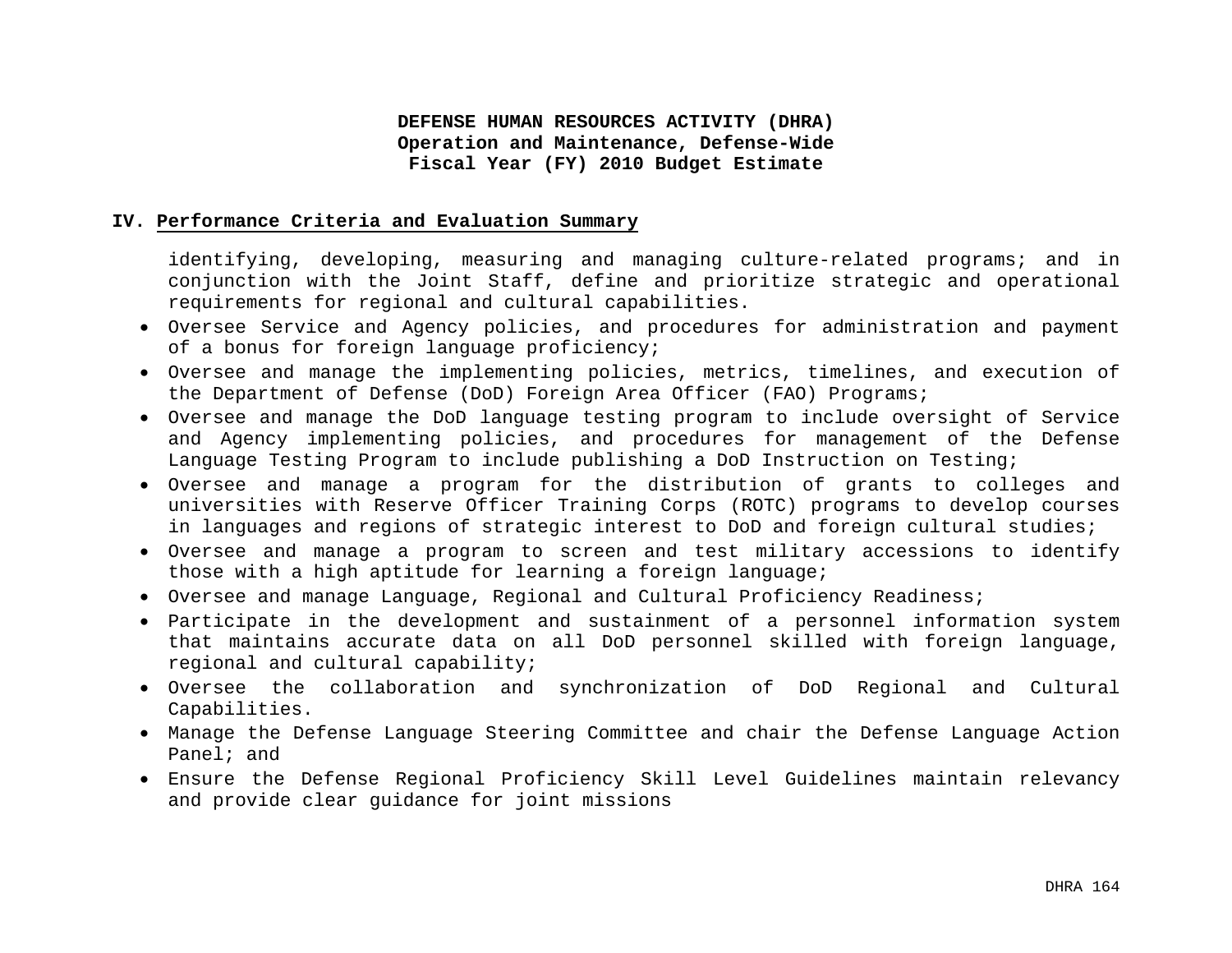### **IV. Performance Criteria and Evaluation Summary**

identifying, developing, measuring and managing culture-related programs; and in conjunction with the Joint Staff, define and prioritize strategic and operational requirements for regional and cultural capabilities.

- Oversee Service and Agency policies, and procedures for administration and payment of a bonus for foreign language proficiency;
- Oversee and manage the implementing policies, metrics, timelines, and execution of the Department of Defense (DoD) Foreign Area Officer (FAO) Programs;
- Oversee and manage the DoD language testing program to include oversight of Service and Agency implementing policies, and procedures for management of the Defense Language Testing Program to include publishing a DoD Instruction on Testing;
- Oversee and manage a program for the distribution of grants to colleges and universities with Reserve Officer Training Corps (ROTC) programs to develop courses in languages and regions of strategic interest to DoD and foreign cultural studies;
- Oversee and manage a program to screen and test military accessions to identify those with a high aptitude for learning a foreign language;
- Oversee and manage Language, Regional and Cultural Proficiency Readiness;
- Participate in the development and sustainment of a personnel information system that maintains accurate data on all DoD personnel skilled with foreign language, regional and cultural capability;
- Oversee the collaboration and synchronization of DoD Regional and Cultural Capabilities.
- Manage the Defense Language Steering Committee and chair the Defense Language Action Panel; and
- Ensure the Defense Regional Proficiency Skill Level Guidelines maintain relevancy and provide clear guidance for joint missions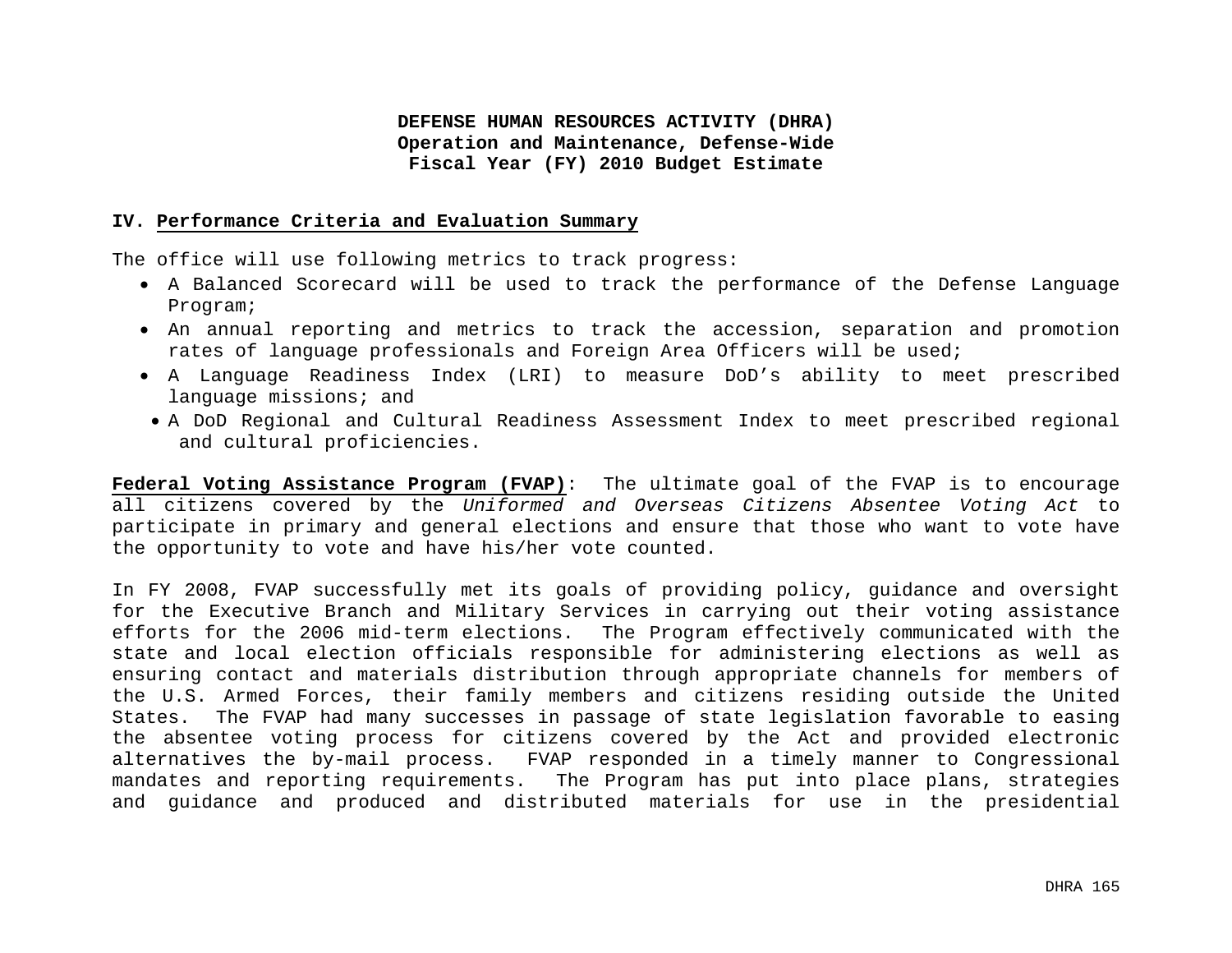#### **IV. Performance Criteria and Evaluation Summary**

The office will use following metrics to track progress:

- A Balanced Scorecard will be used to track the performance of the Defense Language Program;
- An annual reporting and metrics to track the accession, separation and promotion rates of language professionals and Foreign Area Officers will be used;
- A Language Readiness Index (LRI) to measure DoD's ability to meet prescribed language missions; and
- A DoD Regional and Cultural Readiness Assessment Index to meet prescribed regional and cultural proficiencies.

**Federal Voting Assistance Program (FVAP)**: The ultimate goal of the FVAP is to encourage all citizens covered by the *Uniformed and Overseas Citizens Absentee Voting Act* to participate in primary and general elections and ensure that those who want to vote have the opportunity to vote and have his/her vote counted.

In FY 2008, FVAP successfully met its goals of providing policy, guidance and oversight for the Executive Branch and Military Services in carrying out their voting assistance efforts for the 2006 mid-term elections. The Program effectively communicated with the state and local election officials responsible for administering elections as well as ensuring contact and materials distribution through appropriate channels for members of the U.S. Armed Forces, their family members and citizens residing outside the United States. The FVAP had many successes in passage of state legislation favorable to easing the absentee voting process for citizens covered by the Act and provided electronic alternatives the by-mail process. FVAP responded in a timely manner to Congressional mandates and reporting requirements. The Program has put into place plans, strategies and guidance and produced and distributed materials for use in the presidential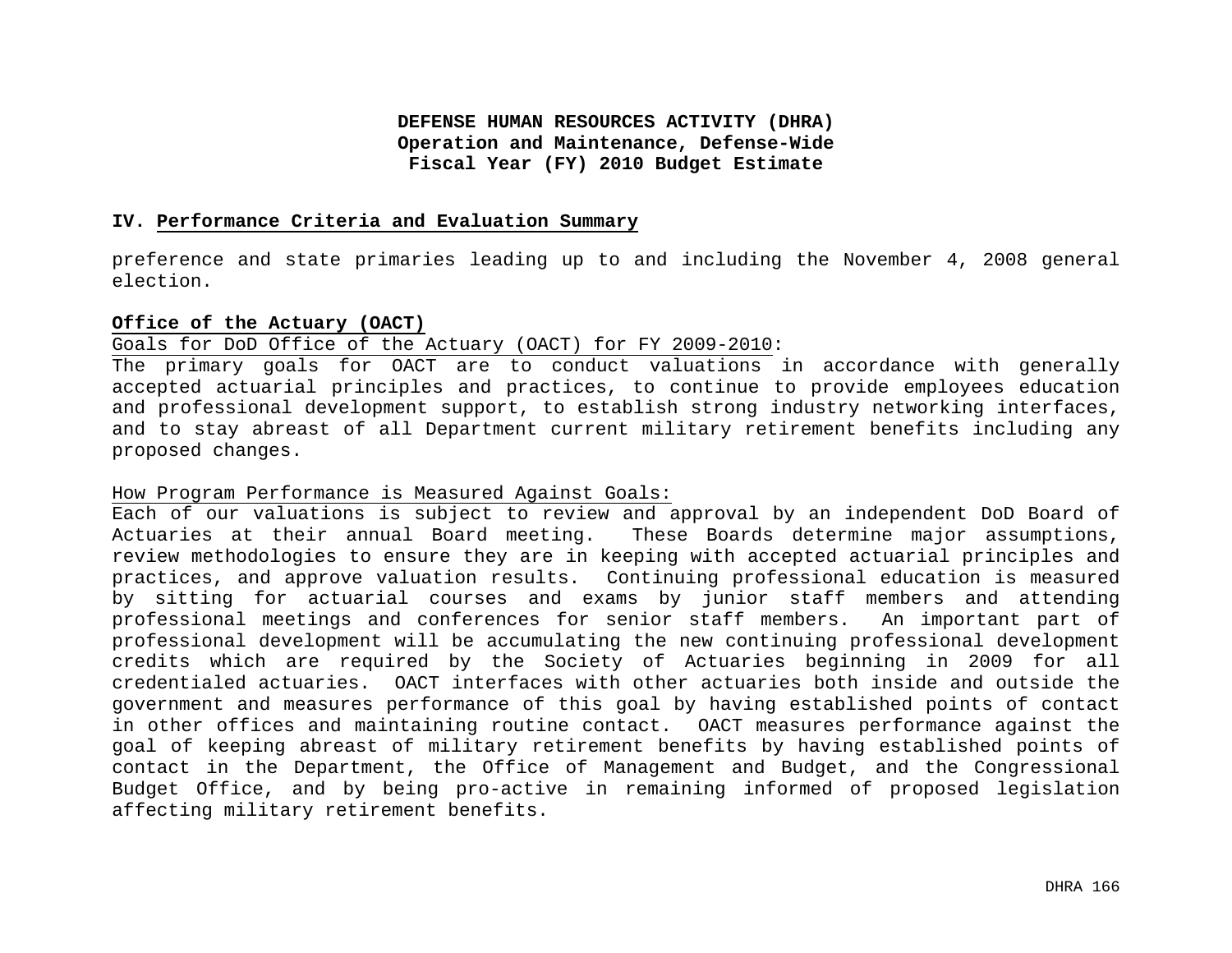### **IV. Performance Criteria and Evaluation Summary**

preference and state primaries leading up to and including the November 4, 2008 general election.

#### **Office of the Actuary (OACT)**

#### Goals for DoD Office of the Actuary (OACT) for FY 2009-2010:

The primary goals for OACT are to conduct valuations in accordance with generally accepted actuarial principles and practices, to continue to provide employees education and professional development support, to establish strong industry networking interfaces, and to stay abreast of all Department current military retirement benefits including any proposed changes.

#### How Program Performance is Measured Against Goals:

Each of our valuations is subject to review and approval by an independent DoD Board of Actuaries at their annual Board meeting. These Boards determine major assumptions, review methodologies to ensure they are in keeping with accepted actuarial principles and practices, and approve valuation results. Continuing professional education is measured by sitting for actuarial courses and exams by junior staff members and attending professional meetings and conferences for senior staff members. An important part of professional development will be accumulating the new continuing professional development credits which are required by the Society of Actuaries beginning in 2009 for all credentialed actuaries. OACT interfaces with other actuaries both inside and outside the government and measures performance of this goal by having established points of contact in other offices and maintaining routine contact. OACT measures performance against the goal of keeping abreast of military retirement benefits by having established points of contact in the Department, the Office of Management and Budget, and the Congressional Budget Office, and by being pro-active in remaining informed of proposed legislation affecting military retirement benefits.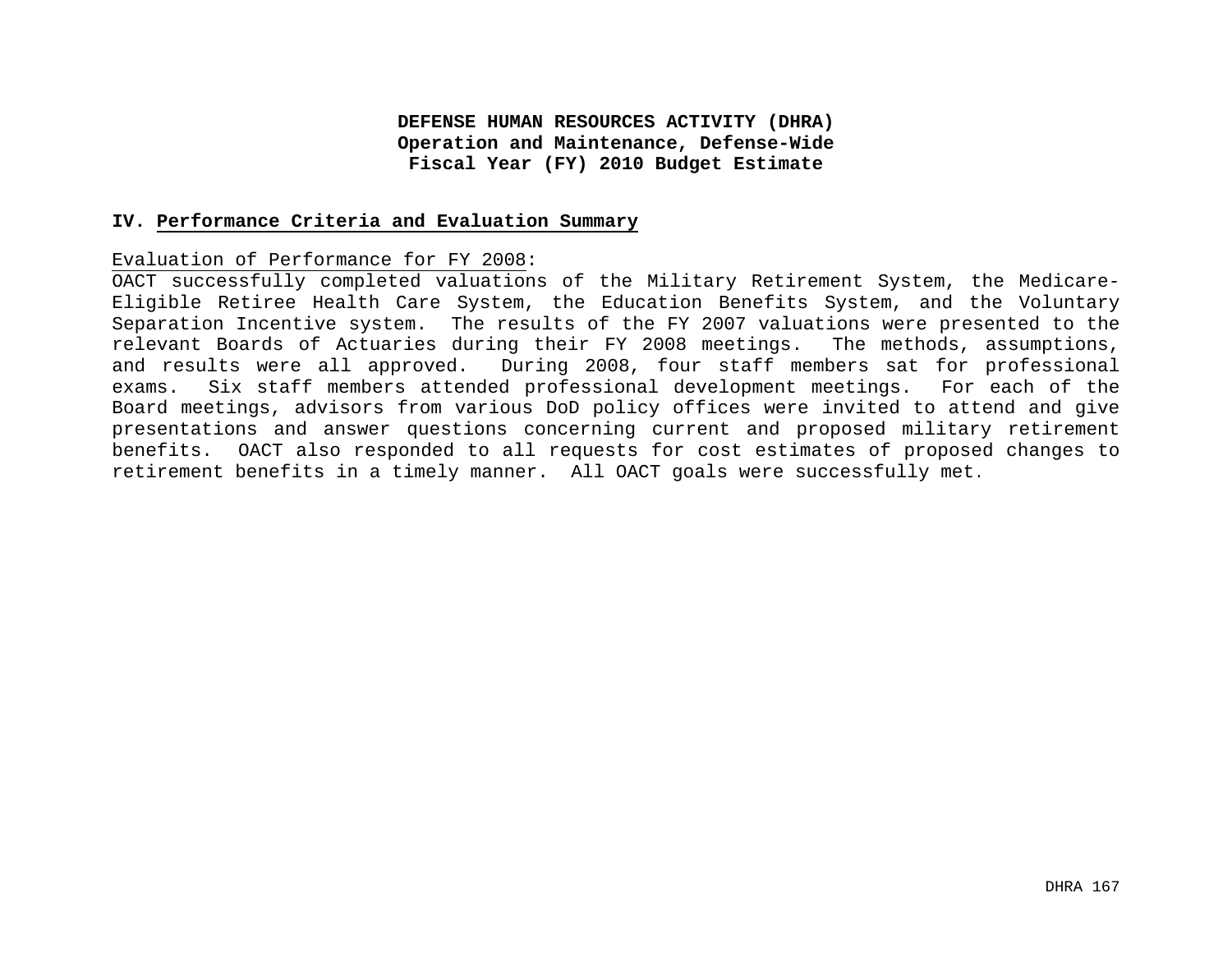### **IV. Performance Criteria and Evaluation Summary**

#### Evaluation of Performance for FY 2008:

OACT successfully completed valuations of the Military Retirement System, the Medicare-Eligible Retiree Health Care System, the Education Benefits System, and the Voluntary Separation Incentive system. The results of the FY 2007 valuations were presented to the relevant Boards of Actuaries during their FY 2008 meetings. The methods, assumptions, and results were all approved. During 2008, four staff members sat for professional exams. Six staff members attended professional development meetings. For each of the Board meetings, advisors from various DoD policy offices were invited to attend and give presentations and answer questions concerning current and proposed military retirement benefits. OACT also responded to all requests for cost estimates of proposed changes to retirement benefits in a timely manner. All OACT goals were successfully met.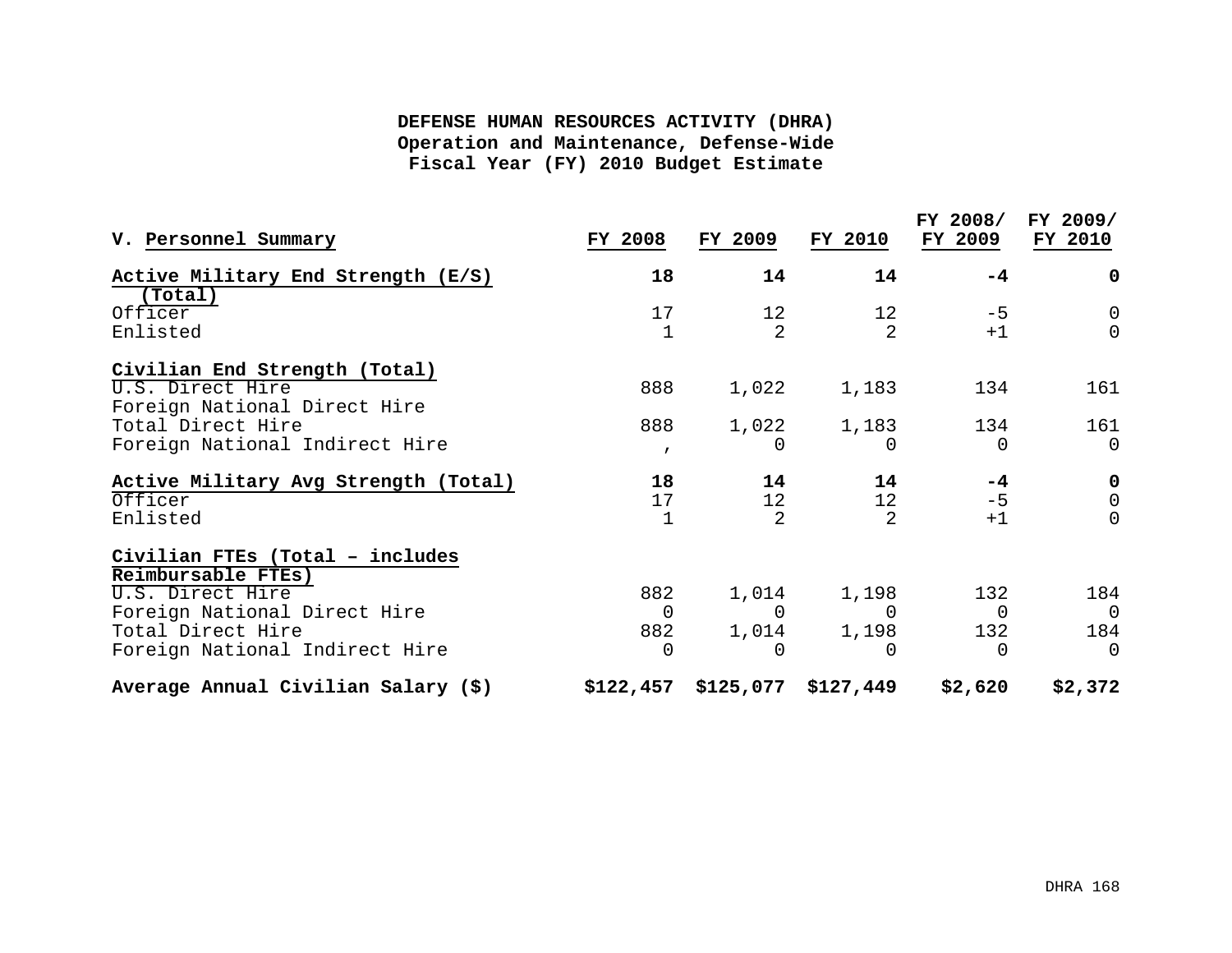| V. Personnel Summary                                                              | FY 2008                | FY 2009                          | FY 2010                    | FY 2008/<br>FY 2009    | FY 2009/<br>FY 2010                 |
|-----------------------------------------------------------------------------------|------------------------|----------------------------------|----------------------------|------------------------|-------------------------------------|
| Active Military End Strength (E/S)<br>(Total)                                     | 18                     | 14                               | 14                         | $-4$                   | $\mathbf 0$                         |
| Officer<br>Enlisted                                                               | 17<br>$\mathbf{1}$     | 12<br>2                          | 12<br>2                    | $-5$<br>$+1$           | $\overline{0}$<br>$\Omega$          |
| Civilian End Strength (Total)<br>U.S. Direct Hire<br>Foreign National Direct Hire | 888                    | 1,022                            | 1,183                      | 134                    | 161                                 |
| Total Direct Hire<br>Foreign National Indirect Hire                               | 888<br>$\mathbf{r}$    | 1,022<br>0                       | 1,183<br>$\Omega$          | 134<br>$\Omega$        | 161<br>$\Omega$                     |
| Active Military Avg Strength (Total)<br>Officer<br>Enlisted                       | 18<br>17               | 14<br>12<br>$\overline{2}$       | 14<br>12<br>2              | $-4$<br>$-5$<br>$+1$   | $\mathbf 0$<br>$\Omega$<br>$\Omega$ |
| Civilian FTEs (Total - includes<br>Reimbursable FTEs)                             |                        |                                  |                            |                        |                                     |
| U.S. Direct Hire<br>Foreign National Direct Hire<br>Total Direct Hire             | 882<br>$\Omega$<br>882 | 1,014<br>$\Omega$<br>1,014       | 1,198<br>$\Omega$<br>1,198 | 132<br>$\Omega$<br>132 | 184<br>0<br>184                     |
| Foreign National Indirect Hire                                                    | $\Omega$               | 0                                | $\Omega$                   | $\Omega$               | $\Omega$                            |
| Average Annual Civilian Salary (\$)                                               |                        | $$122,457$ $$125,077$ $$127,449$ |                            | \$2,620                | \$2,372                             |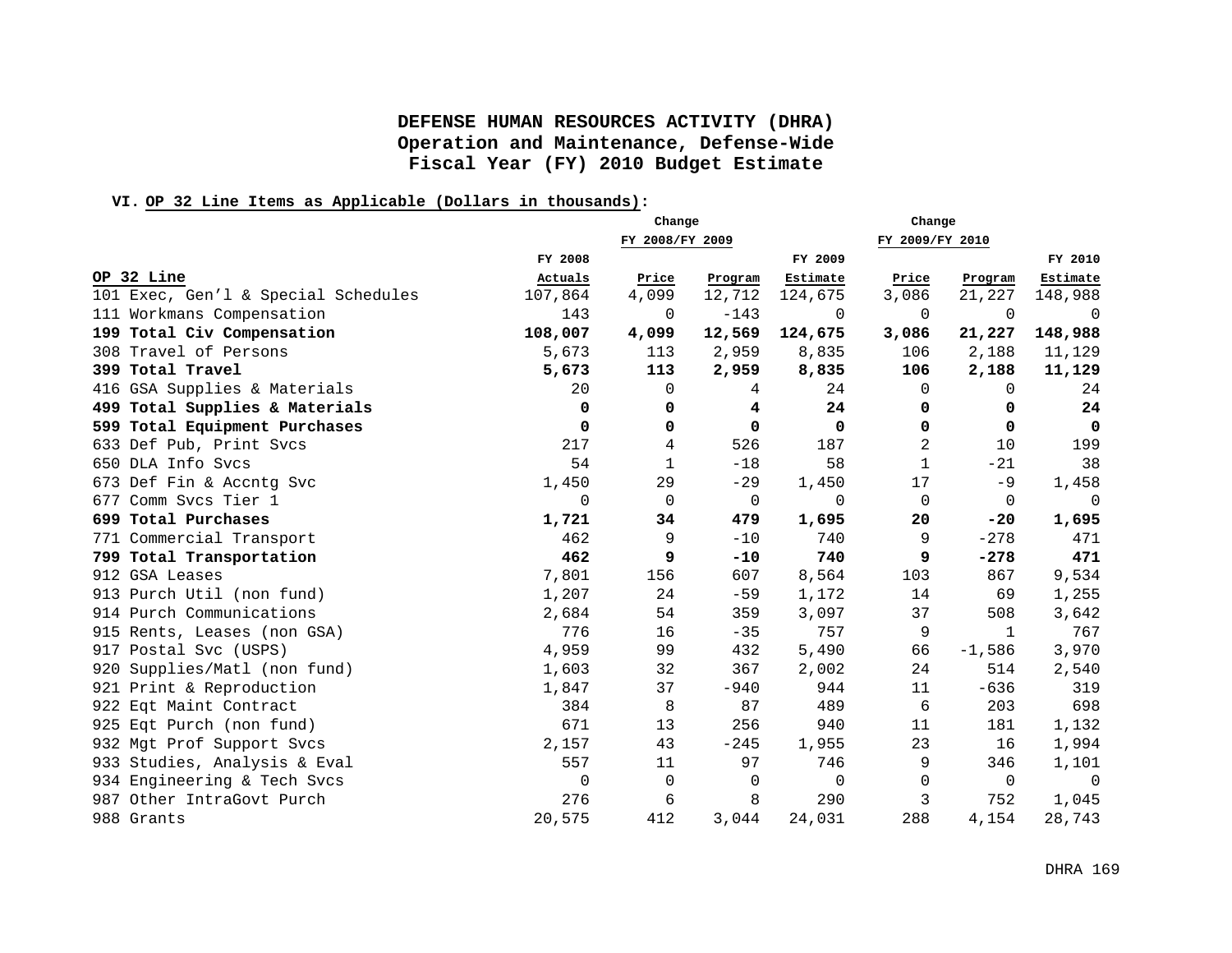#### **VI. OP 32 Line Items as Applicable (Dollars in thousands):**

|      |                                     |             | Change          |             |             |                | Change          |                |  |
|------|-------------------------------------|-------------|-----------------|-------------|-------------|----------------|-----------------|----------------|--|
|      |                                     |             | FY 2008/FY 2009 |             |             |                | FY 2009/FY 2010 |                |  |
|      |                                     | FY 2008     |                 |             | FY 2009     |                |                 | FY 2010        |  |
|      | OP 32 Line                          | Actuals     | Price           | Program     | Estimate    | Price          | Program         | Estimate       |  |
|      | 101 Exec, Gen'l & Special Schedules | 107,864     | 4,099           | 12,712      | 124,675     | 3,086          | 21,227          | 148,988        |  |
|      | 111 Workmans Compensation           | 143         | 0               | $-143$      | 0           | 0              | 0               | - 0            |  |
|      | 199 Total Civ Compensation          | 108,007     | 4,099           | 12,569      | 124,675     | 3,086          | 21,227          | 148,988        |  |
|      | 308 Travel of Persons               | 5,673       | 113             | 2,959       | 8,835       | 106            | 2,188           | 11,129         |  |
| 399. | Total Travel                        | 5,673       | 113             | 2,959       | 8,835       | 106            | 2,188           | 11,129         |  |
|      | 416 GSA Supplies & Materials        | 20          | 0               | 4           | 24          | 0              | $\Omega$        | 24             |  |
|      | 499 Total Supplies & Materials      | 0           | 0               | 4           | 24          | 0              | 0               | 24             |  |
|      | 599 Total Equipment Purchases       | 0           | 0               | $\mathbf 0$ | $\mathbf 0$ | 0              | 0               | $\mathbf 0$    |  |
|      | 633 Def Pub, Print Svcs             | 217         | 4               | 526         | 187         | $\overline{2}$ | 10              | 199            |  |
|      | 650 DLA Info Sycs                   | 54          | $\mathbf{1}$    | $-18$       | 58          | $\mathbf 1$    | $-21$           | 38             |  |
|      | 673 Def Fin & Accntg Svc            | 1,450       | 29              | $-29$       | 1,450       | 17             | -9              | 1,458          |  |
|      | 677 Comm Sycs Tier 1                | $\mathbf 0$ | $\mathbf 0$     | $\mathbf 0$ | $\Omega$    | $\mathbf 0$    | $\mathbf 0$     | $\overline{0}$ |  |
|      | 699 Total Purchases                 | 1,721       | 34              | 479         | 1,695       | 20             | $-20$           | 1,695          |  |
|      | 771 Commercial Transport            | 462         | 9               | $-10$       | 740         | 9              | $-278$          | 471            |  |
|      | 799 Total Transportation            | 462         | 9               | $-10$       | 740         | 9              | $-278$          | 471            |  |
|      | 912 GSA Leases                      | 7,801       | 156             | 607         | 8,564       | 103            | 867             | 9,534          |  |
|      | 913 Purch Util (non fund)           | 1,207       | 24              | $-59$       | 1,172       | 14             | 69              | 1,255          |  |
|      | 914 Purch Communications            | 2,684       | 54              | 359         | 3,097       | 37             | 508             | 3,642          |  |
|      | 915 Rents, Leases (non GSA)         | 776         | 16              | $-35$       | 757         | 9              | 1               | 767            |  |
|      | 917 Postal Svc (USPS)               | 4,959       | 99              | 432         | 5,490       | 66             | $-1,586$        | 3,970          |  |
|      | 920 Supplies/Matl (non fund)        | 1,603       | 32              | 367         | 2,002       | 24             | 514             | 2,540          |  |
|      | 921 Print & Reproduction            | 1,847       | 37              | $-940$      | 944         | 11             | $-636$          | 319            |  |
|      | 922 Eqt Maint Contract              | 384         | 8               | 87          | 489         | 6              | 203             | 698            |  |
|      | 925 Eqt Purch (non fund)            | 671         | 13              | 256         | 940         | 11             | 181             | 1,132          |  |
|      | 932 Mgt Prof Support Svcs           | 2,157       | 43              | $-245$      | 1,955       | 23             | 16              | 1,994          |  |
|      | 933 Studies, Analysis & Eval        | 557         | 11              | 97          | 746         | 9              | 346             | 1,101          |  |
|      | 934 Engineering & Tech Svcs         | 0           | 0               | $\Omega$    | 0           | $\mathbf{0}$   | $\mathbf 0$     | $\overline{0}$ |  |
|      | 987 Other IntraGovt Purch           | 276         | 6               | 8           | 290         | 3              | 752             | 1,045          |  |
|      | 988 Grants                          | 20,575      | 412             | 3,044       | 24,031      | 288            | 4,154           | 28,743         |  |